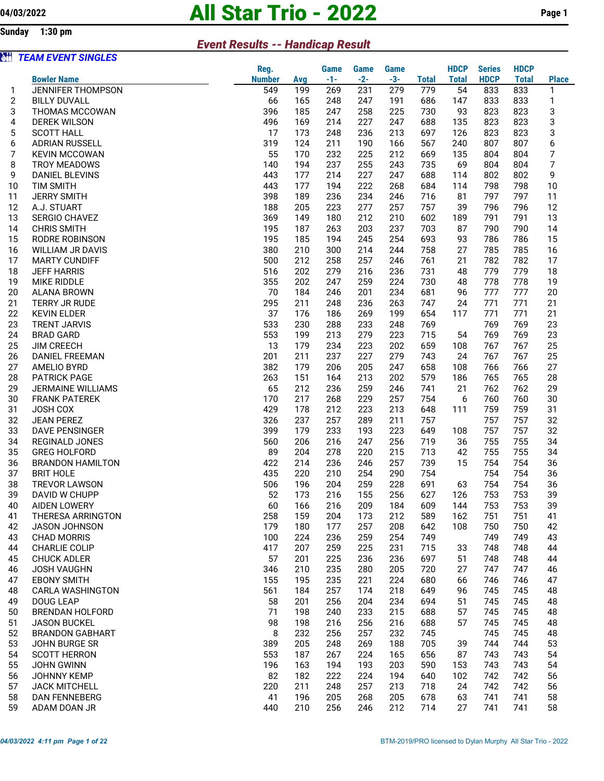Sunday 1:30 pm

## 04/03/2022 **All Star Trio - 2022** Page 1

## Event Results -- Handicap Result

| èü             | <b>TEAM EVENT SINGLES</b>                     |               |            |            |             |             |              |              |               |              |                |
|----------------|-----------------------------------------------|---------------|------------|------------|-------------|-------------|--------------|--------------|---------------|--------------|----------------|
|                |                                               | Reg.          |            | Game       | <b>Game</b> | <b>Game</b> |              | <b>HDCP</b>  | <b>Series</b> | <b>HDCP</b>  |                |
|                | <b>Bowler Name</b>                            | <b>Number</b> | Avg        | $-1-$      | $-2-$       | $-3-$       | <b>Total</b> | <b>Total</b> | <b>HDCP</b>   | <b>Total</b> | <b>Place</b>   |
| 1              | <b>JENNIFER THOMPSON</b>                      | 549           | 199        | 269        | 231         | 279         | 779          | 54           | 833           | 833          | 1              |
| $\overline{c}$ | <b>BILLY DUVALL</b>                           | 66            | 165        | 248        | 247         | 191         | 686          | 147          | 833           | 833          | 1              |
| 3              | <b>THOMAS MCCOWAN</b>                         | 396           | 185        | 247        | 258         | 225         | 730          | 93           | 823           | 823          | 3              |
| 4              | DEREK WILSON                                  | 496           | 169        | 214        | 227         | 247         | 688          | 135          | 823           | 823          | 3              |
| 5              | <b>SCOTT HALL</b>                             | 17            | 173        | 248        | 236         | 213         | 697          | 126          | 823           | 823          | 3              |
| 6              | <b>ADRIAN RUSSELL</b>                         | 319           | 124        | 211        | 190         | 166         | 567          | 240          | 807           | 807          | 6              |
| $\overline{7}$ | <b>KEVIN MCCOWAN</b>                          | 55            | 170        | 232        | 225         | 212         | 669          | 135          | 804           | 804          | $\overline{7}$ |
| 8              | <b>TROY MEADOWS</b>                           | 140           | 194        | 237        | 255         | 243         | 735          | 69           | 804           | 804          | 7              |
| 9              | <b>DANIEL BLEVINS</b>                         | 443           | 177        | 214        | 227         | 247         | 688          | 114          | 802           | 802          | 9              |
| 10             | <b>TIM SMITH</b>                              | 443           | 177        | 194        | 222         | 268         | 684          | 114          | 798           | 798          | 10             |
| 11             | <b>JERRY SMITH</b>                            | 398           | 189        | 236        | 234         | 246         | 716          | 81           | 797           | 797          | 11             |
| 12             | A.J. STUART                                   | 188           | 205        | 223        | 277         | 257         | 757          | 39           | 796           | 796          | 12             |
| 13             | SERGIO CHAVEZ                                 | 369           | 149        | 180        | 212         | 210         | 602          | 189          | 791           | 791          | 13             |
| 14             | <b>CHRIS SMITH</b>                            | 195           | 187        | 263        | 203         | 237         | 703          | 87           | 790           | 790          | 14             |
| 15             | RODRE ROBINSON                                | 195           | 185        | 194        | 245         | 254         | 693          | 93           | 786           | 786          | 15             |
| 16             | WILLIAM JR DAVIS                              | 380           | 210        | 300        | 214         | 244         | 758          | 27           | 785           | 785          | 16             |
| 17             | <b>MARTY CUNDIFF</b>                          | 500           | 212        | 258        | 257         | 246         | 761          | 21           | 782           | 782          | 17             |
| 18             | <b>JEFF HARRIS</b>                            | 516           | 202        | 279        | 216         | 236         | 731          | 48           | 779           | 779          | 18             |
| 19             | <b>MIKE RIDDLE</b>                            | 355           | 202        | 247        | 259         | 224         | 730          | 48           | 778           | 778          | 19             |
| 20             | <b>ALANA BROWN</b>                            | 70            | 184        | 246        | 201         | 234         | 681          | 96           | 777           | 777          | 20             |
| 21             | <b>TERRY JR RUDE</b>                          | 295           | 211        | 248        | 236         | 263         | 747          | 24           | 771           | 771          | 21             |
| 22             | <b>KEVIN ELDER</b>                            | 37            | 176        | 186        | 269         | 199         | 654          | 117          | 771           | 771          | 21             |
| 23             | <b>TRENT JARVIS</b>                           | 533           | 230        | 288        | 233         | 248         | 769          |              | 769           | 769          | 23             |
| 24             | <b>BRAD GARD</b>                              | 553           | 199        | 213        | 279         | 223         | 715          | 54           | 769           | 769          | 23             |
| 25             | <b>JIM CREECH</b>                             | 13            | 179        | 234        | 223         | 202         | 659          | 108          | 767           | 767          | 25             |
| 26             | DANIEL FREEMAN                                | 201           | 211        | 237        | 227         | 279         | 743          | 24           | 767           | 767          | 25             |
| 27             | AMELIO BYRD                                   | 382           | 179        | 206        | 205         | 247         | 658          | 108          | 766           | 766          | 27             |
| 28             | <b>PATRICK PAGE</b>                           | 263           | 151        | 164        | 213         | 202         | 579          | 186          | 765           | 765          | 28             |
| 29             | <b>JERMAINE WILLIAMS</b>                      | 65            | 212        | 236        | 259         | 246         | 741          | 21           | 762           | 762          | 29             |
| 30             | <b>FRANK PATEREK</b>                          | 170           | 217        | 268        | 229         | 257         | 754          | 6            | 760           | 760          | 30             |
| 31             | JOSH COX                                      | 429           | 178        | 212        | 223         | 213         | 648          | 111          | 759           | 759          | 31             |
| 32             | <b>JEAN PEREZ</b>                             | 326           | 237        | 257        | 289         | 211         | 757          |              | 757           | 757          | 32             |
| 33             | <b>DAVE PENSINGER</b>                         | 399           | 179        | 233        | 193         | 223         | 649          | 108          | 757           | 757          | 32             |
| 34             | REGINALD JONES                                | 560           | 206        | 216        | 247         | 256         | 719          | 36           | 755           | 755          | 34             |
| 35             | <b>GREG HOLFORD</b>                           | 89            | 204        | 278        | 220         | 215         | 713          | 42           | 755           | 755          | 34             |
| 36             | <b>BRANDON HAMILTON</b>                       | 422           | 214        | 236        | 246         | 257         | 739          | 15           | 754           | 754          | 36             |
| 37             | <b>BRIT HOLE</b>                              | 435           | 220        | 210        | 254         | 290         | 754          |              | 754           | 754          | 36             |
| 38             | <b>TREVOR LAWSON</b>                          | 506           | 196        | 204        | 259         | 228         | 691          | 63           | 754           | 754          | 36             |
| 39             | DAVID W CHUPP                                 | 52            | 173        | 216        | 155         | 256         | 627          | 126          | 753           | 753          | 39             |
| 40             | AIDEN LOWERY                                  | 60            | 166        | 216        | 209         | 184         | 609          | 144          | 753           | 753          | 39             |
| 41             | THERESA ARRINGTON                             | 258           | 159        | 204        | 173         | 212         | 589          | 162          | 751           | 751          | 41             |
| 42             | <b>JASON JOHNSON</b>                          | 179           | 180        | 177        | 257         | 208         | 642          | 108          | 750           | 750          | 42             |
| 43             | <b>CHAD MORRIS</b>                            | 100           | 224        | 236        | 259         | 254         | 749          |              | 749           | 749          | 43             |
| 44             | <b>CHARLIE COLIP</b>                          | 417           | 207        | 259        | 225         | 231         | 715          | 33           | 748           | 748          | 44             |
| 45<br>46       | <b>CHUCK ADLER</b><br>JOSH VAUGHN             | 57<br>346     | 201<br>210 | 225<br>235 | 236<br>280  | 236<br>205  | 697<br>720   | 51<br>27     | 748<br>747    | 748<br>747   | 44<br>46       |
| 47             | <b>EBONY SMITH</b>                            | 155           | 195        | 235        | 221         | 224         | 680          | 66           | 746           | 746          | 47             |
| 48             | <b>CARLA WASHINGTON</b>                       | 561           | 184        | 257        | 174         | 218         | 649          | 96           | 745           | 745          | 48             |
| 49             | <b>DOUG LEAP</b>                              | 58            | 201        | 256        | 204         | 234         | 694          | 51           | 745           | 745          | 48             |
|                |                                               |               |            |            |             |             |              |              |               |              |                |
| 50<br>51       | <b>BRENDAN HOLFORD</b><br><b>JASON BUCKEL</b> | 71<br>98      | 198<br>198 | 240<br>216 | 233<br>256  | 215<br>216  | 688<br>688   | 57<br>57     | 745<br>745    | 745<br>745   | 48<br>48       |
| 52             | <b>BRANDON GABHART</b>                        | 8             | 232        | 256        | 257         | 232         | 745          |              | 745           | 745          | 48             |
| 53             | <b>JOHN BURGE SR</b>                          | 389           | 205        | 248        | 269         | 188         | 705          | 39           | 744           | 744          | 53             |
| 54             | <b>SCOTT HERRON</b>                           | 553           | 187        | 267        | 224         | 165         | 656          | 87           | 743           | 743          | 54             |
| 55             | <b>JOHN GWINN</b>                             | 196           | 163        | 194        | 193         | 203         | 590          | 153          | 743           | 743          | 54             |
| 56             | JOHNNY KEMP                                   | 82            | 182        | 222        | 224         | 194         | 640          | 102          | 742           | 742          | 56             |
| 57             | <b>JACK MITCHELL</b>                          | 220           | 211        | 248        | 257         | 213         | 718          | 24           | 742           | 742          | 56             |
| 58             | <b>DAN FENNEBERG</b>                          | 41            | 196        | 205        | 268         | 205         | 678          | 63           | 741           | 741          | 58             |
| 59             | ADAM DOAN JR                                  | 440           | 210        | 256        | 246         | 212         | 714          | 27           | 741           | 741          | 58             |
|                |                                               |               |            |            |             |             |              |              |               |              |                |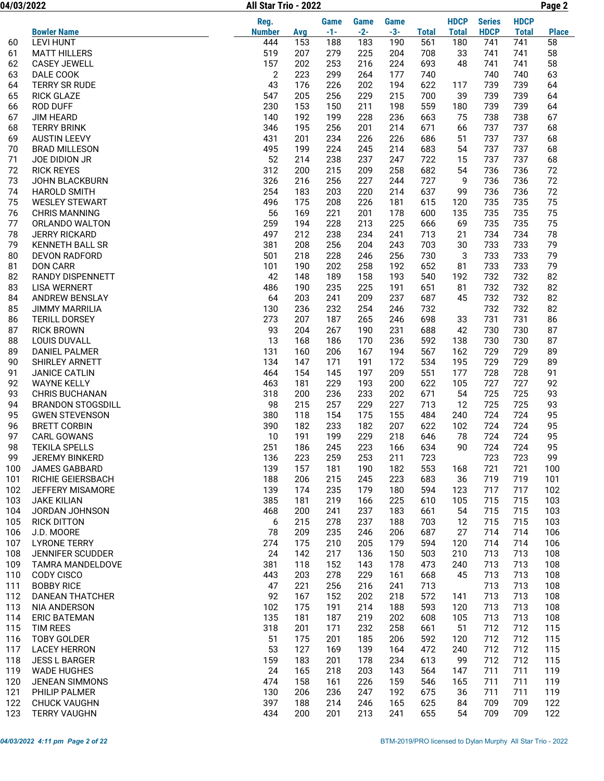04/03/2022 Page 2 All Star Trio - 2022

|          |                                           | Reg.           |            | <b>Game</b> | Game       | Game       |              | <b>HDCP</b>  | <b>Series</b> | <b>HDCP</b>  |              |
|----------|-------------------------------------------|----------------|------------|-------------|------------|------------|--------------|--------------|---------------|--------------|--------------|
|          | <b>Bowler Name</b>                        | <b>Number</b>  | Avg        | $-1-$       | $-2-$      | $-3-$      | <b>Total</b> | <b>Total</b> | <b>HDCP</b>   | <b>Total</b> | <b>Place</b> |
| 60       | <b>LEVI HUNT</b>                          | 444            | 153        | 188         | 183        | 190        | 561          | 180          | 741           | 741          | 58           |
| 61       | <b>MATT HILLERS</b>                       | 519            | 207        | 279         | 225        | 204        | 708          | 33           | 741           | 741          | 58           |
| 62       | <b>CASEY JEWELL</b>                       | 157            | 202        | 253         | 216        | 224        | 693          | 48           | 741           | 741          | 58           |
| 63       | DALE COOK                                 | $\overline{2}$ | 223        | 299         | 264        | 177        | 740          |              | 740           | 740          | 63           |
| 64       | <b>TERRY SR RUDE</b>                      | 43             | 176        | 226         | 202        | 194        | 622          | 117          | 739           | 739          | 64           |
| 65       | <b>RICK GLAZE</b>                         | 547            | 205        | 256         | 229        | 215        | 700          | 39           | 739           | 739          | 64           |
| 66       | <b>ROD DUFF</b>                           | 230            | 153        | 150         | 211        | 198        | 559          | 180          | 739           | 739          | 64           |
| 67       | <b>JIM HEARD</b>                          | 140            | 192        | 199         | 228        | 236        | 663          | 75           | 738           | 738          | 67           |
| 68<br>69 | <b>TERRY BRINK</b><br><b>AUSTIN LEEVY</b> | 346<br>431     | 195<br>201 | 256<br>234  | 201<br>226 | 214<br>226 | 671<br>686   | 66<br>51     | 737<br>737    | 737<br>737   | 68<br>68     |
| 70       | <b>BRAD MILLESON</b>                      | 495            | 199        | 224         | 245        | 214        | 683          | 54           | 737           | 737          | 68           |
| 71       | JOE DIDION JR                             | 52             | 214        | 238         | 237        | 247        | 722          | 15           | 737           | 737          | 68           |
| 72       | <b>RICK REYES</b>                         | 312            | 200        | 215         | 209        | 258        | 682          | 54           | 736           | 736          | 72           |
| 73       | <b>JOHN BLACKBURN</b>                     | 326            | 216        | 256         | 227        | 244        | 727          | 9            | 736           | 736          | 72           |
| 74       | <b>HAROLD SMITH</b>                       | 254            | 183        | 203         | 220        | 214        | 637          | 99           | 736           | 736          | 72           |
| 75       | <b>WESLEY STEWART</b>                     | 496            | 175        | 208         | 226        | 181        | 615          | 120          | 735           | 735          | 75           |
| 76       | <b>CHRIS MANNING</b>                      | 56             | 169        | 221         | 201        | 178        | 600          | 135          | 735           | 735          | 75           |
| 77       | ORLANDO WALTON                            | 259            | 194        | 228         | 213        | 225        | 666          | 69           | 735           | 735          | 75           |
| 78       | <b>JERRY RICKARD</b>                      | 497            | 212        | 238         | 234        | 241        | 713          | 21           | 734           | 734          | 78           |
| 79       | <b>KENNETH BALL SR</b>                    | 381            | 208        | 256         | 204        | 243        | 703          | 30           | 733           | 733          | 79           |
| 80       | <b>DEVON RADFORD</b>                      | 501            | 218        | 228         | 246        | 256        | 730          | 3            | 733           | 733          | 79           |
| 81       | <b>DON CARR</b>                           | 101            | 190        | 202         | 258        | 192        | 652          | 81           | 733           | 733          | 79           |
| 82       | RANDY DISPENNETT                          | 42             | 148        | 189         | 158        | 193        | 540          | 192          | 732           | 732          | 82           |
| 83       | <b>LISA WERNERT</b>                       | 486            | 190        | 235         | 225        | 191        | 651          | 81           | 732           | 732          | 82           |
| 84       | ANDREW BENSLAY                            | 64             | 203        | 241         | 209        | 237        | 687          | 45           | 732           | 732          | 82           |
| 85       | <b>JIMMY MARRILIA</b>                     | 130            | 236        | 232         | 254        | 246        | 732          |              | 732           | 732          | 82           |
| 86       | <b>TERILL DORSEY</b>                      | 273            | 207        | 187         | 265        | 246        | 698          | 33           | 731           | 731          | 86           |
| 87       | <b>RICK BROWN</b>                         | 93             | 204        | 267         | 190        | 231        | 688          | 42           | 730           | 730          | 87           |
| 88       | <b>LOUIS DUVALL</b>                       | 13             | 168        | 186         | 170        | 236        | 592          | 138          | 730           | 730          | 87           |
| 89       | <b>DANIEL PALMER</b>                      | 131            | 160        | 206         | 167        | 194        | 567          | 162          | 729           | 729          | 89           |
| 90       | SHIRLEY ARNETT                            | 134            | 147        | 171         | 191        | 172        | 534          | 195          | 729           | 729          | 89           |
| 91       | <b>JANICE CATLIN</b>                      | 464            | 154        | 145         | 197        | 209        | 551          | 177          | 728           | 728          | 91           |
| 92       | <b>WAYNE KELLY</b>                        | 463            | 181        | 229         | 193        | 200        | 622          | 105          | 727           | 727          | 92           |
| 93       | <b>CHRIS BUCHANAN</b>                     | 318            | 200        | 236         | 233        | 202        | 671          | 54           | 725           | 725          | 93           |
| 94       | <b>BRANDON STOGSDILL</b>                  | 98             | 215        | 257         | 229        | 227        | 713          | 12           | 725           | 725          | 93           |
| 95       | <b>GWEN STEVENSON</b>                     | 380            | 118        | 154         | 175        | 155        | 484          | 240          | 724           | 724          | 95           |
| 96<br>97 | <b>BRETT CORBIN</b><br><b>CARL GOWANS</b> | 390<br>10      | 182<br>191 | 233<br>199  | 182<br>229 | 207<br>218 | 622<br>646   | 102<br>78    | 724<br>724    | 724<br>724   | 95<br>95     |
| 98       | <b>TEKILA SPELLS</b>                      | 251            | 186        | 245         | 223        | 166        | 634          | 90           | 724           | 724          | 95           |
| 99       | <b>JEREMY BINKERD</b>                     | 136            | 223        | 259         | 253        | 211        | 723          |              | 723           | 723          | 99           |
| 100      | <b>JAMES GABBARD</b>                      | 139            | 157        | 181         | 190        | 182        | 553          | 168          | 721           | 721          | 100          |
| 101      | RICHIE GEIERSBACH                         | 188            | 206        | 215         | 245        | 223        | 683          | 36           | 719           | 719          | 101          |
| 102      | JEFFERY MISAMORE                          | 139            | 174        | 235         | 179        | 180        | 594          | 123          | 717           | 717          | 102          |
| 103      | <b>JAKE KILIAN</b>                        | 385            | 181        | 219         | 166        | 225        | 610          | 105          | 715           | 715          | 103          |
| 104      | JORDAN JOHNSON                            | 468            | 200        | 241         | 237        | 183        | 661          | 54           | 715           | 715          | 103          |
| 105      | <b>RICK DITTON</b>                        | 6              | 215        | 278         | 237        | 188        | 703          | 12           | 715           | 715          | 103          |
| 106      | J.D. MOORE                                | 78             | 209        | 235         | 246        | 206        | 687          | 27           | 714           | 714          | 106          |
| 107      | <b>LYRONE TERRY</b>                       | 274            | 175        | 210         | 205        | 179        | 594          | 120          | 714           | 714          | 106          |
| 108      | JENNIFER SCUDDER                          | 24             | 142        | 217         | 136        | 150        | 503          | 210          | 713           | 713          | 108          |
| 109      | <b>TAMRA MANDELDOVE</b>                   | 381            | 118        | 152         | 143        | 178        | 473          | 240          | 713           | 713          | 108          |
| 110      | CODY CISCO                                | 443            | 203        | 278         | 229        | 161        | 668          | 45           | 713           | 713          | 108          |
| 111      | <b>BOBBY RICE</b>                         | 47             | 221        | 256         | 216        | 241        | 713          |              | 713           | 713          | 108          |
| 112      | <b>DANEAN THATCHER</b>                    | 92             | 167        | 152         | 202        | 218        | 572          | 141          | 713           | 713          | 108          |
| 113      | NIA ANDERSON                              | 102            | 175        | 191         | 214        | 188        | 593          | 120          | 713           | 713          | 108          |
| 114      | <b>ERIC BATEMAN</b>                       | 135            | 181        | 187         | 219        | 202        | 608          | 105          | 713           | 713          | 108          |
| 115      | TIM REES                                  | 318            | 201        | 171         | 232        | 258        | 661          | 51           | 712           | 712          | 115          |
| 116      | <b>TOBY GOLDER</b>                        | 51             | 175        | 201         | 185        | 206        | 592          | 120          | 712           | 712          | 115          |
| 117      | <b>LACEY HERRON</b>                       | 53             | 127        | 169         | 139        | 164        | 472          | 240          | 712           | 712          | 115          |
| 118      | <b>JESS L BARGER</b>                      | 159            | 183        | 201         | 178        | 234        | 613          | 99           | 712           | 712          | 115          |
| 119      | <b>WADE HUGHES</b>                        | 24             | 165        | 218         | 203        | 143        | 564          | 147          | 711           | 711          | 119          |
| 120      | JENEAN SIMMONS                            | 474            | 158        | 161         | 226        | 159        | 546          | 165          | 711           | 711          | 119          |
| 121      | PHILIP PALMER                             | 130            | 206        | 236         | 247        | 192        | 675          | 36           | 711           | 711          | 119          |
| 122      | <b>CHUCK VAUGHN</b>                       | 397            | 188        | 214         | 246        | 165        | 625          | 84           | 709           | 709          | 122          |
| 123      | <b>TERRY VAUGHN</b>                       | 434            | 200        | 201         | 213        | 241        | 655          | 54           | 709           | 709          | 122          |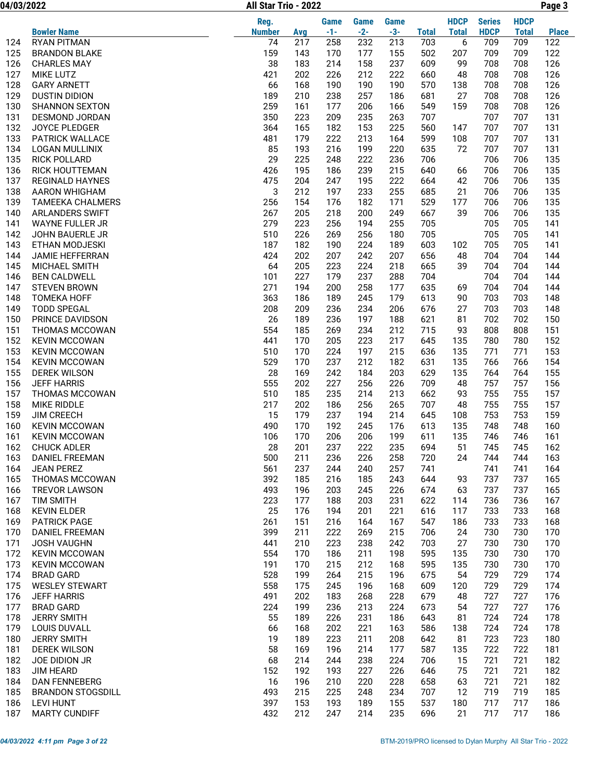| 04/03/2022 |                          | All Star Trio - 2022 |     |       |       |       |              |              |               |              | Page 3       |
|------------|--------------------------|----------------------|-----|-------|-------|-------|--------------|--------------|---------------|--------------|--------------|
|            |                          | Reg.                 |     | Game  | Game  | Game  |              | <b>HDCP</b>  | <b>Series</b> | <b>HDCP</b>  |              |
|            | <b>Bowler Name</b>       | <b>Number</b>        | Avg | $-1-$ | $-2-$ | $-3-$ | <b>Total</b> | <b>Total</b> | <b>HDCP</b>   | <b>Total</b> | <b>Place</b> |
| 124        | <b>RYAN PITMAN</b>       | 74                   | 217 | 258   | 232   | 213   | 703          | 6            | 709           | 709          | 122          |
| 125        | <b>BRANDON BLAKE</b>     | 159                  | 143 | 170   | 177   | 155   | 502          | 207          | 709           | 709          | 122          |
| 126        | <b>CHARLES MAY</b>       | 38                   | 183 | 214   | 158   | 237   | 609          | 99           | 708           | 708          | 126          |
| 127        | MIKE LUTZ                | 421                  | 202 | 226   | 212   | 222   | 660          | 48           | 708           | 708          | 126          |
| 128        | <b>GARY ARNETT</b>       | 66                   | 168 | 190   | 190   | 190   | 570          | 138          | 708           | 708          | 126          |
| 129        | <b>DUSTIN DIDION</b>     | 189                  | 210 | 238   | 257   | 186   | 681          | 27           | 708           | 708          | 126          |
| 130        | <b>SHANNON SEXTON</b>    | 259                  | 161 | 177   | 206   | 166   | 549          | 159          | 708           | 708          | 126          |
| 131        | <b>DESMOND JORDAN</b>    | 350                  | 223 | 209   | 235   | 263   | 707          |              | 707           | 707          | 131          |
| 132        | <b>JOYCE PLEDGER</b>     | 364                  | 165 | 182   | 153   | 225   | 560          | 147          | 707           | 707          | 131          |
| 133        | <b>PATRICK WALLACE</b>   | 481                  | 179 | 222   | 213   | 164   | 599          | 108          | 707           | 707          | 131          |
| 134        | <b>LOGAN MULLINIX</b>    | 85                   | 193 | 216   | 199   | 220   | 635          | 72           | 707           | 707          | 131          |
| 135        | <b>RICK POLLARD</b>      | 29                   | 225 | 248   | 222   | 236   | 706          |              | 706           | 706          | 135          |
| 136        | RICK HOUTTEMAN           | 426                  | 195 | 186   | 239   | 215   | 640          | 66           | 706           | 706          | 135          |
| 137        | <b>REGINALD HAYNES</b>   | 475                  | 204 | 247   | 195   | 222   | 664          | 42           | 706           | 706          | 135          |
| 138        | AARON WHIGHAM            | 3                    | 212 | 197   | 233   | 255   | 685          | 21           | 706           | 706          | 135          |
| 139        | <b>TAMEEKA CHALMERS</b>  | 256                  | 154 | 176   | 182   | 171   | 529          | 177          | 706           | 706          | 135          |
| 140        | <b>ARLANDERS SWIFT</b>   | 267                  | 205 | 218   | 200   | 249   | 667          | 39           | 706           | 706          | 135          |
| 141        | WAYNE FULLER JR          | 279                  | 223 | 256   | 194   | 255   | 705          |              | 705           | 705          | 141          |
| 142        | JOHN BAUERLE JR          | 510                  | 226 | 269   | 256   | 180   | 705          |              | 705           | 705          | 141          |
| 143        | ETHAN MODJESKI           | 187                  | 182 | 190   | 224   | 189   | 603          | 102          | 705           | 705          | 141          |
| 144        | JAMIE HEFFERRAN          | 424                  | 202 | 207   | 242   | 207   | 656          | 48           | 704           | 704          | 144          |
| 145        | MICHAEL SMITH            | 64                   | 205 | 223   | 224   | 218   | 665          | 39           | 704           | 704          | 144          |
| 146        | <b>BEN CALDWELL</b>      | 101                  | 227 | 179   | 237   | 288   | 704          |              | 704           | 704          | 144          |
| 147        | <b>STEVEN BROWN</b>      | 271                  | 194 | 200   | 258   | 177   | 635          | 69           | 704           | 704          | 144          |
| 148        | <b>TOMEKA HOFF</b>       | 363                  | 186 | 189   | 245   | 179   | 613          | 90           | 703           | 703          | 148          |
| 149        | <b>TODD SPEGAL</b>       | 208                  | 209 | 236   | 234   | 206   | 676          | 27           | 703           | 703          | 148          |
| 150        | PRINCE DAVIDSON          | 26                   | 189 | 236   | 197   | 188   | 621          | 81           | 702           | 702          | 150          |
| 151        | THOMAS MCCOWAN           | 554                  | 185 | 269   | 234   | 212   | 715          | 93           | 808           | 808          | 151          |
| 152        | <b>KEVIN MCCOWAN</b>     | 441                  | 170 | 205   | 223   | 217   | 645          | 135          | 780           | 780          | 152          |
| 153        | <b>KEVIN MCCOWAN</b>     | 510                  | 170 | 224   | 197   | 215   | 636          | 135          | 771           | 771          | 153          |
| 154        | <b>KEVIN MCCOWAN</b>     | 529                  | 170 | 237   | 212   | 182   | 631          | 135          | 766           | 766          | 154          |
| 155        | <b>DEREK WILSON</b>      | 28                   | 169 | 242   | 184   | 203   | 629          | 135          | 764           | 764          | 155          |
| 156        | <b>JEFF HARRIS</b>       | 555                  | 202 | 227   | 256   | 226   | 709          | 48           | 757           | 757          | 156          |
| 157        | THOMAS MCCOWAN           | 510                  | 185 | 235   | 214   | 213   | 662          | 93           | 755           | 755          | 157          |
| 158        | MIKE RIDDLE              | 217                  | 202 | 186   | 256   | 265   | 707          | 48           | 755           | 755          | 157          |
| 159        | <b>JIM CREECH</b>        | 15                   | 179 | 237   | 194   | 214   | 645          | 108          | 753           | 753          | 159          |
| 160        | <b>KEVIN MCCOWAN</b>     | 490                  | 170 | 192   | 245   | 176   | 613          | 135          | 748           | 748          | 160          |
| 161        | <b>KEVIN MCCOWAN</b>     | 106                  | 170 | 206   | 206   | 199   | 611          | 135          | 746           | 746          | 161          |
| 162        | <b>CHUCK ADLER</b>       | 28                   | 201 | 237   | 222   | 235   | 694          | 51           | 745           | 745          | 162          |
| 163        | <b>DANIEL FREEMAN</b>    | 500                  | 211 | 236   | 226   | 258   | 720          | 24           | 744           | 744          | 163          |
| 164        | <b>JEAN PEREZ</b>        | 561                  | 237 | 244   | 240   | 257   | 741          |              | 741           | 741          | 164          |
| 165        | THOMAS MCCOWAN           | 392                  | 185 | 216   | 185   | 243   | 644          | 93           | 737           | 737          | 165          |
| 166        | <b>TREVOR LAWSON</b>     | 493                  | 196 | 203   | 245   | 226   | 674          | 63           | 737           | 737          | 165          |
| 167        | <b>TIM SMITH</b>         | 223                  | 177 | 188   | 203   | 231   | 622          | 114          | 736           | 736          | 167          |
| 168        | <b>KEVIN ELDER</b>       | 25                   | 176 | 194   | 201   | 221   | 616          | 117          | 733           | 733          | 168          |
| 169        | <b>PATRICK PAGE</b>      | 261                  | 151 | 216   | 164   | 167   | 547          | 186          | 733           | 733          | 168          |
|            | <b>DANIEL FREEMAN</b>    | 399                  | 211 | 222   | 269   | 215   | 706          | 24           | 730           | 730          | 170          |
| 170<br>171 |                          | 441                  | 210 | 223   | 238   | 242   | 703          | 27           | 730           | 730          | 170          |
|            | <b>JOSH VAUGHN</b>       |                      |     |       |       |       |              |              |               |              |              |
| 172        | <b>KEVIN MCCOWAN</b>     | 554                  | 170 | 186   | 211   | 198   | 595          | 135          | 730           | 730          | 170          |
| 173        | <b>KEVIN MCCOWAN</b>     | 191                  | 170 | 215   | 212   | 168   | 595          | 135          | 730           | 730          | 170          |
| 174        | <b>BRAD GARD</b>         | 528                  | 199 | 264   | 215   | 196   | 675          | 54           | 729           | 729          | 174          |
| 175        | <b>WESLEY STEWART</b>    | 558                  | 175 | 245   | 196   | 168   | 609          | 120          | 729           | 729          | 174          |
| 176        | <b>JEFF HARRIS</b>       | 491                  | 202 | 183   | 268   | 228   | 679          | 48           | 727           | 727          | 176          |
| 177        | <b>BRAD GARD</b>         | 224                  | 199 | 236   | 213   | 224   | 673          | 54           | 727           | 727          | 176          |
| 178        | <b>JERRY SMITH</b>       | 55                   | 189 | 226   | 231   | 186   | 643          | 81           | 724           | 724          | 178          |
| 179        | LOUIS DUVALL             | 66                   | 168 | 202   | 221   | 163   | 586          | 138          | 724           | 724          | 178          |
| 180        | <b>JERRY SMITH</b>       | 19                   | 189 | 223   | 211   | 208   | 642          | 81           | 723           | 723          | 180          |
| 181        | <b>DEREK WILSON</b>      | 58                   | 169 | 196   | 214   | 177   | 587          | 135          | 722           | 722          | 181          |
| 182        | JOE DIDION JR            | 68                   | 214 | 244   | 238   | 224   | 706          | 15           | 721           | 721          | 182          |
| 183        | <b>JIM HEARD</b>         | 152                  | 192 | 193   | 227   | 226   | 646          | 75           | 721           | 721          | 182          |
| 184        | <b>DAN FENNEBERG</b>     | 16                   | 196 | 210   | 220   | 228   | 658          | 63           | 721           | 721          | 182          |
| 185        | <b>BRANDON STOGSDILL</b> | 493                  | 215 | 225   | 248   | 234   | 707          | 12           | 719           | 719          | 185          |
| 186        | <b>LEVI HUNT</b>         | 397                  | 153 | 193   | 189   | 155   | 537          | 180          | 717           | 717          | 186          |
| 187        | <b>MARTY CUNDIFF</b>     | 432                  | 212 | 247   | 214   | 235   | 696          | 21           | 717           | 717          | 186          |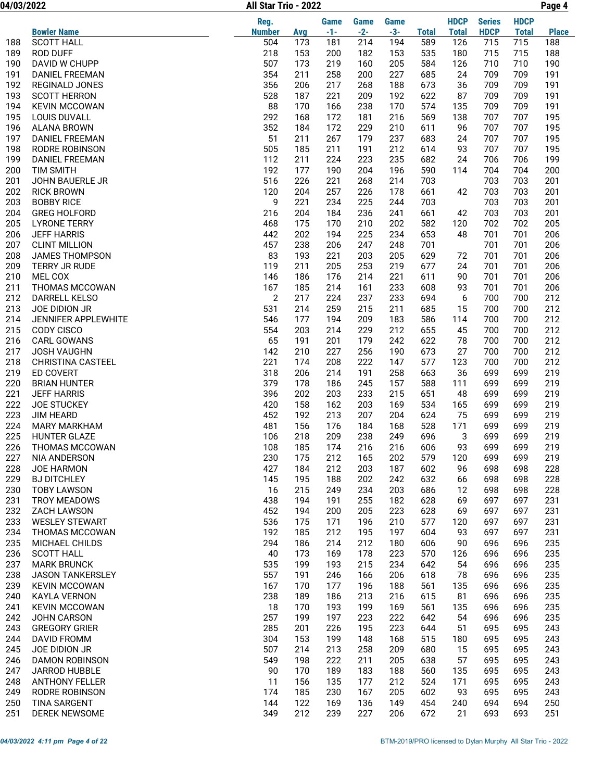04/03/2022 Page 4 All Star Trio - 2022

|            |                                             | Reg.           |            | <b>Game</b> | <b>Game</b> | <b>Game</b> |              | <b>HDCP</b>  | <b>Series</b> | <b>HDCP</b>  |              |
|------------|---------------------------------------------|----------------|------------|-------------|-------------|-------------|--------------|--------------|---------------|--------------|--------------|
|            | <b>Bowler Name</b>                          | <b>Number</b>  | Avg        | $-1-$       | $-2-$       | $-3-$       | <b>Total</b> | <b>Total</b> | <b>HDCP</b>   | <b>Total</b> | <b>Place</b> |
| 188        | <b>SCOTT HALL</b>                           | 504            | 173        | 181         | 214         | 194         | 589          | 126          | 715           | 715          | 188          |
| 189        | <b>ROD DUFF</b>                             | 218            | 153        | 200         | 182         | 153         | 535          | 180          | 715           | 715          | 188          |
| 190        | DAVID W CHUPP                               | 507            | 173        | 219         | 160         | 205         | 584          | 126          | 710           | 710          | 190          |
| 191        | <b>DANIEL FREEMAN</b>                       | 354            | 211        | 258         | 200         | 227         | 685          | 24           | 709           | 709          | 191          |
| 192        | <b>REGINALD JONES</b>                       | 356            | 206        | 217         | 268         | 188         | 673          | 36           | 709           | 709          | 191          |
| 193        | <b>SCOTT HERRON</b>                         | 528            | 187        | 221         | 209         | 192         | 622          | 87           | 709           | 709          | 191          |
| 194        | <b>KEVIN MCCOWAN</b>                        | 88             | 170        | 166         | 238         | 170         | 574          | 135          | 709           | 709          | 191          |
| 195        | <b>LOUIS DUVALL</b>                         | 292            | 168        | 172         | 181         | 216         | 569          | 138          | 707           | 707          | 195          |
| 196        | <b>ALANA BROWN</b><br><b>DANIEL FREEMAN</b> | 352<br>51      | 184        | 172         | 229         | 210         | 611          | 96           | 707<br>707    | 707          | 195          |
| 197<br>198 | RODRE ROBINSON                              | 505            | 211<br>185 | 267<br>211  | 179<br>191  | 237<br>212  | 683<br>614   | 24<br>93     | 707           | 707<br>707   | 195<br>195   |
| 199        | <b>DANIEL FREEMAN</b>                       | 112            | 211        | 224         | 223         | 235         | 682          | 24           | 706           | 706          | 199          |
| 200        | <b>TIM SMITH</b>                            | 192            | 177        | 190         | 204         | 196         | 590          | 114          | 704           | 704          | 200          |
| 201        | JOHN BAUERLE JR                             | 516            | 226        | 221         | 268         | 214         | 703          |              | 703           | 703          | 201          |
| 202        | <b>RICK BROWN</b>                           | 120            | 204        | 257         | 226         | 178         | 661          | 42           | 703           | 703          | 201          |
| 203        | <b>BOBBY RICE</b>                           | 9              | 221        | 234         | 225         | 244         | 703          |              | 703           | 703          | 201          |
| 204        | <b>GREG HOLFORD</b>                         | 216            | 204        | 184         | 236         | 241         | 661          | 42           | 703           | 703          | 201          |
| 205        | <b>LYRONE TERRY</b>                         | 468            | 175        | 170         | 210         | 202         | 582          | 120          | 702           | 702          | 205          |
| 206        | <b>JEFF HARRIS</b>                          | 442            | 202        | 194         | 225         | 234         | 653          | 48           | 701           | 701          | 206          |
| 207        | <b>CLINT MILLION</b>                        | 457            | 238        | 206         | 247         | 248         | 701          |              | 701           | 701          | 206          |
| 208        | <b>JAMES THOMPSON</b>                       | 83             | 193        | 221         | 203         | 205         | 629          | 72           | 701           | 701          | 206          |
| 209        | TERRY JR RUDE                               | 119            | 211        | 205         | 253         | 219         | 677          | 24           | 701           | 701          | 206          |
| 210        | MEL COX                                     | 146            | 186        | 176         | 214         | 221         | 611          | 90           | 701           | 701          | 206          |
| 211        | <b>THOMAS MCCOWAN</b>                       | 167            | 185        | 214         | 161         | 233         | 608          | 93           | 701           | 701          | 206          |
| 212        | DARRELL KELSO                               | $\overline{2}$ | 217        | 224         | 237         | 233         | 694          | 6            | 700           | 700          | 212          |
| 213        | JOE DIDION JR                               | 531            | 214        | 259         | 215         | 211         | 685          | 15           | 700           | 700          | 212          |
| 214        | JENNIFER APPLEWHITE                         | 546<br>554     | 177        | 194         | 209         | 183         | 586          | 114          | 700           | 700          | 212<br>212   |
| 215<br>216 | CODY CISCO<br><b>CARL GOWANS</b>            | 65             | 203<br>191 | 214<br>201  | 229<br>179  | 212<br>242  | 655<br>622   | 45<br>78     | 700<br>700    | 700<br>700   | 212          |
| 217        | <b>JOSH VAUGHN</b>                          | 142            | 210        | 227         | 256         | 190         | 673          | 27           | 700           | 700          | 212          |
| 218        | <b>CHRISTINA CASTEEL</b>                    | 221            | 174        | 208         | 222         | 147         | 577          | 123          | 700           | 700          | 212          |
| 219        | <b>ED COVERT</b>                            | 318            | 206        | 214         | 191         | 258         | 663          | 36           | 699           | 699          | 219          |
| 220        | <b>BRIAN HUNTER</b>                         | 379            | 178        | 186         | 245         | 157         | 588          | 111          | 699           | 699          | 219          |
| 221        | <b>JEFF HARRIS</b>                          | 396            | 202        | 203         | 233         | 215         | 651          | 48           | 699           | 699          | 219          |
| 222        | <b>JOE STUCKEY</b>                          | 420            | 158        | 162         | 203         | 169         | 534          | 165          | 699           | 699          | 219          |
| 223        | <b>JIM HEARD</b>                            | 452            | 192        | 213         | 207         | 204         | 624          | 75           | 699           | 699          | 219          |
| 224        | <b>MARY MARKHAM</b>                         | 481            | 156        | 176         | 184         | 168         | 528          | 171          | 699           | 699          | 219          |
| 225        | <b>HUNTER GLAZE</b>                         | 106            | 218        | 209         | 238         | 249         | 696          | 3            | 699           | 699          | 219          |
| 226        | THOMAS MCCOWAN                              | 108            | 185        | 174         | 216         | 216         | 606          | 93           | 699           | 699          | 219          |
| 227        | NIA ANDERSON                                | 230            | 175        | 212         | 165         | 202         | 579          | 120          | 699           | 699          | 219          |
| 228        | JOE HARMON                                  | 427            | 184        | 212         | 203         | 187         | 602          | 96           | 698           | 698          | 228          |
| 229        | <b>BJ DITCHLEY</b>                          | 145            | 195        | 188         | 202         | 242         | 632          | 66           | 698           | 698          | 228          |
| 230        | <b>TOBY LAWSON</b>                          | 16<br>438      | 215        | 249         | 234<br>255  | 203         | 686          | 12           | 698           | 698          | 228          |
| 231<br>232 | TROY MEADOWS<br><b>ZACH LAWSON</b>          | 452            | 194<br>194 | 191<br>200  | 205         | 182<br>223  | 628<br>628   | 69<br>69     | 697<br>697    | 697<br>697   | 231<br>231   |
| 233        | <b>WESLEY STEWART</b>                       | 536            | 175        | 171         | 196         | 210         | 577          | 120          | 697           | 697          | 231          |
| 234        | THOMAS MCCOWAN                              | 192            | 185        | 212         | 195         | 197         | 604          | 93           | 697           | 697          | 231          |
| 235        | MICHAEL CHILDS                              | 294            | 186        | 214         | 212         | 180         | 606          | 90           | 696           | 696          | 235          |
| 236        | <b>SCOTT HALL</b>                           | 40             | 173        | 169         | 178         | 223         | 570          | 126          | 696           | 696          | 235          |
| 237        | <b>MARK BRUNCK</b>                          | 535            | 199        | 193         | 215         | 234         | 642          | 54           | 696           | 696          | 235          |
| 238        | JASON TANKERSLEY                            | 557            | 191        | 246         | 166         | 206         | 618          | 78           | 696           | 696          | 235          |
| 239        | <b>KEVIN MCCOWAN</b>                        | 167            | 170        | 177         | 196         | 188         | 561          | 135          | 696           | 696          | 235          |
| 240        | <b>KAYLA VERNON</b>                         | 238            | 189        | 186         | 213         | 216         | 615          | 81           | 696           | 696          | 235          |
| 241        | <b>KEVIN MCCOWAN</b>                        | 18             | 170        | 193         | 199         | 169         | 561          | 135          | 696           | 696          | 235          |
| 242        | JOHN CARSON                                 | 257            | 199        | 197         | 223         | 222         | 642          | 54           | 696           | 696          | 235          |
| 243        | <b>GREGORY GRIER</b>                        | 285            | 201        | 226         | 195         | 223         | 644          | 51           | 695           | 695          | 243          |
| 244        | <b>DAVID FROMM</b>                          | 304            | 153        | 199         | 148         | 168         | 515          | 180          | 695           | 695          | 243          |
| 245        | JOE DIDION JR                               | 507            | 214        | 213         | 258         | 209         | 680          | 15           | 695           | 695          | 243          |
| 246        | <b>DAMON ROBINSON</b>                       | 549            | 198        | 222         | 211         | 205         | 638          | 57           | 695           | 695          | 243          |
| 247        | JARROD HUBBLE                               | 90             | 170        | 189         | 183         | 188         | 560          | 135          | 695           | 695          | 243          |
| 248        | <b>ANTHONY FELLER</b>                       | 11             | 156        | 135         | 177         | 212         | 524          | 171          | 695           | 695          | 243          |
| 249<br>250 | RODRE ROBINSON<br><b>TINA SARGENT</b>       | 174<br>144     | 185<br>122 | 230<br>169  | 167<br>136  | 205<br>149  | 602<br>454   | 93<br>240    | 695<br>694    | 695<br>694   | 243<br>250   |
| 251        | DEREK NEWSOME                               | 349            | 212        | 239         | 227         | 206         | 672          | 21           | 693           | 693          | 251          |
|            |                                             |                |            |             |             |             |              |              |               |              |              |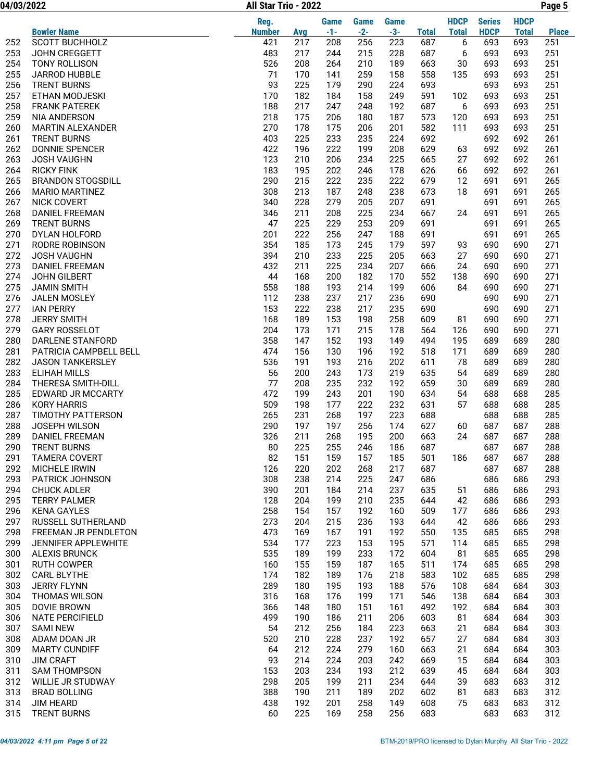04/03/2022 Page 5 All Star Trio - 2022

|     |                             | Reg.          |     | <b>Game</b> | Game  | <b>Game</b> |              | <b>HDCP</b>  | <b>Series</b> | <b>HDCP</b>  |              |
|-----|-----------------------------|---------------|-----|-------------|-------|-------------|--------------|--------------|---------------|--------------|--------------|
|     | <b>Bowler Name</b>          | <b>Number</b> | Avg | $-1-$       | $-2-$ | $-3-$       | <b>Total</b> | <b>Total</b> | <b>HDCP</b>   | <b>Total</b> | <b>Place</b> |
| 252 | <b>SCOTT BUCHHOLZ</b>       | 421           | 217 | 208         | 256   | 223         | 687          | 6            | 693           | 693          | 251          |
| 253 | JOHN CREGGETT               | 483           | 217 | 244         | 215   | 228         | 687          | 6            | 693           | 693          | 251          |
| 254 | <b>TONY ROLLISON</b>        | 526           | 208 | 264         | 210   | 189         | 663          | 30           | 693           | 693          | 251          |
| 255 | JARROD HUBBLE               | 71            | 170 | 141         | 259   | 158         | 558          | 135          | 693           | 693          | 251          |
| 256 | <b>TRENT BURNS</b>          | 93            | 225 | 179         | 290   | 224         | 693          |              | 693           | 693          | 251          |
| 257 | ETHAN MODJESKI              | 170           | 182 | 184         | 158   | 249         | 591          | 102          | 693           | 693          | 251          |
| 258 | <b>FRANK PATEREK</b>        | 188           | 217 | 247         | 248   | 192         | 687          | 6            | 693           | 693          | 251          |
| 259 | NIA ANDERSON                | 218           | 175 | 206         | 180   | 187         | 573          | 120          | 693           | 693          | 251          |
| 260 | MARTIN ALEXANDER            | 270           | 178 | 175         | 206   | 201         | 582          | 111          | 693           | 693          | 251          |
| 261 | <b>TRENT BURNS</b>          | 403           | 225 | 233         | 235   | 224         | 692          |              | 692           | 692          | 261          |
| 262 | DONNIE SPENCER              | 422           | 196 | 222         | 199   | 208         | 629          | 63           | 692           | 692          | 261          |
| 263 | <b>JOSH VAUGHN</b>          | 123           | 210 | 206         | 234   | 225         | 665          | 27           | 692           | 692          | 261          |
| 264 | <b>RICKY FINK</b>           | 183           | 195 | 202         | 246   | 178         | 626          | 66           | 692           | 692          | 261          |
| 265 | <b>BRANDON STOGSDILL</b>    | 290           | 215 | 222         | 235   | 222         | 679          | 12           | 691           | 691          | 265          |
| 266 | <b>MARIO MARTINEZ</b>       | 308           | 213 | 187         | 248   | 238         | 673          | 18           | 691           | 691          | 265          |
| 267 | <b>NICK COVERT</b>          | 340           | 228 | 279         | 205   | 207         | 691          |              | 691           | 691          | 265          |
| 268 | <b>DANIEL FREEMAN</b>       | 346           | 211 | 208         | 225   | 234         | 667          | 24           | 691           | 691          | 265          |
| 269 | <b>TRENT BURNS</b>          | 47            | 225 | 229         | 253   | 209         | 691          |              | 691           | 691          | 265          |
| 270 | DYLAN HOLFORD               | 201           | 222 | 256         | 247   | 188         | 691          |              | 691           | 691          | 265          |
| 271 | <b>RODRE ROBINSON</b>       | 354           | 185 | 173         | 245   | 179         | 597          | 93           | 690           | 690          | 271          |
| 272 | <b>JOSH VAUGHN</b>          | 394           | 210 | 233         | 225   | 205         | 663          | 27           | 690           | 690          | 271          |
| 273 | <b>DANIEL FREEMAN</b>       | 432           | 211 | 225         | 234   | 207         | 666          | 24           | 690           | 690          | 271          |
| 274 | JOHN GILBERT                | 44            | 168 | 200         | 182   | 170         | 552          | 138          | 690           | 690          | 271          |
| 275 | <b>JAMIN SMITH</b>          | 558           | 188 | 193         | 214   | 199         | 606          | 84           | 690           | 690          | 271          |
|     |                             |               | 238 | 237         |       |             |              |              |               |              |              |
| 276 | <b>JALEN MOSLEY</b>         | 112           |     |             | 217   | 236         | 690          |              | 690           | 690          | 271          |
| 277 | <b>IAN PERRY</b>            | 153           | 222 | 238         | 217   | 235         | 690          |              | 690           | 690          | 271          |
| 278 | <b>JERRY SMITH</b>          | 168           | 189 | 153         | 198   | 258         | 609          | 81           | 690           | 690          | 271          |
| 279 | <b>GARY ROSSELOT</b>        | 204           | 173 | 171         | 215   | 178         | 564          | 126          | 690           | 690          | 271          |
| 280 | <b>DARLENE STANFORD</b>     | 358           | 147 | 152         | 193   | 149         | 494          | 195          | 689           | 689          | 280          |
| 281 | PATRICIA CAMPBELL BELL      | 474           | 156 | 130         | 196   | 192         | 518          | 171          | 689           | 689          | 280          |
| 282 | <b>JASON TANKERSLEY</b>     | 536           | 191 | 193         | 216   | 202         | 611          | 78           | 689           | 689          | 280          |
| 283 | <b>ELIHAH MILLS</b>         | 56            | 200 | 243         | 173   | 219         | 635          | 54           | 689           | 689          | 280          |
| 284 | THERESA SMITH-DILL          | 77            | 208 | 235         | 232   | 192         | 659          | 30           | 689           | 689          | 280          |
| 285 | EDWARD JR MCCARTY           | 472           | 199 | 243         | 201   | 190         | 634          | 54           | 688           | 688          | 285          |
| 286 | <b>KORY HARRIS</b>          | 509           | 198 | 177         | 222   | 232         | 631          | 57           | 688           | 688          | 285          |
| 287 | TIMOTHY PATTERSON           | 265           | 231 | 268         | 197   | 223         | 688          |              | 688           | 688          | 285          |
| 288 | JOSEPH WILSON               | 290           | 197 | 197         | 256   | 174         | 627          | 60           | 687           | 687          | 288          |
| 289 | <b>DANIEL FREEMAN</b>       | 326           | 211 | 268         | 195   | 200         | 663          | 24           | 687           | 687          | 288          |
| 290 | <b>TRENT BURNS</b>          | 80            | 225 | 255         | 246   | 186         | 687          |              | 687           | 687          | 288          |
| 291 | <b>TAMERA COVERT</b>        | 82            | 151 | 159         | 157   | 185         | 501          | 186          | 687           | 687          | 288          |
| 292 | MICHELE IRWIN               | 126           | 220 | 202         | 268   | 217         | 687          |              | 687           | 687          | 288          |
| 293 | PATRICK JOHNSON             | 308           | 238 | 214         | 225   | 247         | 686          |              | 686           | 686          | 293          |
| 294 | <b>CHUCK ADLER</b>          | 390           | 201 | 184         | 214   | 237         | 635          | 51           | 686           | 686          | 293          |
| 295 | <b>TERRY PALMER</b>         | 128           | 204 | 199         | 210   | 235         | 644          | 42           | 686           | 686          | 293          |
| 296 | <b>KENA GAYLES</b>          | 258           | 154 | 157         | 192   | 160         | 509          | 177          | 686           | 686          | 293          |
| 297 | RUSSELL SUTHERLAND          | 273           | 204 | 215         | 236   | 193         | 644          | 42           | 686           | 686          | 293          |
| 298 | <b>FREEMAN JR PENDLETON</b> | 473           | 169 | 167         | 191   | 192         | 550          | 135          | 685           | 685          | 298          |
| 299 | JENNIFER APPLEWHITE         | 534           | 177 | 223         | 153   | 195         | 571          | 114          | 685           | 685          | 298          |
| 300 | <b>ALEXIS BRUNCK</b>        | 535           | 189 | 199         | 233   | 172         | 604          | 81           | 685           | 685          | 298          |
| 301 | <b>RUTH COWPER</b>          | 160           | 155 | 159         | 187   | 165         | 511          | 174          | 685           | 685          | 298          |
| 302 | <b>CARL BLYTHE</b>          | 174           | 182 | 189         | 176   | 218         | 583          | 102          | 685           | 685          | 298          |
| 303 | JERRY FLYNN                 | 289           | 180 | 195         | 193   | 188         | 576          | 108          | 684           | 684          | 303          |
| 304 | THOMAS WILSON               | 316           | 168 | 176         | 199   | 171         | 546          | 138          | 684           | 684          | 303          |
| 305 | DOVIE BROWN                 | 366           | 148 | 180         | 151   | 161         | 492          | 192          | 684           | 684          | 303          |
| 306 | <b>NATE PERCIFIELD</b>      | 499           | 190 | 186         | 211   | 206         | 603          | 81           | 684           | 684          | 303          |
| 307 | <b>SAMI NEW</b>             | 54            | 212 | 256         | 184   | 223         | 663          | 21           | 684           | 684          | 303          |
| 308 | ADAM DOAN JR                | 520           | 210 | 228         | 237   | 192         | 657          | 27           | 684           | 684          | 303          |
| 309 | <b>MARTY CUNDIFF</b>        | 64            | 212 | 224         | 279   | 160         | 663          | 21           | 684           | 684          | 303          |
| 310 | <b>JIM CRAFT</b>            | 93            | 214 | 224         | 203   | 242         | 669          | 15           | 684           | 684          | 303          |
| 311 | <b>SAM THOMPSON</b>         | 153           | 203 | 234         | 193   | 212         | 639          | 45           | 684           | 684          | 303          |
| 312 | <b>WILLIE JR STUDWAY</b>    | 298           | 205 | 199         | 211   | 234         | 644          | 39           | 683           | 683          | 312          |
| 313 | <b>BRAD BOLLING</b>         | 388           | 190 | 211         | 189   | 202         | 602          | 81           | 683           | 683          | 312          |
| 314 | <b>JIM HEARD</b>            | 438           | 192 | 201         | 258   | 149         | 608          | 75           | 683           | 683          | 312          |
| 315 | <b>TRENT BURNS</b>          | 60            | 225 | 169         | 258   | 256         | 683          |              | 683           | 683          | 312          |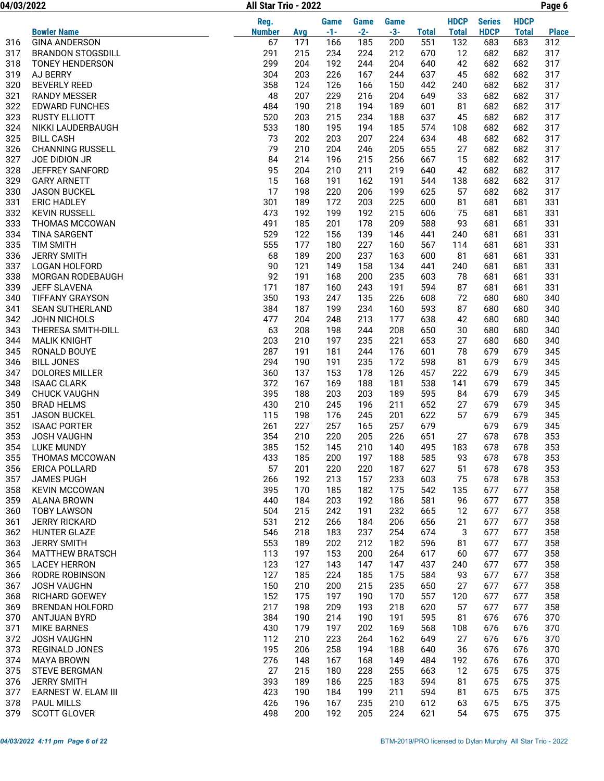04/03/2022 Page 6 All Star Trio - 2022

|            |                                            | Reg.          |            | Game       | <b>Game</b> | <b>Game</b> |              | <b>HDCP</b>  | <b>Series</b> | <b>HDCP</b>  |              |
|------------|--------------------------------------------|---------------|------------|------------|-------------|-------------|--------------|--------------|---------------|--------------|--------------|
|            | <b>Bowler Name</b>                         | <b>Number</b> | Avg        | $-1-$      | $-2-$       | $-3-$       | <b>Total</b> | <b>Total</b> | <b>HDCP</b>   | <b>Total</b> | <b>Place</b> |
| 316        | <b>GINA ANDERSON</b>                       | 67            | 171        | 166        | 185         | 200         | 551          | 132          | 683           | 683          | 312          |
| 317        | <b>BRANDON STOGSDILL</b>                   | 291           | 215        | 234        | 224         | 212         | 670          | 12           | 682           | 682          | 317          |
| 318        | <b>TONEY HENDERSON</b>                     | 299           | 204        | 192        | 244         | 204         | 640          | 42           | 682           | 682          | 317          |
| 319        | AJ BERRY                                   | 304           | 203        | 226        | 167         | 244         | 637          | 45           | 682           | 682          | 317          |
| 320        | <b>BEVERLY REED</b>                        | 358           | 124        | 126        | 166         | 150         | 442          | 240          | 682           | 682          | 317          |
| 321        | <b>RANDY MESSER</b>                        | 48            | 207        | 229        | 216         | 204         | 649          | 33           | 682           | 682          | 317          |
| 322        | <b>EDWARD FUNCHES</b>                      | 484           | 190        | 218        | 194         | 189         | 601          | 81           | 682           | 682          | 317          |
| 323        | <b>RUSTY ELLIOTT</b>                       | 520           | 203        | 215        | 234         | 188<br>185  | 637          | 45           | 682           | 682          | 317<br>317   |
| 324<br>325 | NIKKI LAUDERBAUGH<br><b>BILL CASH</b>      | 533<br>73     | 180<br>202 | 195<br>203 | 194<br>207  | 224         | 574<br>634   | 108<br>48    | 682<br>682    | 682<br>682   | 317          |
| 326        | <b>CHANNING RUSSELL</b>                    | 79            | 210        | 204        | 246         | 205         | 655          | 27           | 682           | 682          | 317          |
| 327        | JOE DIDION JR                              | 84            | 214        | 196        | 215         | 256         | 667          | 15           | 682           | 682          | 317          |
| 328        | <b>JEFFREY SANFORD</b>                     | 95            | 204        | 210        | 211         | 219         | 640          | 42           | 682           | 682          | 317          |
| 329        | <b>GARY ARNETT</b>                         | 15            | 168        | 191        | 162         | 191         | 544          | 138          | 682           | 682          | 317          |
| 330        | <b>JASON BUCKEL</b>                        | 17            | 198        | 220        | 206         | 199         | 625          | 57           | 682           | 682          | 317          |
| 331        | <b>ERIC HADLEY</b>                         | 301           | 189        | 172        | 203         | 225         | 600          | 81           | 681           | 681          | 331          |
| 332        | <b>KEVIN RUSSELL</b>                       | 473           | 192        | 199        | 192         | 215         | 606          | 75           | 681           | 681          | 331          |
| 333        | THOMAS MCCOWAN                             | 491           | 185        | 201        | 178         | 209         | 588          | 93           | 681           | 681          | 331          |
| 334        | <b>TINA SARGENT</b>                        | 529           | 122        | 156        | 139         | 146         | 441          | 240          | 681           | 681          | 331          |
| 335        | <b>TIM SMITH</b>                           | 555           | 177        | 180        | 227         | 160         | 567          | 114          | 681           | 681          | 331          |
| 336        | <b>JERRY SMITH</b>                         | 68            | 189        | 200        | 237         | 163         | 600          | 81           | 681           | 681          | 331          |
| 337        | <b>LOGAN HOLFORD</b>                       | 90            | 121        | 149        | 158         | 134         | 441          | 240          | 681           | 681          | 331          |
| 338        | MORGAN RODEBAUGH                           | 92            | 191        | 168        | 200         | 235         | 603          | 78           | 681           | 681          | 331          |
| 339        | <b>JEFF SLAVENA</b>                        | 171           | 187        | 160        | 243         | 191         | 594          | 87           | 681           | 681          | 331          |
| 340        | <b>TIFFANY GRAYSON</b>                     | 350           | 193        | 247        | 135         | 226         | 608          | 72           | 680           | 680          | 340          |
| 341        | <b>SEAN SUTHERLAND</b>                     | 384           | 187        | 199        | 234         | 160         | 593          | 87           | 680           | 680          | 340          |
| 342<br>343 | JOHN NICHOLS<br>THERESA SMITH-DILL         | 477<br>63     | 204<br>208 | 248<br>198 | 213<br>244  | 177<br>208  | 638<br>650   | 42<br>30     | 680<br>680    | 680<br>680   | 340<br>340   |
| 344        | <b>MALIK KNIGHT</b>                        | 203           | 210        | 197        | 235         | 221         | 653          | 27           | 680           | 680          | 340          |
| 345        | RONALD BOUYE                               | 287           | 191        | 181        | 244         | 176         | 601          | 78           | 679           | 679          | 345          |
| 346        | <b>BILL JONES</b>                          | 294           | 190        | 191        | 235         | 172         | 598          | 81           | 679           | 679          | 345          |
| 347        | <b>DOLORES MILLER</b>                      | 360           | 137        | 153        | 178         | 126         | 457          | 222          | 679           | 679          | 345          |
| 348        | <b>ISAAC CLARK</b>                         | 372           | 167        | 169        | 188         | 181         | 538          | 141          | 679           | 679          | 345          |
| 349        | <b>CHUCK VAUGHN</b>                        | 395           | 188        | 203        | 203         | 189         | 595          | 84           | 679           | 679          | 345          |
| 350        | <b>BRAD HELMS</b>                          | 430           | 210        | 245        | 196         | 211         | 652          | 27           | 679           | 679          | 345          |
| 351        | <b>JASON BUCKEL</b>                        | 115           | 198        | 176        | 245         | 201         | 622          | 57           | 679           | 679          | 345          |
| 352        | <b>ISAAC PORTER</b>                        | 261           | 227        | 257        | 165         | 257         | 679          |              | 679           | 679          | 345          |
| 353        | <b>JOSH VAUGHN</b>                         | 354           | 210        | 220        | 205         | 226         | 651          | 27           | 678           | 678          | 353          |
| 354        | <b>LUKE MUNDY</b>                          | 385           | 152        | 145        | 210         | 140         | 495          | 183          | 678           | 678          | 353          |
| 355        | THOMAS MCCOWAN                             | 433           | 185        | 200        | 197         | 188         | 585          | 93           | 678           | 678          | 353          |
| 356        | ERICA POLLARD                              | 57            | 201        | 220        | 220         | 187         | 627          | 51           | 678           | 678          | 353          |
| 357        | <b>JAMES PUGH</b>                          | 266           | 192        | 213        | 157         | 233         | 603          | 75           | 678           | 678          | 353          |
| 358<br>359 | <b>KEVIN MCCOWAN</b><br><b>ALANA BROWN</b> | 395<br>440    | 170<br>184 | 185<br>203 | 182<br>192  | 175<br>186  | 542<br>581   | 135<br>96    | 677<br>677    | 677<br>677   | 358<br>358   |
| 360        | <b>TOBY LAWSON</b>                         | 504           | 215        | 242        | 191         | 232         | 665          | 12           | 677           | 677          | 358          |
| 361        | <b>JERRY RICKARD</b>                       | 531           | 212        | 266        | 184         | 206         | 656          | 21           | 677           | 677          | 358          |
| 362        | HUNTER GLAZE                               | 546           | 218        | 183        | 237         | 254         | 674          | 3            | 677           | 677          | 358          |
| 363        | <b>JERRY SMITH</b>                         | 553           | 189        | 202        | 212         | 182         | 596          | 81           | 677           | 677          | 358          |
| 364        | <b>MATTHEW BRATSCH</b>                     | 113           | 197        | 153        | 200         | 264         | 617          | 60           | 677           | 677          | 358          |
| 365        | <b>LACEY HERRON</b>                        | 123           | 127        | 143        | 147         | 147         | 437          | 240          | 677           | 677          | 358          |
| 366        | RODRE ROBINSON                             | 127           | 185        | 224        | 185         | 175         | 584          | 93           | 677           | 677          | 358          |
| 367        | <b>JOSH VAUGHN</b>                         | 150           | 210        | 200        | 215         | 235         | 650          | 27           | 677           | 677          | 358          |
| 368        | <b>RICHARD GOEWEY</b>                      | 152           | 175        | 197        | 190         | 170         | 557          | 120          | 677           | 677          | 358          |
| 369        | <b>BRENDAN HOLFORD</b>                     | 217           | 198        | 209        | 193         | 218         | 620          | 57           | 677           | 677          | 358          |
| 370        | ANTJUAN BYRD                               | 384           | 190        | 214        | 190         | 191         | 595          | 81           | 676           | 676          | 370          |
| 371        | <b>MIKE BARNES</b>                         | 430           | 179        | 197        | 202         | 169         | 568          | 108          | 676           | 676          | 370          |
| 372        | <b>JOSH VAUGHN</b>                         | 112           | 210        | 223        | 264         | 162         | 649          | 27           | 676           | 676          | 370          |
| 373        | REGINALD JONES                             | 195           | 206        | 258        | 194         | 188         | 640          | 36           | 676           | 676          | 370          |
| 374        | <b>MAYA BROWN</b>                          | 276           | 148        | 167        | 168         | 149         | 484          | 192          | 676           | 676          | 370          |
| 375        | <b>STEVE BERGMAN</b>                       | 27            | 215        | 180        | 228         | 255         | 663          | 12           | 675           | 675          | 375          |
| 376<br>377 | <b>JERRY SMITH</b><br>EARNEST W. ELAM III  | 393<br>423    | 189<br>190 | 186<br>184 | 225<br>199  | 183<br>211  | 594<br>594   | 81<br>81     | 675<br>675    | 675<br>675   | 375<br>375   |
| 378        | PAUL MILLS                                 | 426           | 196        | 167        | 235         | 210         | 612          | 63           | 675           | 675          | 375          |
| 379        | <b>SCOTT GLOVER</b>                        | 498           | 200        | 192        | 205         | 224         | 621          | 54           | 675           | 675          | 375          |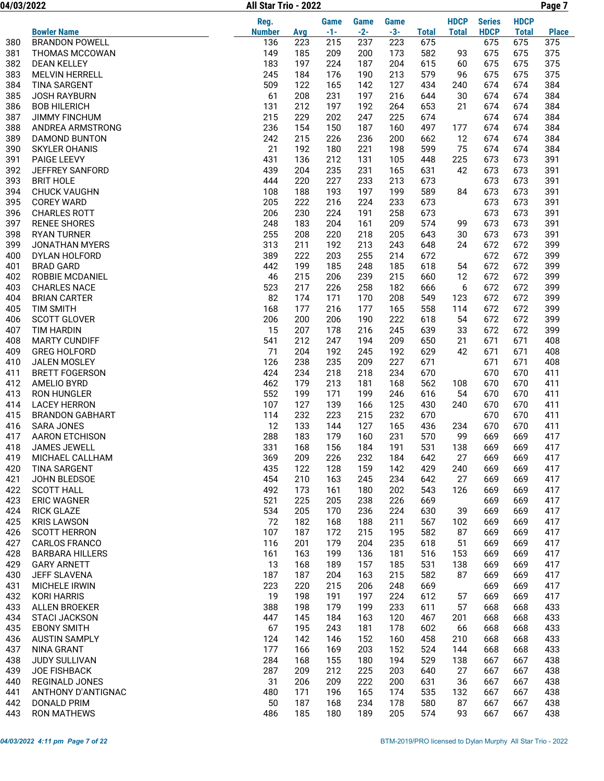04/03/2022 Page 7 All Star Trio - 2022

|            |                                             | Reg.          |            | Game       | Game       | Game       |              | <b>HDCP</b>  | <b>Series</b> | <b>HDCP</b>  |              |
|------------|---------------------------------------------|---------------|------------|------------|------------|------------|--------------|--------------|---------------|--------------|--------------|
|            | <b>Bowler Name</b>                          | <b>Number</b> | Avg        | $-1-$      | $-2-$      | $-3-$      | <b>Total</b> | <b>Total</b> | <b>HDCP</b>   | <b>Total</b> | <b>Place</b> |
| 380        | <b>BRANDON POWELL</b>                       | 136           | 223        | 215        | 237        | 223        | 675          |              | 675           | 675          | 375          |
| 381        | THOMAS MCCOWAN                              | 149           | 185        | 209        | 200        | 173        | 582          | 93           | 675           | 675          | 375          |
| 382        | <b>DEAN KELLEY</b>                          | 183           | 197        | 224        | 187        | 204        | 615          | 60           | 675           | 675          | 375          |
| 383        | <b>MELVIN HERRELL</b>                       | 245           | 184        | 176        | 190        | 213        | 579          | 96           | 675           | 675          | 375          |
| 384        | <b>TINA SARGENT</b>                         | 509           | 122        | 165        | 142        | 127        | 434          | 240          | 674           | 674          | 384          |
| 385        | <b>JOSH RAYBURN</b>                         | 61<br>131     | 208<br>212 | 231        | 197        | 216<br>264 | 644          | 30           | 674<br>674    | 674<br>674   | 384          |
| 386<br>387 | <b>BOB HILERICH</b><br><b>JIMMY FINCHUM</b> | 215           | 229        | 197<br>202 | 192<br>247 | 225        | 653<br>674   | 21           | 674           | 674          | 384<br>384   |
| 388        | ANDREA ARMSTRONG                            | 236           | 154        | 150        | 187        | 160        | 497          | 177          | 674           | 674          | 384          |
| 389        | <b>DAMOND BUNTON</b>                        | 242           | 215        | 226        | 236        | 200        | 662          | 12           | 674           | 674          | 384          |
| 390        | <b>SKYLER OHANIS</b>                        | 21            | 192        | 180        | 221        | 198        | 599          | 75           | 674           | 674          | 384          |
| 391        | PAIGE LEEVY                                 | 431           | 136        | 212        | 131        | 105        | 448          | 225          | 673           | 673          | 391          |
| 392        | <b>JEFFREY SANFORD</b>                      | 439           | 204        | 235        | 231        | 165        | 631          | 42           | 673           | 673          | 391          |
| 393        | <b>BRIT HOLE</b>                            | 444           | 220        | 227        | 233        | 213        | 673          |              | 673           | 673          | 391          |
| 394        | <b>CHUCK VAUGHN</b>                         | 108           | 188        | 193        | 197        | 199        | 589          | 84           | 673           | 673          | 391          |
| 395        | <b>COREY WARD</b>                           | 205           | 222        | 216        | 224        | 233        | 673          |              | 673           | 673          | 391          |
| 396        | <b>CHARLES ROTT</b>                         | 206           | 230        | 224        | 191        | 258        | 673          |              | 673           | 673          | 391          |
| 397        | <b>RENEE SHORES</b>                         | 248           | 183        | 204        | 161        | 209        | 574          | 99           | 673           | 673          | 391          |
| 398        | <b>RYAN TURNER</b>                          | 255           | 208        | 220        | 218        | 205        | 643          | 30           | 673           | 673          | 391          |
| 399        | <b>JONATHAN MYERS</b>                       | 313           | 211        | 192        | 213        | 243        | 648          | 24           | 672           | 672          | 399          |
| 400        | DYLAN HOLFORD                               | 389           | 222        | 203        | 255        | 214        | 672          |              | 672           | 672          | 399          |
| 401        | <b>BRAD GARD</b>                            | 442           | 199        | 185        | 248        | 185        | 618          | 54           | 672           | 672          | 399          |
| 402        | <b>ROBBIE MCDANIEL</b>                      | 46            | 215        | 206        | 239        | 215        | 660          | 12           | 672           | 672          | 399          |
| 403        | <b>CHARLES NACE</b>                         | 523           | 217        | 226        | 258        | 182        | 666          | 6            | 672           | 672          | 399          |
| 404        | <b>BRIAN CARTER</b>                         | 82            | 174        | 171        | 170        | 208        | 549          | 123          | 672           | 672          | 399          |
| 405        | <b>TIM SMITH</b>                            | 168           | 177        | 216        | 177        | 165        | 558          | 114          | 672           | 672          | 399          |
| 406<br>407 | <b>SCOTT GLOVER</b><br><b>TIM HARDIN</b>    | 206<br>15     | 200<br>207 | 206<br>178 | 190<br>216 | 222<br>245 | 618<br>639   | 54<br>33     | 672<br>672    | 672<br>672   | 399<br>399   |
| 408        | <b>MARTY CUNDIFF</b>                        | 541           | 212        | 247        | 194        | 209        | 650          | 21           | 671           | 671          | 408          |
| 409        | <b>GREG HOLFORD</b>                         | 71            | 204        | 192        | 245        | 192        | 629          | 42           | 671           | 671          | 408          |
| 410        | <b>JALEN MOSLEY</b>                         | 126           | 238        | 235        | 209        | 227        | 671          |              | 671           | 671          | 408          |
| 411        | <b>BRETT FOGERSON</b>                       | 424           | 234        | 218        | 218        | 234        | 670          |              | 670           | 670          | 411          |
| 412        | AMELIO BYRD                                 | 462           | 179        | 213        | 181        | 168        | 562          | 108          | 670           | 670          | 411          |
| 413        | <b>RON HUNGLER</b>                          | 552           | 199        | 171        | 199        | 246        | 616          | 54           | 670           | 670          | 411          |
| 414        | <b>LACEY HERRON</b>                         | 107           | 127        | 139        | 166        | 125        | 430          | 240          | 670           | 670          | 411          |
| 415        | <b>BRANDON GABHART</b>                      | 114           | 232        | 223        | 215        | 232        | 670          |              | 670           | 670          | 411          |
| 416        | <b>SARA JONES</b>                           | 12            | 133        | 144        | 127        | 165        | 436          | 234          | 670           | 670          | 411          |
| 417        | <b>AARON ETCHISON</b>                       | 288           | 183        | 179        | 160        | 231        | 570          | 99           | 669           | 669          | 417          |
| 418        | <b>JAMES JEWELL</b>                         | 331           | 168        | 156        | 184        | 191        | 531          | 138          | 669           | 669          | 417          |
| 419        | MICHAEL CALLHAM                             | 369           | 209        | 226        | 232        | 184        | 642          | 27           | 669           | 669          | 417          |
| 420        | <b>TINA SARGENT</b>                         | 435           | 122        | 128        | 159        | 142        | 429          | 240          | 669           | 669          | 417          |
| 421        | JOHN BLEDSOE                                | 454           | 210        | 163        | 245        | 234        | 642          | 27           | 669           | 669          | 417          |
| 422        | <b>SCOTT HALL</b>                           | 492           | 173        | 161        | 180        | 202        | 543          | 126          | 669           | 669          | 417          |
| 423<br>424 | <b>ERIC WAGNER</b>                          | 521<br>534    | 225<br>205 | 205<br>170 | 238        | 226<br>224 | 669<br>630   | 39           | 669<br>669    | 669<br>669   | 417<br>417   |
| 425        | <b>RICK GLAZE</b><br><b>KRIS LAWSON</b>     | 72            | 182        | 168        | 236<br>188 | 211        | 567          | 102          | 669           | 669          | 417          |
| 426        | <b>SCOTT HERRON</b>                         | 107           | 187        | 172        | 215        | 195        | 582          | 87           | 669           | 669          | 417          |
| 427        | <b>CARLOS FRANCO</b>                        | 116           | 201        | 179        | 204        | 235        | 618          | 51           | 669           | 669          | 417          |
| 428        | <b>BARBARA HILLERS</b>                      | 161           | 163        | 199        | 136        | 181        | 516          | 153          | 669           | 669          | 417          |
| 429        | <b>GARY ARNETT</b>                          | 13            | 168        | 189        | 157        | 185        | 531          | 138          | 669           | 669          | 417          |
| 430        | <b>JEFF SLAVENA</b>                         | 187           | 187        | 204        | 163        | 215        | 582          | 87           | 669           | 669          | 417          |
| 431        | MICHELE IRWIN                               | 223           | 220        | 215        | 206        | 248        | 669          |              | 669           | 669          | 417          |
| 432        | <b>KORI HARRIS</b>                          | 19            | 198        | 191        | 197        | 224        | 612          | 57           | 669           | 669          | 417          |
| 433        | <b>ALLEN BROEKER</b>                        | 388           | 198        | 179        | 199        | 233        | 611          | 57           | 668           | 668          | 433          |
| 434        | <b>STACI JACKSON</b>                        | 447           | 145        | 184        | 163        | 120        | 467          | 201          | 668           | 668          | 433          |
| 435        | <b>EBONY SMITH</b>                          | 67            | 195        | 243        | 181        | 178        | 602          | 66           | 668           | 668          | 433          |
| 436        | <b>AUSTIN SAMPLY</b>                        | 124           | 142        | 146        | 152        | 160        | 458          | 210          | 668           | 668          | 433          |
| 437        | <b>NINA GRANT</b>                           | 177           | 166        | 169        | 203        | 152        | 524          | 144          | 668           | 668          | 433          |
| 438        | JUDY SULLIVAN                               | 284           | 168        | 155        | 180        | 194        | 529          | 138          | 667           | 667          | 438          |
| 439        | <b>JOE FISHBACK</b>                         | 287           | 209        | 212        | 225        | 203        | 640          | 27           | 667           | 667          | 438          |
| 440        | REGINALD JONES                              | 31            | 206        | 209        | 222        | 200        | 631          | 36           | 667           | 667          | 438          |
| 441        | ANTHONY D'ANTIGNAC                          | 480           | 171        | 196        | 165        | 174        | 535          | 132          | 667           | 667          | 438          |
| 442        | <b>DONALD PRIM</b>                          | 50            | 187        | 168        | 234        | 178        | 580          | 87           | 667           | 667          | 438          |
| 443        | <b>RON MATHEWS</b>                          | 486           | 185        | 180        | 189        | 205        | 574          | 93           | 667           | 667          | 438          |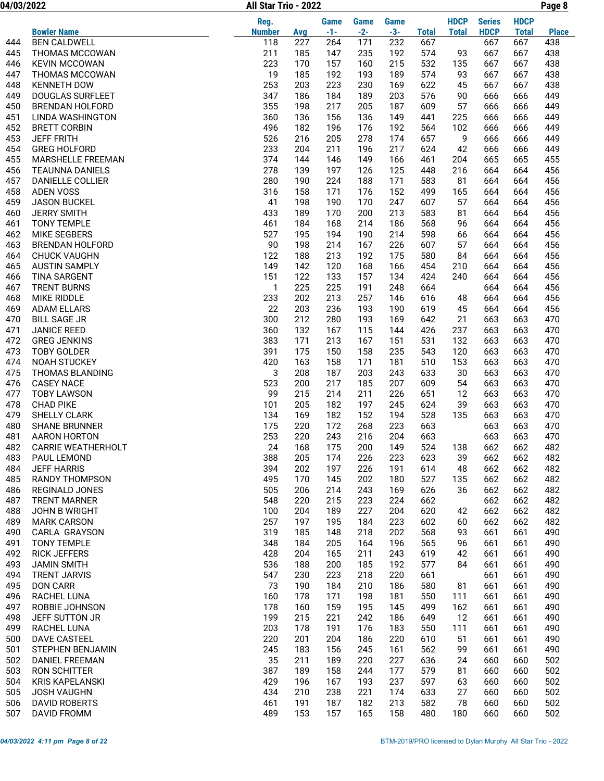04/03/2022 Page 8 All Star Trio - 2022

|            |                                             | Reg.          |            | <b>Game</b> | <b>Game</b> | Game       |              | <b>HDCP</b>  | <b>Series</b> | <b>HDCP</b>  |              |
|------------|---------------------------------------------|---------------|------------|-------------|-------------|------------|--------------|--------------|---------------|--------------|--------------|
|            | <b>Bowler Name</b>                          | <b>Number</b> | Avg        | $-1-$       | $-2-$       | $-3-$      | <b>Total</b> | <b>Total</b> | <b>HDCP</b>   | <b>Total</b> | <b>Place</b> |
| 444        | <b>BEN CALDWELL</b>                         | 118           | 227        | 264         | 171         | 232        | 667          |              | 667           | 667          | 438          |
| 445        | THOMAS MCCOWAN                              | 211           | 185        | 147         | 235         | 192        | 574          | 93           | 667           | 667          | 438          |
| 446        | <b>KEVIN MCCOWAN</b>                        | 223           | 170        | 157         | 160         | 215        | 532          | 135          | 667           | 667          | 438          |
| 447        | <b>THOMAS MCCOWAN</b>                       | 19            | 185        | 192         | 193         | 189        | 574          | 93           | 667           | 667          | 438          |
| 448        | <b>KENNETH DOW</b>                          | 253           | 203        | 223         | 230         | 169        | 622          | 45           | 667           | 667          | 438          |
| 449        | <b>DOUGLAS SURFLEET</b>                     | 347           | 186        | 184         | 189         | 203        | 576          | 90           | 666           | 666          | 449          |
| 450<br>451 | <b>BRENDAN HOLFORD</b><br>LINDA WASHINGTON  | 355<br>360    | 198<br>136 | 217<br>156  | 205<br>136  | 187<br>149 | 609<br>441   | 57<br>225    | 666<br>666    | 666<br>666   | 449<br>449   |
| 452        | <b>BRETT CORBIN</b>                         | 496           | 182        | 196         | 176         | 192        | 564          | 102          | 666           | 666          | 449          |
| 453        | <b>JEFF FRITH</b>                           | 526           | 216        | 205         | 278         | 174        | 657          | 9            | 666           | 666          | 449          |
| 454        | <b>GREG HOLFORD</b>                         | 233           | 204        | 211         | 196         | 217        | 624          | 42           | 666           | 666          | 449          |
| 455        | MARSHELLE FREEMAN                           | 374           | 144        | 146         | 149         | 166        | 461          | 204          | 665           | 665          | 455          |
| 456        | <b>TEAUNNA DANIELS</b>                      | 278           | 139        | 197         | 126         | 125        | 448          | 216          | 664           | 664          | 456          |
| 457        | DANIELLE COLLIER                            | 280           | 190        | 224         | 188         | 171        | 583          | 81           | 664           | 664          | 456          |
| 458        | <b>ADEN VOSS</b>                            | 316           | 158        | 171         | 176         | 152        | 499          | 165          | 664           | 664          | 456          |
| 459        | <b>JASON BUCKEL</b>                         | 41            | 198        | 190         | 170         | 247        | 607          | 57           | 664           | 664          | 456          |
| 460        | <b>JERRY SMITH</b>                          | 433           | 189        | 170         | 200         | 213        | 583          | 81           | 664           | 664          | 456          |
| 461        | <b>TONY TEMPLE</b>                          | 461           | 184        | 168         | 214         | 186        | 568          | 96           | 664           | 664          | 456          |
| 462        | <b>MIKE SEGBERS</b>                         | 527           | 195        | 194         | 190         | 214        | 598          | 66           | 664           | 664          | 456          |
| 463        | <b>BRENDAN HOLFORD</b>                      | 90            | 198        | 214         | 167         | 226        | 607          | 57           | 664           | 664          | 456          |
| 464        | <b>CHUCK VAUGHN</b>                         | 122           | 188        | 213         | 192         | 175        | 580          | 84           | 664           | 664          | 456          |
| 465<br>466 | <b>AUSTIN SAMPLY</b><br><b>TINA SARGENT</b> | 149<br>151    | 142<br>122 | 120<br>133  | 168<br>157  | 166<br>134 | 454<br>424   | 210<br>240   | 664<br>664    | 664<br>664   | 456<br>456   |
| 467        | <b>TRENT BURNS</b>                          | 1             | 225        | 225         | 191         | 248        | 664          |              | 664           | 664          | 456          |
| 468        | <b>MIKE RIDDLE</b>                          | 233           | 202        | 213         | 257         | 146        | 616          | 48           | 664           | 664          | 456          |
| 469        | <b>ADAM ELLARS</b>                          | 22            | 203        | 236         | 193         | 190        | 619          | 45           | 664           | 664          | 456          |
| 470        | <b>BILL SAGE JR</b>                         | 300           | 212        | 280         | 193         | 169        | 642          | 21           | 663           | 663          | 470          |
| 471        | <b>JANICE REED</b>                          | 360           | 132        | 167         | 115         | 144        | 426          | 237          | 663           | 663          | 470          |
| 472        | <b>GREG JENKINS</b>                         | 383           | 171        | 213         | 167         | 151        | 531          | 132          | 663           | 663          | 470          |
| 473        | <b>TOBY GOLDER</b>                          | 391           | 175        | 150         | 158         | 235        | 543          | 120          | 663           | 663          | 470          |
| 474        | <b>NOAH STUCKEY</b>                         | 420           | 163        | 158         | 171         | 181        | 510          | 153          | 663           | 663          | 470          |
| 475        | <b>THOMAS BLANDING</b>                      | 3             | 208        | 187         | 203         | 243        | 633          | 30           | 663           | 663          | 470          |
| 476        | <b>CASEY NACE</b>                           | 523           | 200        | 217         | 185         | 207        | 609          | 54           | 663           | 663          | 470          |
| 477        | <b>TOBY LAWSON</b>                          | 99            | 215        | 214         | 211         | 226        | 651          | 12           | 663           | 663          | 470          |
| 478        | <b>CHAD PIKE</b>                            | 101           | 205        | 182         | 197         | 245        | 624          | 39           | 663           | 663          | 470          |
| 479        | <b>SHELLY CLARK</b>                         | 134           | 169        | 182         | 152         | 194        | 528          | 135          | 663           | 663          | 470          |
| 480<br>481 | <b>SHANE BRUNNER</b><br>AARON HORTON        | 175<br>253    | 220<br>220 | 172<br>243  | 268<br>216  | 223<br>204 | 663<br>663   |              | 663<br>663    | 663<br>663   | 470<br>470   |
| 482        | <b>CARRIE WEATHERHOLT</b>                   | 24            | 168        | 175         | 200         | 149        | 524          | 138          | 662           | 662          | 482          |
| 483        | PAUL LEMOND                                 | 388           | 205        | 174         | 226         | 223        | 623          | 39           | 662           | 662          | 482          |
| 484        | <b>JEFF HARRIS</b>                          | 394           | 202        | 197         | 226         | 191        | 614          | 48           | 662           | 662          | 482          |
| 485        | <b>RANDY THOMPSON</b>                       | 495           | 170        | 145         | 202         | 180        | 527          | 135          | 662           | 662          | 482          |
| 486        | <b>REGINALD JONES</b>                       | 505           | 206        | 214         | 243         | 169        | 626          | 36           | 662           | 662          | 482          |
| 487        | <b>TRENT MARNER</b>                         | 548           | 220        | 215         | 223         | 224        | 662          |              | 662           | 662          | 482          |
| 488        | JOHN B WRIGHT                               | 100           | 204        | 189         | 227         | 204        | 620          | 42           | 662           | 662          | 482          |
| 489        | <b>MARK CARSON</b>                          | 257           | 197        | 195         | 184         | 223        | 602          | 60           | 662           | 662          | 482          |
| 490        | CARLA GRAYSON                               | 319           | 185        | 148         | 218         | 202        | 568          | 93           | 661           | 661          | 490          |
| 491        | <b>TONY TEMPLE</b>                          | 348           | 184        | 205         | 164         | 196        | 565          | 96           | 661           | 661          | 490          |
| 492        | <b>RICK JEFFERS</b>                         | 428           | 204        | 165         | 211         | 243        | 619          | 42           | 661           | 661          | 490          |
| 493        | <b>JAMIN SMITH</b>                          | 536           | 188        | 200         | 185         | 192        | 577          | 84           | 661           | 661          | 490          |
| 494<br>495 | <b>TRENT JARVIS</b><br><b>DON CARR</b>      | 547<br>73     | 230<br>190 | 223<br>184  | 218<br>210  | 220<br>186 | 661<br>580   | 81           | 661<br>661    | 661<br>661   | 490<br>490   |
| 496        | RACHEL LUNA                                 | 160           | 178        | 171         | 198         | 181        | 550          | 111          | 661           | 661          | 490          |
| 497        | ROBBIE JOHNSON                              | 178           | 160        | 159         | 195         | 145        | 499          | 162          | 661           | 661          | 490          |
| 498        | JEFF SUTTON JR                              | 199           | 215        | 221         | 242         | 186        | 649          | 12           | 661           | 661          | 490          |
| 499        | RACHEL LUNA                                 | 203           | 178        | 191         | 176         | 183        | 550          | 111          | 661           | 661          | 490          |
| 500        | DAVE CASTEEL                                | 220           | 201        | 204         | 186         | 220        | 610          | 51           | 661           | 661          | 490          |
| 501        | STEPHEN BENJAMIN                            | 245           | 183        | 156         | 245         | 161        | 562          | 99           | 661           | 661          | 490          |
| 502        | DANIEL FREEMAN                              | 35            | 211        | 189         | 220         | 227        | 636          | 24           | 660           | 660          | 502          |
| 503        | RON SCHITTER                                | 387           | 189        | 158         | 244         | 177        | 579          | 81           | 660           | 660          | 502          |
| 504        | <b>KRIS KAPELANSKI</b>                      | 429           | 196        | 167         | 193         | 237        | 597          | 63           | 660           | 660          | 502          |
| 505        | <b>JOSH VAUGHN</b>                          | 434           | 210        | 238         | 221         | 174        | 633          | 27           | 660           | 660          | 502          |
| 506        | <b>DAVID ROBERTS</b>                        | 461           | 191        | 187         | 182         | 213        | 582          | 78           | 660           | 660          | 502          |
| 507        | DAVID FROMM                                 | 489           | 153        | 157         | 165         | 158        | 480          | 180          | 660           | 660          | 502          |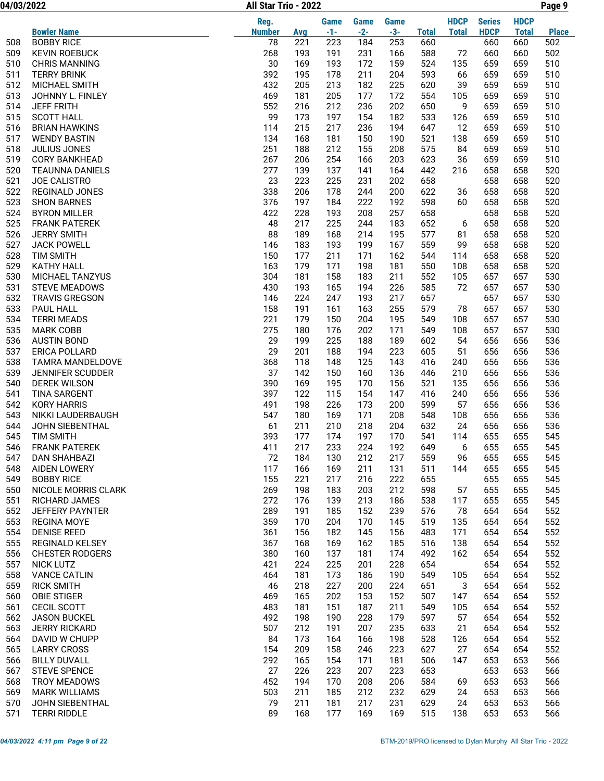04/03/2022 Page 9 All Star Trio - 2022

|            |                         | Reg.          |            | <b>Game</b> | <b>Game</b> | <b>Game</b> |              | <b>HDCP</b>  | <b>Series</b> | <b>HDCP</b>  |              |
|------------|-------------------------|---------------|------------|-------------|-------------|-------------|--------------|--------------|---------------|--------------|--------------|
|            | <b>Bowler Name</b>      | <b>Number</b> | Avg        | $-1-$       | $-2-$       | $-3-$       | <b>Total</b> | <b>Total</b> | <b>HDCP</b>   | <b>Total</b> | <b>Place</b> |
| 508        | <b>BOBBY RICE</b>       | 78            | 221        | 223         | 184         | 253         | 660          |              | 660           | 660          | 502          |
| 509        | <b>KEVIN ROEBUCK</b>    | 268           | 193        | 191         | 231         | 166         | 588          | 72           | 660           | 660          | 502          |
| 510        | <b>CHRIS MANNING</b>    | 30            | 169        | 193         | 172         | 159         | 524          | 135          | 659           | 659          | 510          |
| 511        | <b>TERRY BRINK</b>      | 392           | 195        | 178         | 211         | 204         | 593          | 66           | 659           | 659          | 510          |
| 512        | MICHAEL SMITH           | 432           | 205        | 213         | 182         | 225         | 620          | 39           | 659           | 659          | 510          |
| 513        | JOHNNY L. FINLEY        | 469           | 181        | 205         | 177         | 172         | 554          | 105          | 659           | 659          | 510          |
| 514        | <b>JEFF FRITH</b>       | 552           | 216        | 212         | 236         | 202         | 650          | 9            | 659           | 659          | 510          |
| 515        | <b>SCOTT HALL</b>       | 99            | 173        | 197         | 154         | 182         | 533          | 126          | 659           | 659          | 510          |
| 516        | <b>BRIAN HAWKINS</b>    | 114           | 215        | 217         | 236         | 194         | 647          | 12           | 659           | 659          | 510          |
| 517        | <b>WENDY BASTIN</b>     | 134           | 168        | 181         | 150         | 190         | 521          | 138          | 659           | 659          | 510          |
| 518        | JULIUS JONES            | 251           | 188        | 212         | 155         | 208         | 575          | 84           | 659           | 659          | 510          |
| 519        | <b>CORY BANKHEAD</b>    | 267           | 206        | 254         | 166         | 203         | 623          | 36           | 659           | 659          | 510          |
| 520        | <b>TEAUNNA DANIELS</b>  | 277           | 139        | 137         | 141         | 164         | 442          | 216          | 658           | 658          | 520          |
| 521        | JOE CALISTRO            | 23            | 223        | 225         | 231         | 202         | 658          |              | 658           | 658          | 520          |
| 522        | <b>REGINALD JONES</b>   | 338           | 206        | 178         | 244         | 200         | 622          | 36           | 658           | 658          | 520          |
| 523        | <b>SHON BARNES</b>      | 376           | 197        | 184         | 222         | 192         | 598          | 60           | 658           | 658          | 520          |
| 524        | <b>BYRON MILLER</b>     | 422           | 228        | 193         | 208         | 257         | 658          |              | 658           | 658          | 520          |
| 525        | <b>FRANK PATEREK</b>    | 48            | 217        | 225         | 244         | 183         | 652          | 6            | 658           | 658          | 520          |
| 526        | <b>JERRY SMITH</b>      | 88            | 189        | 168         | 214         | 195         | 577          | 81           | 658           | 658          | 520          |
| 527        | <b>JACK POWELL</b>      | 146           | 183        | 193         | 199         | 167         | 559          | 99           | 658           | 658          | 520          |
| 528        | <b>TIM SMITH</b>        | 150           | 177        | 211         | 171         | 162         | 544          | 114          | 658           | 658          | 520          |
| 529        | <b>KATHY HALL</b>       | 163           | 179        | 171         | 198         | 181         | 550          | 108          | 658           | 658          | 520          |
| 530        | MICHAEL TANZYUS         | 304           | 181        | 158         | 183         | 211         | 552          | 105          | 657           | 657          | 530          |
| 531        | <b>STEVE MEADOWS</b>    | 430           | 193        | 165         | 194         | 226         | 585          | 72           | 657           | 657          | 530          |
| 532        | <b>TRAVIS GREGSON</b>   | 146           | 224        | 247         | 193         | 217         | 657          |              | 657           | 657          | 530          |
| 533        | PAUL HALL               | 158           | 191        | 161         | 163         | 255         | 579          | 78           | 657           | 657          | 530          |
| 534        | <b>TERRI MEADS</b>      | 221           | 179        | 150         | 204         | 195         | 549          | 108          | 657           | 657          | 530          |
| 535        | <b>MARK COBB</b>        | 275           | 180        | 176         | 202         | 171         | 549          | 108          | 657           | 657          | 530          |
| 536        | <b>AUSTIN BOND</b>      | 29            | 199        | 225         | 188         | 189         | 602          | 54           | 656           | 656          | 536          |
| 537        | <b>ERICA POLLARD</b>    | 29            | 201        | 188         | 194         | 223         | 605          | 51           | 656           | 656          | 536          |
| 538        | <b>TAMRA MANDELDOVE</b> | 368           | 118        | 148         | 125         | 143         | 416          | 240          | 656           | 656          | 536          |
| 539        | JENNIFER SCUDDER        | 37            | 142        | 150         | 160         | 136         | 446          | 210          | 656           | 656          | 536          |
| 540        | DEREK WILSON            | 390           | 169        | 195         | 170         | 156         | 521          | 135          | 656           | 656          | 536          |
| 541        | <b>TINA SARGENT</b>     | 397           | 122        | 115         | 154         | 147         | 416          | 240          | 656           | 656          | 536          |
| 542        | <b>KORY HARRIS</b>      | 491           | 198        | 226         | 173         | 200         | 599          | 57           | 656           | 656          | 536          |
| 543        | NIKKI LAUDERBAUGH       | 547           | 180        | 169         | 171         | 208         | 548          | 108          | 656           | 656          | 536          |
| 544        | JOHN SIEBENTHAL         | 61            | 211        | 210         | 218         | 204         | 632          | 24           | 656           | 656          | 536          |
| 545        | <b>TIM SMITH</b>        | 393           | 177        | 174         | 197         | 170         | 541          | 114          | 655           | 655          | 545          |
| 546        | <b>FRANK PATEREK</b>    | 411           | 217        | 233         | 224         | 192         | 649          | 6            | 655           | 655          | 545          |
| 547        | <b>DAN SHAHBAZI</b>     | 72            | 184        | 130         | 212         | 217         | 559          | 96           | 655           | 655          | 545          |
| 548        | <b>AIDEN LOWERY</b>     | 117           | 166        | 169         | 211         | 131         | 511          | 144          | 655           | 655          | 545          |
| 549        | <b>BOBBY RICE</b>       | 155           | 221        | 217         | 216         | 222         | 655          |              | 655           | 655          | 545          |
| 550        | NICOLE MORRIS CLARK     | 269           | 198        | 183         | 203         | 212         | 598          | 57           | 655           | 655          | 545          |
| 551        | RICHARD JAMES           | 272           | 176        | 139         | 213         | 186         | 538          | 117          | 655           | 655          | 545          |
| 552        | <b>JEFFERY PAYNTER</b>  | 289           | 191        | 185         | 152         | 239         | 576          | 78           | 654           | 654          | 552          |
| 553        | <b>REGINA MOYE</b>      | 359           | 170        | 204         | 170         | 145         | 519          | 135          | 654           | 654          | 552          |
| 554        | <b>DENISE REED</b>      | 361           | 156        | 182         | 145         | 156         | 483          | 171          | 654           | 654          | 552          |
| 555        | <b>REGINALD KELSEY</b>  | 367           | 168        | 169         | 162         | 185         | 516          | 138          | 654           | 654          | 552          |
| 556        | <b>CHESTER RODGERS</b>  | 380           | 160        | 137         | 181         | 174         | 492          | 162          | 654           | 654          | 552          |
| 557        | <b>NICK LUTZ</b>        | 421           | 224        | 225         | 201         | 228         | 654          |              | 654           | 654          | 552          |
| 558        | <b>VANCE CATLIN</b>     | 464           | 181        | 173         | 186         | 190         | 549          | 105          | 654           | 654          | 552          |
| 559        | <b>RICK SMITH</b>       | 46            | 218        | 227         | 200         | 224         | 651          | 3            | 654           | 654          | 552          |
| 560        | <b>OBIE STIGER</b>      | 469           | 165        | 202         | 153         | 152         | 507          | 147          | 654           | 654          | 552          |
| 561        | CECIL SCOTT             | 483           | 181        | 151         | 187         | 211         | 549          | 105          | 654           | 654          | 552          |
| 562        | <b>JASON BUCKEL</b>     | 492           | 198        | 190         | 228         | 179         | 597          | 57           | 654           | 654          | 552          |
| 563        | <b>JERRY RICKARD</b>    | 507           | 212        | 191         | 207         | 235         | 633          | 21           | 654           | 654          | 552          |
| 564        | DAVID W CHUPP           | 84            | 173        | 164         | 166         | 198         | 528          | 126          | 654           | 654          | 552          |
| 565        | <b>LARRY CROSS</b>      | 154           | 209        | 158         | 246         | 223         | 627          | 27           | 654           | 654          | 552          |
| 566        | <b>BILLY DUVALL</b>     | 292           | 165        | 154         | 171         | 181         | 506          | 147          | 653           | 653          | 566          |
| 567        | <b>STEVE SPENCE</b>     | 27            | 226        | 223         | 207         | 223         | 653          |              | 653           | 653          | 566          |
| 568        | TROY MEADOWS            | 452           | 194        | 170         | 208         | 206         | 584          | 69           | 653           | 653          | 566          |
| 569        | <b>MARK WILLIAMS</b>    | 503           | 211        | 185         | 212         | 232         | 629          | 24           | 653           | 653          | 566          |
| 570<br>571 | JOHN SIEBENTHAL         | 79<br>89      | 211<br>168 | 181<br>177  | 217<br>169  | 231         | 629<br>515   | 24<br>138    | 653<br>653    | 653<br>653   | 566          |
|            | <b>TERRI RIDDLE</b>     |               |            |             |             | 169         |              |              |               |              | 566          |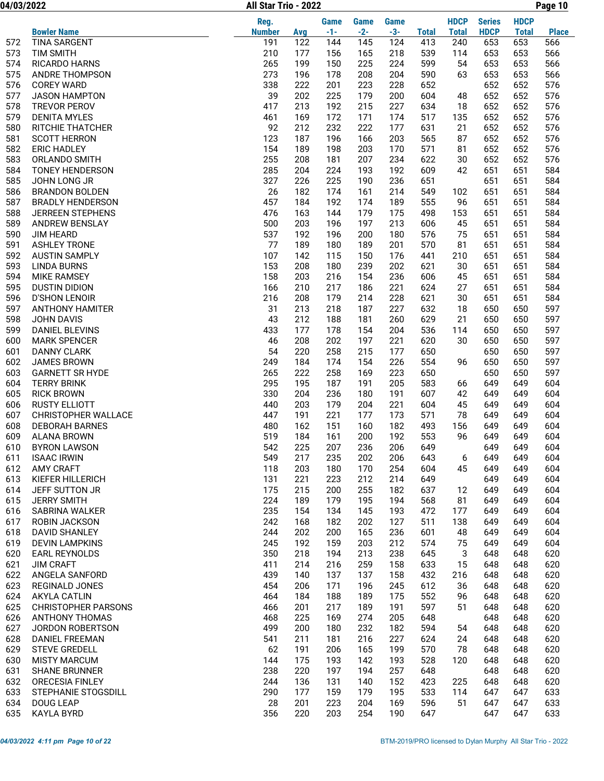04/03/2022 Page 10 All Star Trio - 2022

|            |                                         | Reg.          |            | <b>Game</b> | <b>Game</b> | <b>Game</b> |              | <b>HDCP</b>  | <b>Series</b> | <b>HDCP</b>  |              |
|------------|-----------------------------------------|---------------|------------|-------------|-------------|-------------|--------------|--------------|---------------|--------------|--------------|
|            | <b>Bowler Name</b>                      | <b>Number</b> | <b>Avg</b> | $-1-$       | $-2-$       | $-3-$       | <b>Total</b> | <b>Total</b> | <b>HDCP</b>   | <b>Total</b> | <b>Place</b> |
| 572        | <b>TINA SARGENT</b>                     | 191           | 122        | 144         | 145         | 124         | 413          | 240          | 653           | 653          | 566          |
| 573        | <b>TIM SMITH</b>                        | 210           | 177        | 156         | 165         | 218         | 539          | 114          | 653           | 653          | 566          |
| 574        | <b>RICARDO HARNS</b>                    | 265           | 199        | 150         | 225         | 224         | 599          | 54           | 653           | 653          | 566          |
| 575        | <b>ANDRE THOMPSON</b>                   | 273           | 196        | 178         | 208         | 204         | 590          | 63           | 653           | 653          | 566          |
| 576        | <b>COREY WARD</b>                       | 338           | 222        | 201         | 223         | 228         | 652          |              | 652           | 652          | 576          |
| 577        | <b>JASON HAMPTON</b>                    | 39            | 202        | 225         | 179         | 200         | 604          | 48           | 652           | 652          | 576          |
| 578        | TREVOR PEROV                            | 417           | 213        | 192         | 215         | 227         | 634          | 18           | 652           | 652          | 576          |
| 579        | <b>DENITA MYLES</b>                     | 461           | 169        | 172         | 171         | 174         | 517          | 135          | 652           | 652          | 576          |
| 580        | RITCHIE THATCHER                        | 92            | 212        | 232         | 222         | 177         | 631          | 21           | 652           | 652          | 576          |
| 581        | <b>SCOTT HERRON</b>                     | 123           | 187        | 196         | 166         | 203         | 565          | 87           | 652           | 652          | 576          |
| 582        | <b>ERIC HADLEY</b>                      | 154           | 189        | 198         | 203         | 170         | 571          | 81           | 652           | 652          | 576          |
| 583<br>584 | ORLANDO SMITH<br><b>TONEY HENDERSON</b> | 255<br>285    | 208<br>204 | 181<br>224  | 207<br>193  | 234<br>192  | 622<br>609   | 30<br>42     | 652<br>651    | 652<br>651   | 576<br>584   |
| 585        | JOHN LONG JR                            | 327           | 226        | 225         | 190         | 236         | 651          |              | 651           | 651          | 584          |
| 586        | <b>BRANDON BOLDEN</b>                   | 26            | 182        | 174         | 161         | 214         | 549          | 102          | 651           | 651          | 584          |
| 587        | <b>BRADLY HENDERSON</b>                 | 457           | 184        | 192         | 174         | 189         | 555          | 96           | 651           | 651          | 584          |
| 588        | <b>JERREEN STEPHENS</b>                 | 476           | 163        | 144         | 179         | 175         | 498          | 153          | 651           | 651          | 584          |
| 589        | ANDREW BENSLAY                          | 500           | 203        | 196         | 197         | 213         | 606          | 45           | 651           | 651          | 584          |
| 590        | <b>JIM HEARD</b>                        | 537           | 192        | 196         | 200         | 180         | 576          | 75           | 651           | 651          | 584          |
| 591        | <b>ASHLEY TRONE</b>                     | 77            | 189        | 180         | 189         | 201         | 570          | 81           | 651           | 651          | 584          |
| 592        | <b>AUSTIN SAMPLY</b>                    | 107           | 142        | 115         | 150         | 176         | 441          | 210          | 651           | 651          | 584          |
| 593        | <b>LINDA BURNS</b>                      | 153           | 208        | 180         | 239         | 202         | 621          | 30           | 651           | 651          | 584          |
| 594        | <b>MIKE RAMSEY</b>                      | 158           | 203        | 216         | 154         | 236         | 606          | 45           | 651           | 651          | 584          |
| 595        | <b>DUSTIN DIDION</b>                    | 166           | 210        | 217         | 186         | 221         | 624          | 27           | 651           | 651          | 584          |
| 596        | <b>D'SHON LENOIR</b>                    | 216           | 208        | 179         | 214         | 228         | 621          | 30           | 651           | 651          | 584          |
| 597        | <b>ANTHONY HAMITER</b>                  | 31            | 213        | 218         | 187         | 227         | 632          | 18           | 650           | 650          | 597          |
| 598        | <b>JOHN DAVIS</b>                       | 43            | 212        | 188         | 181         | 260         | 629          | 21           | 650           | 650          | 597          |
| 599        | <b>DANIEL BLEVINS</b>                   | 433           | 177        | 178         | 154         | 204         | 536          | 114          | 650           | 650          | 597          |
| 600        | <b>MARK SPENCER</b>                     | 46            | 208        | 202         | 197         | 221         | 620          | 30           | 650           | 650          | 597          |
| 601        | <b>DANNY CLARK</b>                      | 54            | 220        | 258         | 215         | 177         | 650          |              | 650           | 650          | 597          |
| 602        | <b>JAMES BROWN</b>                      | 249           | 184        | 174         | 154         | 226         | 554          | 96           | 650           | 650          | 597          |
| 603        | <b>GARNETT SR HYDE</b>                  | 265           | 222        | 258         | 169         | 223         | 650          |              | 650           | 650          | 597          |
| 604        | <b>TERRY BRINK</b>                      | 295           | 195        | 187         | 191         | 205         | 583          | 66           | 649           | 649          | 604          |
| 605        | <b>RICK BROWN</b>                       | 330           | 204        | 236         | 180         | 191         | 607          | 42           | 649           | 649          | 604          |
| 606        | <b>RUSTY ELLIOTT</b>                    | 440           | 203        | 179         | 204         | 221         | 604          | 45           | 649           | 649          | 604          |
| 607        | <b>CHRISTOPHER WALLACE</b>              | 447           | 191        | 221         | 177         | 173         | 571          | 78           | 649           | 649          | 604          |
| 608        | <b>DEBORAH BARNES</b>                   | 480           | 162        | 151         | 160         | 182         | 493          | 156          | 649           | 649          | 604          |
| 609        | <b>ALANA BROWN</b>                      | 519           | 184        | 161         | 200         | 192         | 553          | 96           | 649           | 649          | 604          |
| 610        | <b>BYRON LAWSON</b>                     | 542           | 225        | 207         | 236         | 206         | 649          |              | 649           | 649          | 604          |
| 611        | <b>ISAAC IRWIN</b>                      | 549           | 217        | 235         | 202         | 206         | 643          | 6            | 649           | 649          | 604          |
| 612        | AMY CRAFT                               | 118           | 203        | 180         | 170         | 254         | 604          | 45           | 649           | 649          | 604          |
| 613        | KIEFER HILLERICH                        | 131           | 221        | 223         | 212         | 214         | 649          |              | 649           | 649          | 604          |
| 614<br>615 | JEFF SUTTON JR<br><b>JERRY SMITH</b>    | 175<br>224    | 215<br>189 | 200<br>179  | 255<br>195  | 182<br>194  | 637<br>568   | 12<br>81     | 649<br>649    | 649<br>649   | 604<br>604   |
| 616        | SABRINA WALKER                          | 235           | 154        | 134         | 145         | 193         | 472          | 177          | 649           | 649          | 604          |
| 617        | ROBIN JACKSON                           | 242           | 168        | 182         | 202         | 127         | 511          | 138          | 649           | 649          | 604          |
| 618        | DAVID SHANLEY                           | 244           | 202        | 200         | 165         | 236         | 601          | 48           | 649           | 649          | 604          |
| 619        | <b>DEVIN LAMPKINS</b>                   | 245           | 192        | 159         | 203         | 212         | 574          | 75           | 649           | 649          | 604          |
| 620        | <b>EARL REYNOLDS</b>                    | 350           | 218        | 194         | 213         | 238         | 645          | 3            | 648           | 648          | 620          |
| 621        | <b>JIM CRAFT</b>                        | 411           | 214        | 216         | 259         | 158         | 633          | 15           | 648           | 648          | 620          |
| 622        | ANGELA SANFORD                          | 439           | 140        | 137         | 137         | 158         | 432          | 216          | 648           | 648          | 620          |
| 623        | REGINALD JONES                          | 454           | 206        | 171         | 196         | 245         | 612          | 36           | 648           | 648          | 620          |
| 624        | <b>AKYLA CATLIN</b>                     | 464           | 184        | 188         | 189         | 175         | 552          | 96           | 648           | 648          | 620          |
| 625        | <b>CHRISTOPHER PARSONS</b>              | 466           | 201        | 217         | 189         | 191         | 597          | 51           | 648           | 648          | 620          |
| 626        | ANTHONY THOMAS                          | 468           | 225        | 169         | 274         | 205         | 648          |              | 648           | 648          | 620          |
| 627        | JORDON ROBERTSON                        | 499           | 200        | 180         | 232         | 182         | 594          | 54           | 648           | 648          | 620          |
| 628        | DANIEL FREEMAN                          | 541           | 211        | 181         | 216         | 227         | 624          | 24           | 648           | 648          | 620          |
| 629        | <b>STEVE GREDELL</b>                    | 62            | 191        | 206         | 165         | 199         | 570          | 78           | 648           | 648          | 620          |
| 630        | <b>MISTY MARCUM</b>                     | 144           | 175        | 193         | 142         | 193         | 528          | 120          | 648           | 648          | 620          |
| 631        | <b>SHANE BRUNNER</b>                    | 238           | 220        | 197         | 194         | 257         | 648          |              | 648           | 648          | 620          |
| 632        | ORECESIA FINLEY                         | 244           | 136        | 131         | 140         | 152         | 423          | 225          | 648           | 648          | 620          |
| 633        | STEPHANIE STOGSDILL                     | 290           | 177        | 159         | 179         | 195         | 533          | 114          | 647           | 647          | 633          |
| 634        | <b>DOUG LEAP</b>                        | 28            | 201        | 223         | 204         | 169         | 596          | 51           | 647           | 647          | 633          |
| 635        | KAYLA BYRD                              | 356           | 220        | 203         | 254         | 190         | 647          |              | 647           | 647          | 633          |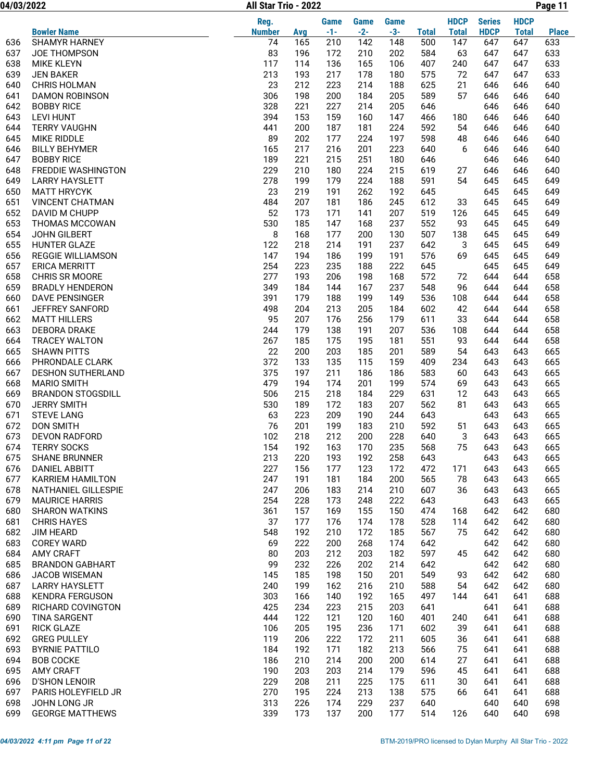04/03/2022 Page 11 All Star Trio - 2022

|     |                                       | Reg.          |     | <b>Game</b> | <b>Game</b> | <b>Game</b> |              | <b>HDCP</b>  | <b>Series</b> | <b>HDCP</b>  |              |
|-----|---------------------------------------|---------------|-----|-------------|-------------|-------------|--------------|--------------|---------------|--------------|--------------|
|     | <b>Bowler Name</b>                    | <b>Number</b> | Avg | $-1-$       | $-2-$       | $-3-$       | <b>Total</b> | <b>Total</b> | <b>HDCP</b>   | <b>Total</b> | <b>Place</b> |
| 636 | <b>SHAMYR HARNEY</b>                  | 74            | 165 | 210         | 142         | 148         | 500          | 147          | 647           | 647          | 633          |
| 637 | <b>JOE THOMPSON</b>                   | 83            | 196 | 172         | 210         | 202         | 584          | 63           | 647           | 647          | 633          |
| 638 | <b>MIKE KLEYN</b>                     | 117           | 114 | 136         | 165         | 106         | 407          | 240          | 647           | 647          | 633          |
| 639 | <b>JEN BAKER</b>                      | 213           | 193 | 217         | 178         | 180         | 575          | 72           | 647           | 647          | 633          |
| 640 | <b>CHRIS HOLMAN</b>                   | 23            | 212 | 223         | 214         | 188         | 625          | 21           | 646           | 646          | 640          |
| 641 | <b>DAMON ROBINSON</b>                 | 306           | 198 | 200         | 184         | 205         | 589          | 57           | 646           | 646          | 640          |
| 642 | <b>BOBBY RICE</b>                     | 328           | 221 | 227         | 214         | 205         | 646          |              | 646           | 646          | 640          |
| 643 | <b>LEVI HUNT</b>                      | 394           | 153 | 159         | 160         | 147         | 466          | 180          | 646           | 646          | 640          |
| 644 | <b>TERRY VAUGHN</b>                   | 441           | 200 | 187         | 181         | 224         | 592          | 54           | 646           | 646          | 640          |
| 645 | <b>MIKE RIDDLE</b>                    | 89            | 202 | 177         | 224         | 197         | 598          | 48           | 646           | 646          | 640          |
| 646 | <b>BILLY BEHYMER</b>                  | 165           | 217 | 216         | 201         | 223         | 640          | 6            | 646           | 646          | 640          |
| 647 | <b>BOBBY RICE</b>                     | 189           | 221 | 215         | 251         | 180         | 646          |              | 646           | 646          | 640          |
| 648 | FREDDIE WASHINGTON                    | 229           | 210 | 180         | 224         | 215         | 619          | 27           | 646           | 646          | 640          |
| 649 | <b>LARRY HAYSLETT</b>                 | 278           | 199 | 179         | 224         | 188         | 591          | 54           | 645           | 645          | 649          |
|     |                                       | 23            | 219 |             |             |             |              |              |               |              |              |
| 650 | <b>MATT HRYCYK</b>                    |               |     | 191         | 262         | 192         | 645          |              | 645           | 645          | 649          |
| 651 | <b>VINCENT CHATMAN</b>                | 484           | 207 | 181         | 186         | 245         | 612          | 33           | 645           | 645          | 649          |
| 652 | DAVID M CHUPP                         | 52            | 173 | 171         | 141         | 207         | 519          | 126          | 645           | 645          | 649          |
| 653 | THOMAS MCCOWAN                        | 530           | 185 | 147         | 168         | 237         | 552          | 93           | 645           | 645          | 649          |
| 654 | <b>JOHN GILBERT</b>                   | 8             | 168 | 177         | 200         | 130         | 507          | 138          | 645           | 645          | 649          |
| 655 | <b>HUNTER GLAZE</b>                   | 122           | 218 | 214         | 191         | 237         | 642          | 3            | 645           | 645          | 649          |
| 656 | <b>REGGIE WILLIAMSON</b>              | 147           | 194 | 186         | 199         | 191         | 576          | 69           | 645           | 645          | 649          |
| 657 | <b>ERICA MERRITT</b>                  | 254           | 223 | 235         | 188         | 222         | 645          |              | 645           | 645          | 649          |
| 658 | CHRIS SR MOORE                        | 277           | 193 | 206         | 198         | 168         | 572          | 72           | 644           | 644          | 658          |
| 659 | <b>BRADLY HENDERON</b>                | 349           | 184 | 144         | 167         | 237         | 548          | 96           | 644           | 644          | 658          |
| 660 | <b>DAVE PENSINGER</b>                 | 391           | 179 | 188         | 199         | 149         | 536          | 108          | 644           | 644          | 658          |
| 661 | JEFFREY SANFORD                       | 498           | 204 | 213         | 205         | 184         | 602          | 42           | 644           | 644          | 658          |
| 662 | <b>MATT HILLERS</b>                   | 95            | 207 | 176         | 256         | 179         | 611          | 33           | 644           | 644          | 658          |
| 663 | DEBORA DRAKE                          | 244           | 179 | 138         | 191         | 207         | 536          | 108          | 644           | 644          | 658          |
| 664 | <b>TRACEY WALTON</b>                  | 267           | 185 | 175         | 195         | 181         | 551          | 93           | 644           | 644          | 658          |
| 665 | <b>SHAWN PITTS</b>                    | 22            | 200 | 203         | 185         | 201         | 589          | 54           | 643           | 643          | 665          |
| 666 | PHRONDALE CLARK                       | 372           | 133 | 135         | 115         | 159         | 409          | 234          | 643           | 643          | 665          |
| 667 | <b>DESHON SUTHERLAND</b>              | 375           | 197 | 211         | 186         | 186         | 583          | 60           | 643           | 643          | 665          |
| 668 | <b>MARIO SMITH</b>                    | 479           | 194 | 174         | 201         | 199         | 574          | 69           | 643           | 643          | 665          |
| 669 | <b>BRANDON STOGSDILL</b>              | 506           | 215 | 218         | 184         | 229         | 631          | 12           | 643           | 643          | 665          |
| 670 | <b>JERRY SMITH</b>                    | 530           | 189 | 172         | 183         | 207         | 562          | 81           | 643           | 643          | 665          |
| 671 | <b>STEVE LANG</b>                     | 63            | 223 | 209         | 190         | 244         | 643          |              | 643           | 643          | 665          |
| 672 | <b>DON SMITH</b>                      | 76            | 201 | 199         | 183         | 210         | 592          | 51           | 643           | 643          | 665          |
| 673 | <b>DEVON RADFORD</b>                  | 102           | 218 | 212         | 200         | 228         | 640          | 3            | 643           | 643          | 665          |
| 674 | <b>TERRY SOCKS</b>                    | 154           | 192 | 163         | 170         | 235         | 568          | 75           | 643           | 643          | 665          |
| 675 | <b>SHANE BRUNNER</b>                  | 213           | 220 | 193         | 192         | 258         | 643          |              | 643           | 643          | 665          |
| 676 | <b>DANIEL ABBITT</b>                  | 227           | 156 | 177         | 123         | 172         | 472          | 171          | 643           | 643          | 665          |
| 677 | <b>KARRIEM HAMILTON</b>               | 247           | 191 | 181         | 184         | 200         | 565          | 78           | 643           | 643          | 665          |
| 678 | NATHANIEL GILLESPIE                   | 247           | 206 | 183         | 214         | 210         | 607          | 36           | 643           | 643          | 665          |
| 679 | <b>MAURICE HARRIS</b>                 | 254           | 228 | 173         | 248         | 222         | 643          |              | 643           | 643          | 665          |
| 680 | <b>SHARON WATKINS</b>                 | 361           | 157 | 169         | 155         | 150         | 474          | 168          | 642           | 642          | 680          |
| 681 | <b>CHRIS HAYES</b>                    | 37            | 177 | 176         | 174         | 178         | 528          | 114          | 642           | 642          | 680          |
| 682 | <b>JIM HEARD</b>                      | 548           | 192 | 210         | 172         | 185         | 567          | 75           | 642           | 642          | 680          |
| 683 |                                       | 69            | 222 |             |             | 174         | 642          |              |               | 642          | 680          |
|     | <b>COREY WARD</b><br><b>AMY CRAFT</b> |               |     | 200         | 268         |             |              |              | 642           |              |              |
| 684 |                                       | 80            | 203 | 212         | 203         | 182         | 597          | 45           | 642           | 642          | 680          |
| 685 | <b>BRANDON GABHART</b>                | 99            | 232 | 226         | 202         | 214         | 642          |              | 642           | 642          | 680          |
| 686 | JACOB WISEMAN                         | 145           | 185 | 198         | 150         | 201         | 549          | 93           | 642           | 642          | 680          |
| 687 | <b>LARRY HAYSLETT</b>                 | 240           | 199 | 162         | 216         | 210         | 588          | 54           | 642           | 642          | 680          |
| 688 | <b>KENDRA FERGUSON</b>                | 303           | 166 | 140         | 192         | 165         | 497          | 144          | 641           | 641          | 688          |
| 689 | RICHARD COVINGTON                     | 425           | 234 | 223         | 215         | 203         | 641          |              | 641           | 641          | 688          |
| 690 | <b>TINA SARGENT</b>                   | 444           | 122 | 121         | 120         | 160         | 401          | 240          | 641           | 641          | 688          |
| 691 | <b>RICK GLAZE</b>                     | 106           | 205 | 195         | 236         | 171         | 602          | 39           | 641           | 641          | 688          |
| 692 | <b>GREG PULLEY</b>                    | 119           | 206 | 222         | 172         | 211         | 605          | 36           | 641           | 641          | 688          |
| 693 | <b>BYRNIE PATTILO</b>                 | 184           | 192 | 171         | 182         | 213         | 566          | 75           | 641           | 641          | 688          |
| 694 | <b>BOB COCKE</b>                      | 186           | 210 | 214         | 200         | 200         | 614          | 27           | 641           | 641          | 688          |
| 695 | AMY CRAFT                             | 190           | 203 | 203         | 214         | 179         | 596          | 45           | 641           | 641          | 688          |
| 696 | <b>D'SHON LENOIR</b>                  | 229           | 208 | 211         | 225         | 175         | 611          | 30           | 641           | 641          | 688          |
| 697 | PARIS HOLEYFIELD JR                   | 270           | 195 | 224         | 213         | 138         | 575          | 66           | 641           | 641          | 688          |
| 698 | JOHN LONG JR                          | 313           | 226 | 174         | 229         | 237         | 640          |              | 640           | 640          | 698          |
| 699 | <b>GEORGE MATTHEWS</b>                | 339           | 173 | 137         | 200         | 177         | 514          | 126          | 640           | 640          | 698          |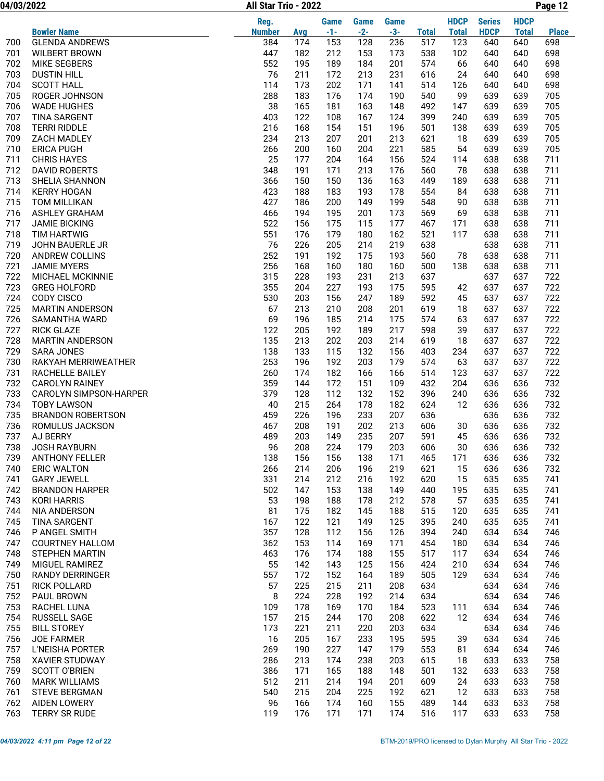04/03/2022 Page 12 All Star Trio - 2022

|     |                          | Reg.          |     | Game  | Game  | <b>Game</b> |              | <b>HDCP</b>  | <b>Series</b> | <b>HDCP</b>  |              |
|-----|--------------------------|---------------|-----|-------|-------|-------------|--------------|--------------|---------------|--------------|--------------|
|     | <b>Bowler Name</b>       | <b>Number</b> | Avg | $-1-$ | $-2-$ | $-3-$       | <b>Total</b> | <b>Total</b> | <b>HDCP</b>   | <b>Total</b> | <b>Place</b> |
| 700 | <b>GLENDA ANDREWS</b>    | 384           | 174 | 153   | 128   | 236         | 517          | 123          | 640           | 640          | 698          |
| 701 | <b>WILBERT BROWN</b>     | 447           | 182 | 212   | 153   | 173         | 538          | 102          | 640           | 640          | 698          |
| 702 | MIKE SEGBERS             | 552           | 195 | 189   | 184   | 201         | 574          | 66           | 640           | 640          | 698          |
| 703 | <b>DUSTIN HILL</b>       | 76            | 211 | 172   | 213   | 231         | 616          | 24           | 640           | 640          | 698          |
| 704 | <b>SCOTT HALL</b>        | 114           | 173 | 202   | 171   | 141         | 514          | 126          | 640           | 640          | 698          |
| 705 | ROGER JOHNSON            | 288           | 183 | 176   | 174   | 190         | 540          | 99           | 639           | 639          | 705          |
| 706 | <b>WADE HUGHES</b>       | 38            | 165 | 181   | 163   | 148         | 492          | 147          | 639           | 639          | 705          |
| 707 | <b>TINA SARGENT</b>      | 403           | 122 | 108   | 167   | 124         | 399          | 240          | 639           | 639          | 705          |
| 708 | <b>TERRI RIDDLE</b>      | 216           | 168 | 154   | 151   | 196         | 501          | 138          | 639           | 639          | 705          |
| 709 | ZACH MADLEY              | 234           | 213 | 207   | 201   | 213         | 621          | 18           | 639           | 639          | 705          |
| 710 | <b>ERICA PUGH</b>        | 266           | 200 | 160   | 204   | 221         | 585          | 54           | 639           | 639          | 705          |
| 711 | <b>CHRIS HAYES</b>       | 25            | 177 | 204   | 164   | 156         | 524          | 114          | 638           | 638          | 711          |
| 712 | <b>DAVID ROBERTS</b>     | 348           | 191 | 171   | 213   | 176         | 560          | 78           | 638           | 638          | 711          |
| 713 | SHELIA SHANNON           | 366           | 150 | 150   | 136   | 163         | 449          | 189          | 638           | 638          | 711          |
| 714 | <b>KERRY HOGAN</b>       | 423           | 188 | 183   | 193   | 178         | 554          | 84           | 638           | 638          | 711          |
| 715 | TOM MILLIKAN             | 427           | 186 | 200   | 149   | 199         | 548          | 90           | 638           | 638          | 711          |
| 716 | <b>ASHLEY GRAHAM</b>     | 466           | 194 | 195   | 201   | 173         | 569          | 69           | 638           | 638          | 711          |
| 717 | <b>JAMIE BICKING</b>     | 522           | 156 | 175   | 115   | 177         | 467          | 171          | 638           | 638          | 711          |
| 718 | <b>TIM HARTWIG</b>       | 551           | 176 | 179   | 180   | 162         | 521          | 117          | 638           | 638          | 711          |
| 719 | JOHN BAUERLE JR          | 76            | 226 | 205   | 214   | 219         | 638          |              | 638           | 638          | 711          |
| 720 | ANDREW COLLINS           | 252           | 191 | 192   | 175   | 193         | 560          | 78           | 638           | 638          | 711          |
| 721 | <b>JAMIE MYERS</b>       | 256           | 168 | 160   | 180   | 160         | 500          | 138          | 638           | 638          | 711          |
| 722 | MICHAEL MCKINNIE         | 315           | 228 | 193   | 231   | 213         | 637          |              | 637           | 637          | 722          |
| 723 | <b>GREG HOLFORD</b>      | 355           | 204 | 227   | 193   | 175         | 595          | 42           | 637           | 637          | 722          |
| 724 | <b>CODY CISCO</b>        | 530           | 203 | 156   | 247   | 189         | 592          | 45           | 637           | 637          | 722          |
| 725 | <b>MARTIN ANDERSON</b>   | 67            | 213 | 210   | 208   | 201         | 619          | 18           | 637           | 637          | 722          |
| 726 | SAMANTHA WARD            | 69            | 196 | 185   | 214   | 175         | 574          | 63           | 637           | 637          | 722          |
| 727 | <b>RICK GLAZE</b>        | 122           | 205 | 192   | 189   | 217         | 598          | 39           | 637           | 637          | 722          |
| 728 | <b>MARTIN ANDERSON</b>   | 135           | 213 | 202   | 203   | 214         | 619          | 18           | 637           | 637          | 722          |
| 729 | <b>SARA JONES</b>        | 138           | 133 | 115   | 132   | 156         | 403          | 234          | 637           | 637          | 722          |
| 730 | RAKYAH MERRIWEATHER      | 253           | 196 | 192   | 203   | 179         | 574          | 63           | 637           | 637          | 722          |
| 731 | RACHELLE BAILEY          | 260           | 174 | 182   | 166   | 166         | 514          | 123          | 637           | 637          | 722          |
| 732 | <b>CAROLYN RAINEY</b>    | 359           | 144 | 172   | 151   | 109         | 432          | 204          | 636           | 636          | 732          |
| 733 | CAROLYN SIMPSON-HARPER   | 379           | 128 | 112   | 132   | 152         | 396          | 240          | 636           | 636          | 732          |
| 734 | <b>TOBY LAWSON</b>       | 40            | 215 | 264   | 178   | 182         | 624          | 12           | 636           | 636          | 732          |
| 735 | <b>BRANDON ROBERTSON</b> | 459           | 226 | 196   | 233   | 207         | 636          |              | 636           | 636          | 732          |
| 736 | ROMULUS JACKSON          | 467           | 208 | 191   | 202   | 213         | 606          | 30           | 636           | 636          | 732          |
| 737 | AJ BERRY                 | 489           | 203 | 149   | 235   | 207         | 591          | 45           | 636           | 636          | 732          |
| 738 | <b>JOSH RAYBURN</b>      | 96            | 208 | 224   | 179   | 203         | 606          | 30           | 636           | 636          | 732          |
| 739 | <b>ANTHONY FELLER</b>    | 138           | 156 | 156   | 138   | 171         | 465          | 171          | 636           | 636          | 732          |
| 740 | <b>ERIC WALTON</b>       | 266           | 214 | 206   | 196   | 219         | 621          | 15           | 636           | 636          | 732          |
| 741 | <b>GARY JEWELL</b>       | 331           | 214 | 212   | 216   | 192         | 620          | 15           | 635           | 635          | 741          |
| 742 | <b>BRANDON HARPER</b>    | 502           | 147 | 153   | 138   | 149         | 440          | 195          | 635           | 635          | 741          |
| 743 | <b>KORI HARRIS</b>       | 53            | 198 | 188   | 178   | 212         | 578          | 57           | 635           | 635          | 741          |
| 744 | NIA ANDERSON             | 81            | 175 | 182   | 145   | 188         | 515          | 120          | 635           | 635          | 741          |
| 745 | TINA SARGENT             | 167           | 122 | 121   | 149   | 125         | 395          | 240          | 635           | 635          | 741          |
| 746 | P ANGEL SMITH            | 357           | 128 | 112   | 156   | 126         | 394          | 240          | 634           | 634          | 746          |
| 747 | <b>COURTNEY HALLOM</b>   | 362           | 153 | 114   | 169   | 171         | 454          | 180          | 634           | 634          | 746          |
| 748 | STEPHEN MARTIN           | 463           | 176 | 174   | 188   | 155         | 517          | 117          | 634           | 634          | 746          |
| 749 | MIGUEL RAMIREZ           | 55            | 142 | 143   | 125   | 156         | 424          | 210          | 634           | 634          | 746          |
| 750 | <b>RANDY DERRINGER</b>   | 557           | 172 | 152   | 164   | 189         | 505          | 129          | 634           | 634          | 746          |
| 751 | <b>RICK POLLARD</b>      | 57            | 225 | 215   | 211   | 208         | 634          |              | 634           | 634          | 746          |
| 752 | PAUL BROWN               | 8             | 224 | 228   | 192   | 214         | 634          |              | 634           | 634          | 746          |
| 753 | RACHEL LUNA              | 109           | 178 | 169   | 170   | 184         | 523          | 111          | 634           | 634          | 746          |
| 754 | RUSSELL SAGE             | 157           | 215 | 244   | 170   | 208         | 622          | 12           | 634           | 634          | 746          |
| 755 | <b>BILL STOREY</b>       | 173           | 221 | 211   | 220   | 203         | 634          |              | 634           | 634          | 746          |
| 756 | JOE FARMER               | 16            | 205 | 167   | 233   | 195         | 595          | 39           | 634           | 634          | 746          |
| 757 | L'NEISHA PORTER          | 269           | 190 | 227   | 147   | 179         | 553          | 81           | 634           | 634          | 746          |
| 758 | <b>XAVIER STUDWAY</b>    | 286           | 213 | 174   | 238   | 203         | 615          | 18           | 633           | 633          | 758          |
| 759 | <b>SCOTT O'BRIEN</b>     | 386           | 171 | 165   | 188   | 148         | 501          | 132          | 633           | 633          | 758          |
| 760 | <b>MARK WILLIAMS</b>     | 512           | 211 | 214   | 194   | 201         | 609          | 24           | 633           | 633          | 758          |
| 761 | <b>STEVE BERGMAN</b>     | 540           | 215 | 204   | 225   | 192         | 621          | 12           | 633           | 633          | 758          |
| 762 | <b>AIDEN LOWERY</b>      | 96            | 166 | 174   | 160   | 155         | 489          | 144          | 633           | 633          | 758          |
| 763 | TERRY SR RUDE            | 119           | 176 | 171   | 171   | 174         | 516          | 117          | 633           | 633          | 758          |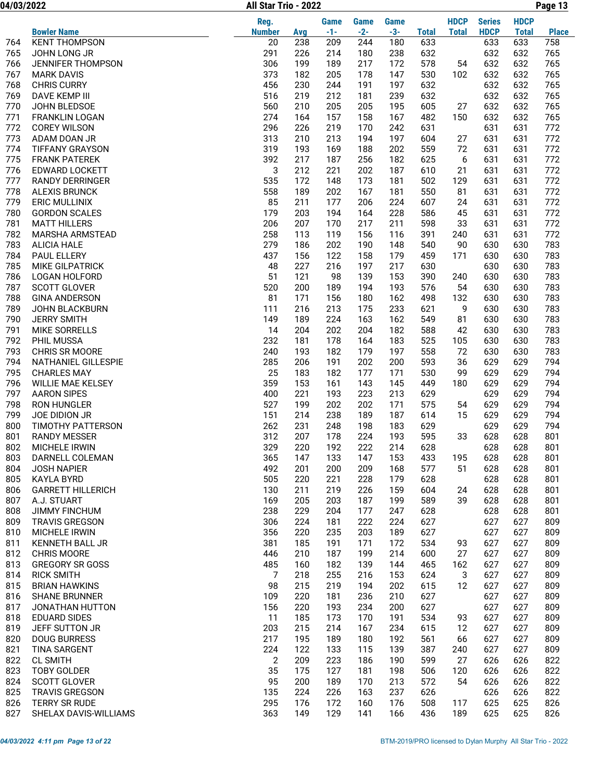04/03/2022 Page 13 All Star Trio - 2022

|     |                          | Reg.           |     | <b>Game</b> | Game  | <b>Game</b> |              | <b>HDCP</b>  | <b>Series</b> | <b>HDCP</b>  |              |
|-----|--------------------------|----------------|-----|-------------|-------|-------------|--------------|--------------|---------------|--------------|--------------|
|     | <b>Bowler Name</b>       | <b>Number</b>  | Avg | $-1-$       | $-2-$ | $-3-$       | <b>Total</b> | <b>Total</b> | <b>HDCP</b>   | <b>Total</b> | <b>Place</b> |
| 764 | <b>KENT THOMPSON</b>     | 20             | 238 | 209         | 244   | 180         | 633          |              | 633           | 633          | 758          |
| 765 | JOHN LONG JR             | 291            | 226 | 214         | 180   | 238         | 632          |              | 632           | 632          | 765          |
| 766 | <b>JENNIFER THOMPSON</b> | 306            | 199 | 189         | 217   | 172         | 578          | 54           | 632           | 632          | 765          |
| 767 | <b>MARK DAVIS</b>        | 373            | 182 | 205         | 178   | 147         | 530          | 102          | 632           | 632          | 765          |
| 768 | <b>CHRIS CURRY</b>       | 456            | 230 | 244         | 191   | 197         | 632          |              | 632           | 632          | 765          |
| 769 | DAVE KEMP III            | 516            | 219 | 212         | 181   | 239         | 632          |              | 632           | 632          | 765          |
| 770 | JOHN BLEDSOE             | 560            | 210 | 205         | 205   | 195         | 605          | 27           | 632           | 632          | 765          |
| 771 | <b>FRANKLIN LOGAN</b>    | 274            | 164 | 157         | 158   | 167         | 482          | 150          | 632           | 632          | 765          |
| 772 | <b>COREY WILSON</b>      | 296            | 226 | 219         | 170   | 242         | 631          |              | 631           | 631          | 772          |
| 773 | ADAM DOAN JR             | 313            | 210 | 213         | 194   | 197         | 604          | 27           | 631           | 631          | 772          |
| 774 | <b>TIFFANY GRAYSON</b>   | 319            | 193 | 169         | 188   | 202         | 559          | 72           | 631           | 631          | 772          |
| 775 | <b>FRANK PATEREK</b>     | 392            | 217 | 187         | 256   | 182         | 625          | 6            | 631           | 631          | 772          |
| 776 | EDWARD LOCKETT           | 3              | 212 | 221         | 202   | 187         | 610          | 21           | 631           | 631          | 772          |
| 777 | RANDY DERRINGER          | 535            | 172 | 148         | 173   | 181         | 502          | 129          | 631           | 631          | 772          |
| 778 | <b>ALEXIS BRUNCK</b>     | 558            | 189 | 202         | 167   | 181         | 550          | 81           | 631           | 631          | 772          |
| 779 | <b>ERIC MULLINIX</b>     | 85             | 211 | 177         | 206   | 224         | 607          | 24           | 631           | 631          | 772          |
| 780 | <b>GORDON SCALES</b>     | 179            | 203 | 194         | 164   | 228         | 586          | 45           | 631           | 631          | 772          |
| 781 | <b>MATT HILLERS</b>      | 206            | 207 | 170         | 217   | 211         | 598          | 33           | 631           | 631          | 772          |
| 782 | MARSHA ARMSTEAD          | 258            | 113 | 119         | 156   | 116         | 391          | 240          | 631           | 631          | 772          |
| 783 | <b>ALICIA HALE</b>       | 279            | 186 | 202         | 190   | 148         | 540          | 90           | 630           | 630          | 783          |
| 784 | PAUL ELLERY              | 437            | 156 | 122         | 158   | 179         | 459          | 171          | 630           | 630          | 783          |
| 785 | <b>MIKE GILPATRICK</b>   | 48             | 227 | 216         | 197   | 217         | 630          |              | 630           | 630          | 783          |
| 786 | LOGAN HOLFORD            | 51             | 121 | 98          | 139   | 153         | 390          | 240          | 630           | 630          | 783          |
| 787 | <b>SCOTT GLOVER</b>      | 520            | 200 | 189         | 194   | 193         | 576          | 54           | 630           | 630          | 783          |
| 788 | <b>GINA ANDERSON</b>     | 81             | 171 | 156         | 180   | 162         | 498          | 132          | 630           | 630          | 783          |
| 789 | <b>JOHN BLACKBURN</b>    | 111            | 216 | 213         | 175   | 233         | 621          | 9            | 630           | 630          | 783          |
| 790 | <b>JERRY SMITH</b>       | 149            | 189 | 224         | 163   | 162         | 549          | 81           | 630           | 630          | 783          |
| 791 | MIKE SORRELLS            | 14             | 204 | 202         | 204   | 182         | 588          | 42           | 630           | 630          | 783          |
| 792 | PHIL MUSSA               | 232            | 181 | 178         | 164   | 183         | 525          | 105          | 630           | 630          | 783          |
| 793 | <b>CHRIS SR MOORE</b>    | 240            | 193 | 182         | 179   | 197         | 558          | 72           | 630           | 630          | 783          |
|     |                          | 285            |     |             |       |             | 593          |              |               |              | 794          |
| 794 | NATHANIEL GILLESPIE      |                | 206 | 191         | 202   | 200         |              | 36           | 629           | 629          |              |
| 795 | <b>CHARLES MAY</b>       | 25             | 183 | 182         | 177   | 171         | 530          | 99           | 629           | 629          | 794          |
| 796 | WILLIE MAE KELSEY        | 359            | 153 | 161         | 143   | 145         | 449          | 180          | 629           | 629          | 794          |
| 797 | <b>AARON SIPES</b>       | 400            | 221 | 193         | 223   | 213         | 629          |              | 629           | 629          | 794          |
| 798 | <b>RON HUNGLER</b>       | 527            | 199 | 202         | 202   | 171         | 575          | 54           | 629           | 629          | 794          |
| 799 | JOE DIDION JR            | 151            | 214 | 238         | 189   | 187         | 614          | 15           | 629           | 629          | 794          |
| 800 | TIMOTHY PATTERSON        | 262            | 231 | 248         | 198   | 183         | 629          |              | 629           | 629          | 794          |
| 801 | <b>RANDY MESSER</b>      | 312            | 207 | 178         | 224   | 193         | 595          | 33           | 628           | 628          | 801          |
| 802 | MICHELE IRWIN            | 329            | 220 | 192         | 222   | 214         | 628          |              | 628           | 628          | 801          |
| 803 | DARNELL COLEMAN          | 365            | 147 | 133         | 147   | 153         | 433          | 195          | 628           | 628          | 801          |
| 804 | <b>JOSH NAPIER</b>       | 492            | 201 | 200         | 209   | 168         | 577          | 51           | 628           | 628          | 801          |
| 805 | KAYLA BYRD               | 505            | 220 | 221         | 228   | 179         | 628          |              | 628           | 628          | 801          |
| 806 | <b>GARRETT HILLERICH</b> | 130            | 211 | 219         | 226   | 159         | 604          | 24           | 628           | 628          | 801          |
| 807 | A.J. STUART              | 169            | 205 | 203         | 187   | 199         | 589          | 39           | 628           | 628          | 801          |
| 808 | JIMMY FINCHUM            | 238            | 229 | 204         | 177   | 247         | 628          |              | 628           | 628          | 801          |
| 809 | <b>TRAVIS GREGSON</b>    | 306            | 224 | 181         | 222   | 224         | 627          |              | 627           | 627          | 809          |
| 810 | MICHELE IRWIN            | 356            | 220 | 235         | 203   | 189         | 627          |              | 627           | 627          | 809          |
| 811 | <b>KENNETH BALL JR</b>   | 381            | 185 | 191         | 171   | 172         | 534          | 93           | 627           | 627          | 809          |
| 812 | <b>CHRIS MOORE</b>       | 446            | 210 | 187         | 199   | 214         | 600          | 27           | 627           | 627          | 809          |
| 813 | <b>GREGORY SR GOSS</b>   | 485            | 160 | 182         | 139   | 144         | 465          | 162          | 627           | 627          | 809          |
| 814 | <b>RICK SMITH</b>        | 7              | 218 | 255         | 216   | 153         | 624          | 3            | 627           | 627          | 809          |
| 815 | <b>BRIAN HAWKINS</b>     | 98             | 215 | 219         | 194   | 202         | 615          | 12           | 627           | 627          | 809          |
| 816 | <b>SHANE BRUNNER</b>     | 109            | 220 | 181         | 236   | 210         | 627          |              | 627           | 627          | 809          |
| 817 | JONATHAN HUTTON          | 156            | 220 | 193         | 234   | 200         | 627          |              | 627           | 627          | 809          |
| 818 | <b>EDUARD SIDES</b>      | 11             | 185 | 173         | 170   | 191         | 534          | 93           | 627           | 627          | 809          |
| 819 | JEFF SUTTON JR           | 203            | 215 | 214         | 167   | 234         | 615          | 12           | 627           | 627          | 809          |
| 820 | <b>DOUG BURRESS</b>      | 217            | 195 | 189         | 180   | 192         | 561          | 66           | 627           | 627          | 809          |
| 821 | <b>TINA SARGENT</b>      | 224            | 122 | 133         | 115   | 139         | 387          | 240          | 627           | 627          | 809          |
| 822 | <b>CL SMITH</b>          | $\overline{c}$ | 209 | 223         | 186   | 190         | 599          | 27           | 626           | 626          | 822          |
| 823 | <b>TOBY GOLDER</b>       | 35             | 175 | 127         | 181   | 198         | 506          | 120          | 626           | 626          | 822          |
| 824 | <b>SCOTT GLOVER</b>      | 95             | 200 | 189         | 170   | 213         | 572          | 54           | 626           | 626          | 822          |
| 825 | TRAVIS GREGSON           | 135            | 224 | 226         | 163   | 237         | 626          |              | 626           | 626          | 822          |
| 826 | TERRY SR RUDE            | 295            | 176 | 172         | 160   | 176         | 508          | 117          | 625           | 625          | 826          |
| 827 | SHELAX DAVIS-WILLIAMS    | 363            | 149 | 129         | 141   | 166         | 436          | 189          | 625           | 625          | 826          |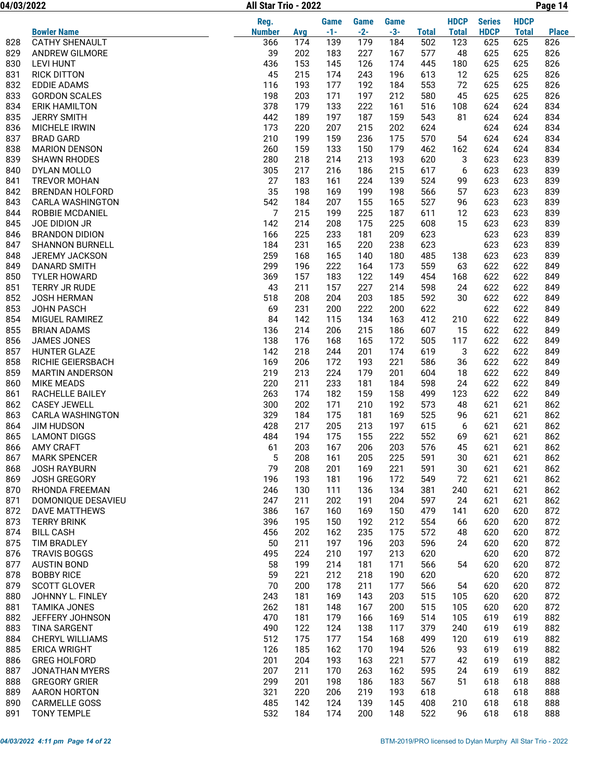04/03/2022 Page 14 All Star Trio - 2022

|     |                        | Reg.          |     | <b>Game</b> | <b>Game</b> | <b>Game</b> |              | <b>HDCP</b>  | <b>Series</b> | <b>HDCP</b>  |              |
|-----|------------------------|---------------|-----|-------------|-------------|-------------|--------------|--------------|---------------|--------------|--------------|
|     | <b>Bowler Name</b>     | <b>Number</b> | Avg | $-1-$       | $-2-$       | $-3-$       | <b>Total</b> | <b>Total</b> | <b>HDCP</b>   | <b>Total</b> | <b>Place</b> |
| 828 | <b>CATHY SHENAULT</b>  | 366           | 174 | 139         | 179         | 184         | 502          | 123          | 625           | 625          | 826          |
| 829 | ANDREW GILMORE         | 39            | 202 | 183         | 227         | 167         | 577          | 48           | 625           | 625          | 826          |
| 830 | <b>LEVI HUNT</b>       | 436           | 153 | 145         | 126         | 174         | 445          | 180          | 625           | 625          | 826          |
| 831 | <b>RICK DITTON</b>     | 45            | 215 | 174         | 243         | 196         | 613          | 12           | 625           | 625          | 826          |
| 832 | <b>EDDIE ADAMS</b>     | 116           | 193 | 177         | 192         | 184         | 553          | 72           | 625           | 625          | 826          |
| 833 | <b>GORDON SCALES</b>   | 198           | 203 | 171         | 197         | 212         | 580          | 45           | 625           | 625          | 826          |
| 834 | <b>ERIK HAMILTON</b>   | 378           | 179 | 133         | 222         | 161         | 516          | 108          | 624           | 624          | 834          |
| 835 | <b>JERRY SMITH</b>     | 442           | 189 | 197         | 187         | 159         | 543          | 81           | 624           | 624          | 834          |
| 836 | <b>MICHELE IRWIN</b>   | 173           | 220 | 207         | 215         | 202         | 624          |              | 624           | 624          | 834          |
| 837 | <b>BRAD GARD</b>       | 210           | 199 | 159         | 236         | 175         | 570          | 54           | 624           | 624          | 834          |
| 838 | <b>MARION DENSON</b>   | 260           | 159 | 133         | 150         | 179         | 462          | 162          | 624           | 624          | 834          |
| 839 | <b>SHAWN RHODES</b>    | 280           | 218 | 214         | 213         | 193         | 620          | 3            | 623           | 623          | 839          |
| 840 | DYLAN MOLLO            | 305           | 217 | 216         | 186         | 215         | 617          | 6            | 623           | 623          | 839          |
| 841 | <b>TREVOR MOHAN</b>    | 27            | 183 | 161         | 224         | 139         | 524          | 99           | 623           | 623          | 839          |
| 842 | <b>BRENDAN HOLFORD</b> | 35            | 198 | 169         | 199         | 198         | 566          | 57           | 623           | 623          | 839          |
| 843 | CARLA WASHINGTON       | 542           | 184 | 207         | 155         | 165         | 527          | 96           | 623           | 623          | 839          |
| 844 | <b>ROBBIE MCDANIEL</b> | 7             | 215 | 199         | 225         | 187         | 611          | 12           | 623           | 623          | 839          |
| 845 | JOE DIDION JR          | 142           | 214 | 208         | 175         | 225         | 608          | 15           | 623           | 623          | 839          |
| 846 | <b>BRANDON DIDION</b>  | 166           | 225 | 233         | 181         | 209         | 623          |              | 623           | 623          | 839          |
| 847 | <b>SHANNON BURNELL</b> | 184           | 231 | 165         | 220         | 238         | 623          |              | 623           | 623          | 839          |
| 848 | JEREMY JACKSON         | 259           | 168 | 165         | 140         | 180         | 485          | 138          | 623           | 623          | 839          |
| 849 | <b>DANARD SMITH</b>    | 299           | 196 | 222         | 164         | 173         | 559          | 63           | 622           | 622          | 849          |
| 850 | <b>TYLER HOWARD</b>    | 369           | 157 | 183         | 122         | 149         | 454          | 168          | 622           | 622          | 849          |
| 851 | TERRY JR RUDE          | 43            | 211 | 157         | 227         | 214         | 598          | 24           | 622           | 622          | 849          |
| 852 | <b>JOSH HERMAN</b>     | 518           | 208 | 204         | 203         | 185         | 592          | 30           | 622           | 622          | 849          |
| 853 | JOHN PASCH             | 69            | 231 | 200         | 222         | 200         | 622          |              | 622           | 622          | 849          |
| 854 | MIGUEL RAMIREZ         | 84            | 142 | 115         | 134         | 163         | 412          | 210          | 622           | 622          | 849          |
| 855 | <b>BRIAN ADAMS</b>     | 136           | 214 | 206         | 215         | 186         | 607          | 15           | 622           | 622          | 849          |
| 856 | JAMES JONES            | 138           | 176 | 168         | 165         | 172         | 505          | 117          | 622           | 622          | 849          |
| 857 | <b>HUNTER GLAZE</b>    | 142           | 218 | 244         | 201         | 174         | 619          | 3            | 622           | 622          | 849          |
| 858 | RICHIE GEIERSBACH      | 169           | 206 | 172         | 193         | 221         | 586          | 36           | 622           | 622          | 849          |
| 859 | <b>MARTIN ANDERSON</b> | 219           | 213 | 224         | 179         | 201         | 604          | 18           | 622           | 622          | 849          |
| 860 | <b>MIKE MEADS</b>      | 220           | 211 | 233         | 181         | 184         | 598          | 24           | 622           | 622          | 849          |
| 861 | RACHELLE BAILEY        | 263           | 174 | 182         | 159         | 158         | 499          | 123          | 622           | 622          | 849          |
| 862 | <b>CASEY JEWELL</b>    | 300           | 202 | 171         | 210         | 192         | 573          | 48           | 621           | 621          | 862          |
| 863 | CARLA WASHINGTON       | 329           | 184 | 175         | 181         | 169         | 525          | 96           | 621           | 621          | 862          |
| 864 | <b>JIM HUDSON</b>      | 428           | 217 | 205         | 213         | 197         | 615          | 6            | 621           | 621          | 862          |
| 865 | <b>LAMONT DIGGS</b>    | 484           | 194 | 175         | 155         | 222         | 552          | 69           | 621           | 621          | 862          |
| 866 | <b>AMY CRAFT</b>       | 61            | 203 | 167         | 206         | 203         | 576          | 45           | 621           | 621          | 862          |
| 867 | <b>MARK SPENCER</b>    | 5             | 208 | 161         | 205         | 225         | 591          | 30           | 621           | 621          | 862          |
| 868 | <b>JOSH RAYBURN</b>    | 79            | 208 | 201         | 169         | 221         | 591          | 30           | 621           | 621          | 862          |
| 869 | <b>JOSH GREGORY</b>    | 196           | 193 | 181         | 196         | 172         | 549          | 72           | 621           | 621          | 862          |
| 870 | RHONDA FREEMAN         | 246           | 130 | 111         | 136         | 134         | 381          | 240          | 621           | 621          | 862          |
| 871 | DOMONIQUE DESAVIEU     | 247           | 211 | 202         | 191         | 204         | 597          | 24           | 621           | 621          | 862          |
| 872 | <b>DAVE MATTHEWS</b>   | 386           | 167 | 160         | 169         | 150         | 479          | 141          | 620           | 620          | 872          |
| 873 | <b>TERRY BRINK</b>     | 396           | 195 | 150         | 192         | 212         | 554          | 66           | 620           | 620          | 872          |
| 874 | <b>BILL CASH</b>       | 456           | 202 | 162         | 235         | 175         | 572          | 48           | 620           | 620          | 872          |
| 875 | TIM BRADLEY            | 50            | 211 | 197         | 196         | 203         | 596          | 24           | 620           | 620          | 872          |
| 876 | <b>TRAVIS BOGGS</b>    | 495           | 224 | 210         | 197         | 213         | 620          |              | 620           | 620          | 872          |
| 877 | <b>AUSTIN BOND</b>     | 58            | 199 | 214         | 181         | 171         |              | 54           | 620           | 620          | 872          |
|     | <b>BOBBY RICE</b>      |               |     |             |             |             | 566          |              |               |              |              |
| 878 |                        | 59            | 221 | 212         | 218         | 190         | 620          |              | 620           | 620          | 872          |
| 879 | <b>SCOTT GLOVER</b>    | 70            | 200 | 178         | 211         | 177         | 566          | 54           | 620           | 620          | 872          |
| 880 | JOHNNY L. FINLEY       | 243           | 181 | 169         | 143         | 203         | 515          | 105          | 620           | 620          | 872          |
| 881 | <b>TAMIKA JONES</b>    | 262           | 181 | 148         | 167         | 200         | 515          | 105          | 620           | 620          | 872          |
| 882 | JEFFERY JOHNSON        | 470           | 181 | 179         | 166         | 169         | 514          | 105          | 619           | 619          | 882          |
| 883 | <b>TINA SARGENT</b>    | 490           | 122 | 124         | 138         | 117         | 379          | 240          | 619           | 619          | 882          |
| 884 | <b>CHERYL WILLIAMS</b> | 512           | 175 | 177         | 154         | 168         | 499          | 120          | 619           | 619          | 882          |
| 885 | <b>ERICA WRIGHT</b>    | 126           | 185 | 162         | 170         | 194         | 526          | 93           | 619           | 619          | 882          |
| 886 | <b>GREG HOLFORD</b>    | 201           | 204 | 193         | 163         | 221         | 577          | 42           | 619           | 619          | 882          |
| 887 | <b>JONATHAN MYERS</b>  | 207           | 211 | 170         | 263         | 162         | 595          | 24           | 619           | 619          | 882          |
| 888 | <b>GREGORY GRIER</b>   | 299           | 201 | 198         | 186         | 183         | 567          | 51           | 618           | 618          | 888          |
| 889 | AARON HORTON           | 321           | 220 | 206         | 219         | 193         | 618          |              | 618           | 618          | 888          |
| 890 | <b>CARMELLE GOSS</b>   | 485           | 142 | 124         | 139         | 145         | 408          | 210          | 618           | 618          | 888          |
| 891 | <b>TONY TEMPLE</b>     | 532           | 184 | 174         | 200         | 148         | 522          | 96           | 618           | 618          | 888          |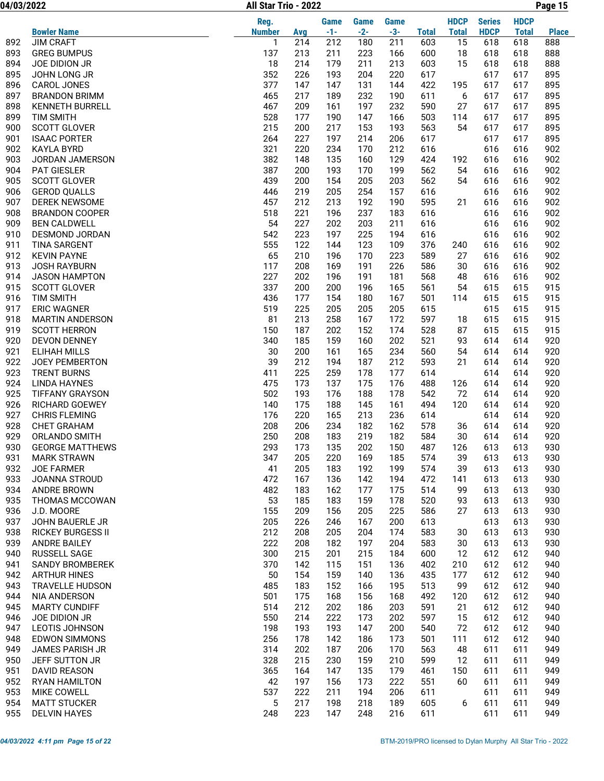04/03/2022 Page 15 All Star Trio - 2022

|            |                                                | Reg.          |            | <b>Game</b> | <b>Game</b> | <b>Game</b> |              | <b>HDCP</b>  | <b>Series</b> | <b>HDCP</b>  |              |
|------------|------------------------------------------------|---------------|------------|-------------|-------------|-------------|--------------|--------------|---------------|--------------|--------------|
|            | <b>Bowler Name</b>                             | <b>Number</b> | Avg        | $-1-$       | $-2-$       | $-3-$       | <b>Total</b> | <b>Total</b> | <b>HDCP</b>   | <b>Total</b> | <b>Place</b> |
| 892        | <b>JIM CRAFT</b>                               | 1             | 214        | 212         | 180         | 211         | 603          | 15           | 618           | 618          | 888          |
| 893        | <b>GREG BUMPUS</b>                             | 137           | 213        | 211         | 223         | 166         | 600          | 18           | 618           | 618          | 888          |
| 894        | JOE DIDION JR                                  | 18            | 214        | 179         | 211         | 213         | 603          | 15           | 618           | 618          | 888          |
| 895        | JOHN LONG JR                                   | 352           | 226        | 193         | 204         | 220         | 617          |              | 617           | 617          | 895          |
| 896        | CAROL JONES                                    | 377           | 147        | 147         | 131         | 144         | 422          | 195          | 617           | 617          | 895          |
| 897        | <b>BRANDON BRIMM</b>                           | 465           | 217        | 189         | 232         | 190         | 611          | 6            | 617           | 617          | 895          |
| 898        | <b>KENNETH BURRELL</b>                         | 467           | 209        | 161         | 197         | 232         | 590          | 27           | 617           | 617          | 895          |
| 899        | <b>TIM SMITH</b>                               | 528           | 177        | 190         | 147         | 166         | 503          | 114          | 617           | 617          | 895          |
| 900        | <b>SCOTT GLOVER</b>                            | 215           | 200        | 217         | 153         | 193         | 563          | 54           | 617           | 617          | 895          |
| 901        | <b>ISAAC PORTER</b>                            | 264           | 227        | 197         | 214         | 206         | 617          |              | 617           | 617          | 895          |
| 902        | <b>KAYLA BYRD</b>                              | 321           | 220        | 234         | 170         | 212         | 616          |              | 616           | 616          | 902          |
| 903        | JORDAN JAMERSON                                | 382           | 148        | 135         | 160         | 129         | 424          | 192          | 616           | 616          | 902          |
| 904        | PAT GIESLER                                    | 387           | 200        | 193         | 170         | 199         | 562          | 54           | 616           | 616          | 902          |
| 905        | <b>SCOTT GLOVER</b>                            | 439           | 200        | 154         | 205         | 203         | 562          | 54           | 616           | 616          | 902          |
| 906        | <b>GEROD QUALLS</b>                            | 446           | 219        | 205         | 254         | 157         | 616          |              | 616           | 616          | 902          |
| 907        | <b>DEREK NEWSOME</b>                           | 457           | 212        | 213         | 192         | 190         | 595          | 21           | 616           | 616          | 902          |
| 908        | <b>BRANDON COOPER</b>                          | 518           | 221        | 196         | 237         | 183         | 616          |              | 616           | 616          | 902          |
| 909        | <b>BEN CALDWELL</b>                            | 54            | 227        | 202         | 203         | 211         | 616          |              | 616           | 616          | 902          |
| 910        | DESMOND JORDAN                                 | 542           | 223        | 197         | 225         | 194         | 616          |              | 616           | 616          | 902          |
|            |                                                | 555           |            |             |             |             |              |              |               |              |              |
| 911        | <b>TINA SARGENT</b>                            |               | 122        | 144         | 123         | 109         | 376          | 240          | 616           | 616          | 902          |
| 912        | <b>KEVIN PAYNE</b>                             | 65            | 210        | 196         | 170         | 223         | 589          | 27           | 616           | 616          | 902          |
| 913        | <b>JOSH RAYBURN</b>                            | 117           | 208        | 169         | 191         | 226         | 586          | 30           | 616           | 616          | 902          |
| 914        | <b>JASON HAMPTON</b>                           | 227           | 202        | 196         | 191         | 181         | 568          | 48           | 616           | 616          | 902          |
| 915        | <b>SCOTT GLOVER</b>                            | 337           | 200        | 200         | 196         | 165         | 561          | 54           | 615           | 615          | 915          |
| 916        | <b>TIM SMITH</b>                               | 436           | 177        | 154         | 180         | 167         | 501          | 114          | 615           | 615          | 915          |
| 917        | <b>ERIC WAGNER</b>                             | 519           | 225        | 205         | 205         | 205         | 615          |              | 615           | 615          | 915          |
| 918        | <b>MARTIN ANDERSON</b>                         | 81            | 213        | 258         | 167         | 172         | 597          | 18           | 615           | 615          | 915          |
| 919        | <b>SCOTT HERRON</b>                            | 150           | 187        | 202         | 152         | 174         | 528          | 87           | 615           | 615          | 915          |
| 920        | <b>DEVON DENNEY</b>                            | 340           | 185        | 159         | 160         | 202         | 521          | 93           | 614           | 614          | 920          |
| 921        | <b>ELIHAH MILLS</b>                            | 30            | 200        | 161         | 165         | 234         | 560          | 54           | 614           | 614          | 920          |
| 922        | JOEY PEMBERTON                                 | 39            | 212        | 194         | 187         | 212         | 593          | 21           | 614           | 614          | 920          |
| 923        | <b>TRENT BURNS</b>                             | 411           | 225        | 259         | 178         | 177         | 614          |              | 614           | 614          | 920          |
| 924        | LINDA HAYNES                                   | 475           | 173        | 137         | 175         | 176         | 488          | 126          | 614           | 614          | 920          |
| 925        | <b>TIFFANY GRAYSON</b>                         | 502           | 193        | 176         | 188         | 178         | 542          | 72           | 614           | 614          | 920          |
| 926        | <b>RICHARD GOEWEY</b>                          | 140           | 175        | 188         | 145         | 161         | 494          | 120          | 614           | 614          | 920          |
| 927        | <b>CHRIS FLEMING</b>                           | 176           | 220        | 165         | 213         | 236         | 614          |              | 614           | 614          | 920          |
| 928        | <b>CHET GRAHAM</b>                             | 208           | 206        | 234         | 182         | 162         | 578          | 36           | 614           | 614          | 920          |
| 929        | ORLANDO SMITH                                  | 250           | 208        | 183         | 219         | 182         | 584          | 30           | 614           | 614          | 920          |
| 930        | <b>GEORGE MATTHEWS</b>                         | 293           | 173        | 135         | 202         | 150         | 487          | 126          | 613           | 613          | 930          |
| 931        | <b>MARK STRAWN</b>                             | 347           | 205        | 220         | 169         | 185         | 574          | 39           | 613           | 613          | 930          |
| 932        | <b>JOE FARMER</b>                              | 41            | 205        | 183         | 192         | 199         | 574          | 39           | 613           | 613          | 930          |
| 933        | JOANNA STROUD                                  | 472           | 167        | 136         | 142         | 194         | 472          | 141          | 613           | 613          | 930          |
| 934        | ANDRE BROWN                                    | 482           | 183        | 162         | 177         | 175         | 514          | 99           | 613           | 613          | 930          |
| 935        | THOMAS MCCOWAN                                 | 53            | 185        | 183         | 159         | 178         | 520          | 93           | 613           | 613          | 930          |
| 936        | J.D. MOORE                                     | 155           | 209        | 156         | 205         | 225         | 586          | 27           | 613           | 613          | 930          |
| 937        | JOHN BAUERLE JR                                | 205           | 226        | 246         | 167         | 200         | 613          |              | 613           | 613          | 930          |
| 938        | <b>RICKEY BURGESS II</b>                       | 212           | 208        | 205         | 204         | 174         | 583          | 30           | 613           | 613          | 930          |
| 939        | <b>ANDRE BAILEY</b>                            | 222           | 208        | 182         | 197         | 204         | 583          | 30           | 613           | 613          | 930          |
| 940        | RUSSELL SAGE                                   | 300           | 215        | 201         | 215         | 184         | 600          | 12           | 612           | 612          | 940          |
| 941        | <b>SANDY BROMBEREK</b>                         | 370           | 142        | 115         | 151         | 136         | 402          | 210          | 612           | 612          | 940          |
| 942        | <b>ARTHUR HINES</b>                            | 50            | 154        | 159         | 140         | 136         | 435          | 177          | 612           | 612          | 940          |
| 943        | <b>TRAVELLE HUDSON</b>                         | 485           | 183        | 152         | 166         | 195         | 513          | 99           | 612           | 612          | 940          |
| 944        | NIA ANDERSON                                   | 501           | 175        | 168         | 156         | 168         | 492          | 120          | 612           | 612          | 940          |
| 945        | <b>MARTY CUNDIFF</b>                           | 514           | 212        | 202         | 186         | 203         | 591          | 21           | 612           | 612          | 940          |
| 946        | JOE DIDION JR                                  | 550           | 214        | 222         | 173         | 202         | 597          | 15           | 612           | 612          | 940          |
| 947        | LEOTIS JOHNSON                                 | 198           | 193        | 193         | 147         | 200         | 540          | 72           | 612           | 612          | 940          |
|            |                                                |               |            |             |             |             |              |              |               |              |              |
| 948<br>949 | <b>EDWON SIMMONS</b><br><b>JAMES PARISH JR</b> | 256<br>314    | 178<br>202 | 142<br>187  | 186<br>206  | 173<br>170  | 501<br>563   | 111<br>48    | 612<br>611    | 612<br>611   | 940<br>949   |
|            |                                                | 328           |            |             |             |             |              |              |               |              |              |
| 950        | JEFF SUTTON JR                                 |               | 215        | 230         | 159         | 210         | 599          | 12           | 611           | 611          | 949          |
| 951        | <b>DAVID REASON</b>                            | 365           | 164        | 147         | 135         | 179         | 461          | 150          | 611           | 611          | 949          |
| 952        | RYAN HAMILTON                                  | 42            | 197        | 156         | 173         | 222         | 551          | 60           | 611           | 611          | 949          |
| 953        | MIKE COWELL                                    | 537           | 222        | 211         | 194         | 206         | 611          |              | 611           | 611          | 949          |
| 954        | <b>MATT STUCKER</b>                            | 5             | 217        | 198         | 218         | 189         | 605          | 6            | 611           | 611          | 949          |
| 955        | <b>DELVIN HAYES</b>                            | 248           | 223        | 147         | 248         | 216         | 611          |              | 611           | 611          | 949          |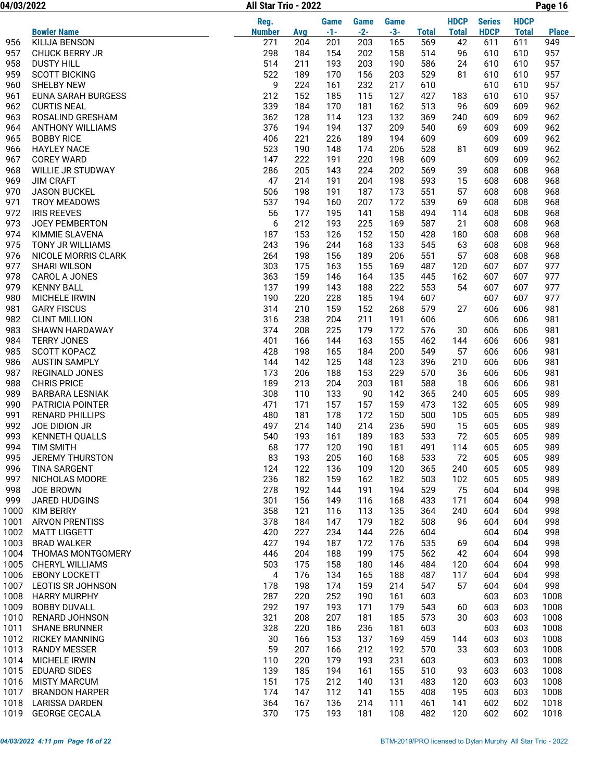04/03/2022 Page 16 All Star Trio - 2022

|              |                                              | Reg.          |            | <b>Game</b> | <b>Game</b> | <b>Game</b> |              | <b>HDCP</b>  | <b>Series</b> | <b>HDCP</b>  |              |
|--------------|----------------------------------------------|---------------|------------|-------------|-------------|-------------|--------------|--------------|---------------|--------------|--------------|
|              | <b>Bowler Name</b>                           | <b>Number</b> | Avg        | $-1-$       | $-2-$       | $-3-$       | <b>Total</b> | <b>Total</b> | <b>HDCP</b>   | <b>Total</b> | <b>Place</b> |
| 956          | <b>KILIJA BENSON</b>                         | 271           | 204        | 201         | 203         | 165         | 569          | 42           | 611           | 611          | 949          |
| 957          | <b>CHUCK BERRY JR</b>                        | 298           | 184        | 154         | 202         | 158         | 514          | 96           | 610           | 610          | 957          |
| 958          | <b>DUSTY HILL</b>                            | 514           | 211        | 193         | 203         | 190         | 586          | 24           | 610           | 610          | 957          |
| 959          | <b>SCOTT BICKING</b>                         | 522           | 189        | 170         | 156         | 203         | 529          | 81           | 610           | 610          | 957          |
| 960          | <b>SHELBY NEW</b>                            | 9             | 224        | 161         | 232         | 217         | 610          |              | 610           | 610          | 957          |
| 961          | <b>EUNA SARAH BURGESS</b>                    | 212           | 152        | 185         | 115         | 127         | 427          | 183          | 610           | 610          | 957          |
| 962          | <b>CURTIS NEAL</b>                           | 339           | 184        | 170         | 181         | 162         | 513          | 96           | 609           | 609          | 962          |
| 963          | ROSALIND GRESHAM                             | 362           | 128        | 114         | 123         | 132         | 369          | 240          | 609           | 609          | 962          |
| 964          | <b>ANTHONY WILLIAMS</b>                      | 376           | 194        | 194         | 137         | 209         | 540          | 69           | 609           | 609          | 962          |
| 965          | <b>BOBBY RICE</b>                            | 406           | 221        | 226         | 189         | 194         | 609          |              | 609           | 609          | 962          |
| 966          | <b>HAYLEY NACE</b>                           | 523           | 190        | 148         | 174         | 206         | 528          | 81           | 609           | 609          | 962          |
| 967          | <b>COREY WARD</b>                            | 147           | 222        | 191         | 220         | 198         | 609          |              | 609           | 609          | 962          |
| 968          | WILLIE JR STUDWAY                            | 286           | 205        | 143         | 224         | 202         | 569          | 39           | 608           | 608          | 968          |
| 969          | <b>JIM CRAFT</b>                             | 47            | 214        | 191         | 204         | 198         | 593          | 15           | 608           | 608          | 968          |
| 970          | <b>JASON BUCKEL</b>                          | 506           | 198        | 191         | 187         | 173         | 551          | 57           | 608           | 608          | 968          |
| 971          | <b>TROY MEADOWS</b>                          | 537           | 194        | 160         | 207         | 172         | 539          | 69           | 608           | 608          | 968          |
| 972          | <b>IRIS REEVES</b>                           | 56            | 177        | 195         | 141         | 158         | 494          | 114          | 608           | 608          | 968          |
| 973          | <b>JOEY PEMBERTON</b>                        | 6             | 212        | 193         | 225         | 169         | 587          | 21           | 608           | 608          | 968          |
| 974          | KIMMIE SLAVENA                               | 187           | 153        | 126         | 152         | 150         | 428          | 180          | 608           | 608          | 968          |
| 975          | TONY JR WILLIAMS                             | 243           | 196        | 244         | 168         | 133         | 545          | 63           | 608           | 608          | 968          |
| 976          | NICOLE MORRIS CLARK                          | 264           | 198        | 156         | 189         | 206         | 551          | 57           | 608           | 608          | 968          |
| 977          | <b>SHARI WILSON</b>                          | 303           | 175        | 163         | 155         | 169         | 487          | 120          | 607           | 607          | 977          |
| 978          | CAROL A JONES                                | 363           | 159        | 146         | 164         | 135         | 445          | 162          | 607           | 607          | 977          |
| 979          | <b>KENNY BALL</b>                            | 137           | 199        | 143         | 188         | 222         | 553          | 54           | 607           | 607          | 977          |
| 980          | MICHELE IRWIN                                | 190           | 220        | 228         | 185         | 194         | 607          |              | 607           | 607          | 977          |
| 981          | <b>GARY FISCUS</b>                           | 314           | 210        | 159         | 152         | 268         | 579          | 27           | 606           | 606          | 981          |
| 982          | <b>CLINT MILLION</b>                         | 316           | 238        | 204         | 211         | 191         | 606          |              | 606           | 606          | 981          |
| 983          | SHAWN HARDAWAY                               | 374           | 208        | 225         | 179         | 172         | 576          | 30           | 606           | 606          | 981          |
| 984          | <b>TERRY JONES</b>                           | 401           | 166        | 144         | 163         | 155         | 462          | 144          | 606           | 606          | 981          |
| 985          | SCOTT KOPACZ                                 | 428           | 198        | 165         | 184         | 200         | 549          | 57           | 606           | 606          | 981          |
| 986          | <b>AUSTIN SAMPLY</b>                         | 144           | 142        | 125         | 148         | 123         | 396          | 210          | 606           | 606          | 981          |
| 987          | <b>REGINALD JONES</b>                        | 173           | 206        | 188         | 153         | 229         | 570          | 36           | 606           | 606          | 981          |
| 988          | <b>CHRIS PRICE</b>                           | 189           | 213        | 204         | 203         | 181         | 588          | 18           | 606           | 606          | 981          |
| 989          | <b>BARBARA LESNIAK</b>                       | 308           | 110        | 133         | 90          | 142         | 365          | 240          | 605           | 605          | 989          |
| 990          | PATRICIA POINTER                             | 471           | 171        | 157         | 157         | 159         | 473          | 132          | 605           | 605          | 989          |
| 991          | <b>RENARD PHILLIPS</b>                       | 480           | 181        | 178         | 172         | 150         | 500          | 105          | 605           | 605          | 989          |
| 992          | JOE DIDION JR                                | 497           | 214        | 140         | 214         | 236         | 590          | 15           | 605           | 605          | 989          |
| 993          | <b>KENNETH QUALLS</b>                        | 540           | 193        | 161         | 189         | 183         | 533          | 72           | 605           | 605          | 989          |
| 994          | <b>TIM SMITH</b>                             | 68            | 177        | 120         | 190         | 181         | 491          | 114          | 605           | 605          | 989          |
| 995          | JEREMY THURSTON                              | 83            | 193        | 205         | 160         | 168         | 533          | 72           | 605           | 605          | 989          |
| 996          | <b>TINA SARGENT</b>                          | 124           | 122        | 136         | 109         | 120         | 365          | 240          | 605           | 605          | 989          |
| 997          | NICHOLAS MOORE                               | 236           | 182        | 159         | 162         | 182         | 503          | 102          | 605           | 605          | 989          |
| 998          | <b>JOE BROWN</b>                             | 278           | 192        | 144         | 191         | 194         | 529          | 75           | 604           | 604          | 998          |
| 999          | JARED HUDGINS                                | 301           | 156        | 149         | 116         | 168         | 433          | 171          | 604           | 604          | 998          |
| 1000         | <b>KIM BERRY</b>                             | 358           | 121        | 116         | 113         | 135         | 364          | 240          | 604           | 604          | 998          |
| 1001         | <b>ARVON PRENTISS</b>                        | 378           | 184        | 147         | 179         | 182         | 508          | 96           | 604           | 604          | 998          |
| 1002         | <b>MATT LIGGETT</b>                          | 420           | 227        | 234         | 144         | 226         | 604          |              | 604           | 604          | 998          |
| 1003         | <b>BRAD WALKER</b>                           | 427           | 194        | 187         | 172         | 176         | 535          | 69           | 604           | 604          | 998          |
| 1004         | THOMAS MONTGOMERY                            | 446           | 204        | 188         | 199         | 175         | 562          | 42           | 604           | 604          | 998          |
| 1005         | CHERYL WILLIAMS<br><b>EBONY LOCKETT</b>      | 503           | 175        | 158         | 180         | 146         | 484          | 120          | 604           | 604          | 998          |
| 1006         |                                              | 4             | 176        | 134         | 165         | 188         | 487          | 117          | 604           | 604          | 998          |
| 1007<br>1008 | <b>LEOTIS SR JOHNSON</b>                     | 178<br>287    | 198<br>220 | 174<br>252  | 159<br>190  | 214<br>161  | 547          | 57           | 604<br>603    | 604<br>603   | 998          |
|              | <b>HARRY MURPHY</b>                          |               |            |             |             |             | 603          |              |               |              | 1008         |
| 1009<br>1010 | <b>BOBBY DUVALL</b><br><b>RENARD JOHNSON</b> | 292<br>321    | 197<br>208 | 193<br>207  | 171<br>181  | 179<br>185  | 543<br>573   | 60<br>30     | 603<br>603    | 603<br>603   | 1008<br>1008 |
| 1011         | <b>SHANE BRUNNER</b>                         | 328           | 220        | 186         | 236         | 181         | 603          |              | 603           | 603          | 1008         |
|              |                                              |               |            |             |             |             |              |              |               |              |              |
| 1012<br>1013 | <b>RICKEY MANNING</b>                        | 30<br>59      | 166<br>207 | 153<br>166  | 137<br>212  | 169<br>192  | 459<br>570   | 144<br>33    | 603<br>603    | 603<br>603   | 1008<br>1008 |
| 1014         | <b>RANDY MESSER</b><br>MICHELE IRWIN         | 110           | 220        | 179         | 193         | 231         | 603          |              | 603           | 603          | 1008         |
| 1015         | <b>EDUARD SIDES</b>                          | 139           | 185        | 194         | 161         | 155         | 510          | 93           | 603           | 603          | 1008         |
| 1016         | <b>MISTY MARCUM</b>                          | 151           | 175        | 212         | 140         | 131         | 483          | 120          | 603           | 603          | 1008         |
| 1017         | <b>BRANDON HARPER</b>                        | 174           | 147        | 112         | 141         | 155         | 408          | 195          | 603           | 603          | 1008         |
| 1018         | <b>LARISSA DARDEN</b>                        | 364           | 167        | 136         | 214         | 111         | 461          | 141          | 602           | 602          | 1018         |
| 1019         | <b>GEORGE CECALA</b>                         | 370           | 175        | 193         | 181         | 108         | 482          | 120          | 602           | 602          | 1018         |
|              |                                              |               |            |             |             |             |              |              |               |              |              |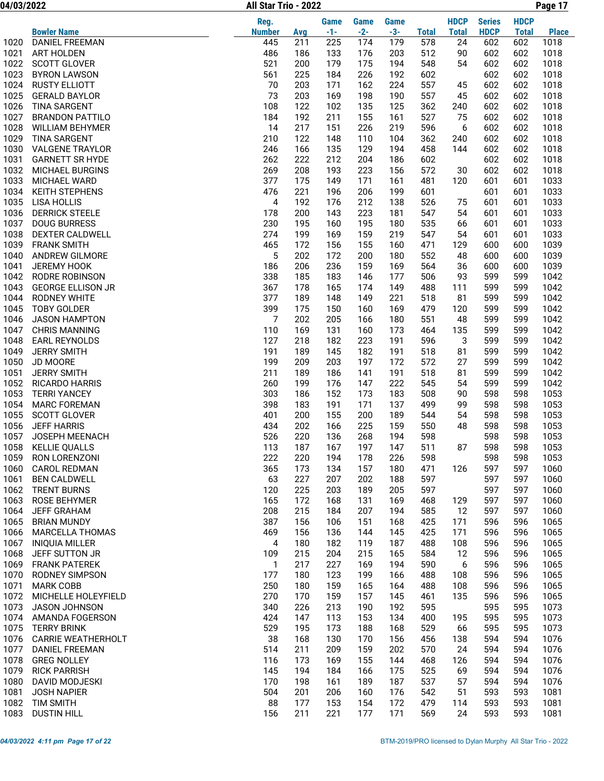04/03/2022 Page 17 All Star Trio - 2022

|              |                                               | Reg.          |            | Game       | Game       | <b>Game</b> |              | <b>HDCP</b>  | <b>Series</b> | <b>HDCP</b>  |              |
|--------------|-----------------------------------------------|---------------|------------|------------|------------|-------------|--------------|--------------|---------------|--------------|--------------|
|              | <b>Bowler Name</b>                            | <b>Number</b> | <b>Avg</b> | $-1-$      | $-2-$      | $-3-$       | <b>Total</b> | <b>Total</b> | <b>HDCP</b>   | <b>Total</b> | <b>Place</b> |
| 1020         | <b>DANIEL FREEMAN</b>                         | 445           | 211        | 225        | 174        | 179         | 578          | 24           | 602           | 602          | 1018         |
| 1021         | <b>ART HOLDEN</b>                             | 486           | 186        | 133        | 176        | 203         | 512          | 90           | 602           | 602          | 1018         |
| 1022         | <b>SCOTT GLOVER</b>                           | 521           | 200        | 179        | 175        | 194         | 548          | 54           | 602           | 602          | 1018         |
| 1023         | <b>BYRON LAWSON</b>                           | 561           | 225        | 184        | 226        | 192         | 602          |              | 602           | 602          | 1018         |
| 1024         | <b>RUSTY ELLIOTT</b>                          | 70            | 203        | 171        | 162        | 224         | 557          | 45           | 602           | 602          | 1018         |
| 1025         | <b>GERALD BAYLOR</b>                          | 73            | 203        | 169        | 198        | 190         | 557          | 45           | 602           | 602          | 1018         |
| 1026<br>1027 | <b>TINA SARGENT</b><br><b>BRANDON PATTILO</b> | 108<br>184    | 122<br>192 | 102<br>211 | 135<br>155 | 125<br>161  | 362<br>527   | 240<br>75    | 602<br>602    | 602<br>602   | 1018<br>1018 |
| 1028         | <b>WILLIAM BEHYMER</b>                        | 14            | 217        | 151        | 226        | 219         | 596          | 6            | 602           | 602          | 1018         |
| 1029         | <b>TINA SARGENT</b>                           | 210           | 122        | 148        | 110        | 104         | 362          | 240          | 602           | 602          | 1018         |
| 1030         | <b>VALGENE TRAYLOR</b>                        | 246           | 166        | 135        | 129        | 194         | 458          | 144          | 602           | 602          | 1018         |
| 1031         | <b>GARNETT SR HYDE</b>                        | 262           | 222        | 212        | 204        | 186         | 602          |              | 602           | 602          | 1018         |
| 1032         | MICHAEL BURGINS                               | 269           | 208        | 193        | 223        | 156         | 572          | 30           | 602           | 602          | 1018         |
| 1033         | MICHAEL WARD                                  | 377           | 175        | 149        | 171        | 161         | 481          | 120          | 601           | 601          | 1033         |
| 1034         | <b>KEITH STEPHENS</b>                         | 476           | 221        | 196        | 206        | 199         | 601          |              | 601           | 601          | 1033         |
| 1035         | <b>LISA HOLLIS</b>                            | 4             | 192        | 176        | 212        | 138         | 526          | 75           | 601           | 601          | 1033         |
| 1036         | <b>DERRICK STEELE</b>                         | 178           | 200        | 143        | 223        | 181         | 547          | 54           | 601           | 601          | 1033         |
| 1037         | <b>DOUG BURRESS</b>                           | 230           | 195        | 160        | 195        | 180         | 535          | 66           | 601           | 601          | 1033         |
| 1038         | DEXTER CALDWELL                               | 274           | 199        | 169        | 159        | 219         | 547          | 54           | 601           | 601          | 1033         |
| 1039         | <b>FRANK SMITH</b>                            | 465           | 172        | 156        | 155        | 160         | 471          | 129          | 600           | 600          | 1039         |
| 1040         | ANDREW GILMORE                                | 5             | 202        | 172        | 200        | 180         | 552          | 48           | 600           | 600          | 1039         |
| 1041<br>1042 | JEREMY HOOK<br>RODRE ROBINSON                 | 186<br>338    | 206<br>185 | 236<br>183 | 159<br>146 | 169<br>177  | 564<br>506   | 36<br>93     | 600<br>599    | 600<br>599   | 1039<br>1042 |
| 1043         | <b>GEORGE ELLISON JR</b>                      | 367           | 178        | 165        | 174        | 149         | 488          | 111          | 599           | 599          | 1042         |
| 1044         | <b>RODNEY WHITE</b>                           | 377           | 189        | 148        | 149        | 221         | 518          | 81           | 599           | 599          | 1042         |
| 1045         | <b>TOBY GOLDER</b>                            | 399           | 175        | 150        | 160        | 169         | 479          | 120          | 599           | 599          | 1042         |
| 1046         | <b>JASON HAMPTON</b>                          | 7             | 202        | 205        | 166        | 180         | 551          | 48           | 599           | 599          | 1042         |
| 1047         | <b>CHRIS MANNING</b>                          | 110           | 169        | 131        | 160        | 173         | 464          | 135          | 599           | 599          | 1042         |
| 1048         | EARL REYNOLDS                                 | 127           | 218        | 182        | 223        | 191         | 596          | 3            | 599           | 599          | 1042         |
| 1049         | <b>JERRY SMITH</b>                            | 191           | 189        | 145        | 182        | 191         | 518          | 81           | 599           | 599          | 1042         |
| 1050         | JD MOORE                                      | 199           | 209        | 203        | 197        | 172         | 572          | 27           | 599           | 599          | 1042         |
| 1051         | <b>JERRY SMITH</b>                            | 211           | 189        | 186        | 141        | 191         | 518          | 81           | 599           | 599          | 1042         |
| 1052         | <b>RICARDO HARRIS</b>                         | 260           | 199        | 176        | 147        | 222         | 545          | 54           | 599           | 599          | 1042         |
| 1053         | <b>TERRI YANCEY</b>                           | 303           | 186        | 152        | 173        | 183         | 508          | 90           | 598           | 598          | 1053         |
| 1054         | <b>MARC FOREMAN</b>                           | 398           | 183        | 191        | 171        | 137         | 499          | 99           | 598           | 598          | 1053         |
| 1055         | <b>SCOTT GLOVER</b>                           | 401           | 200        | 155        | 200        | 189         | 544          | 54           | 598           | 598          | 1053         |
| 1056<br>1057 | <b>JEFF HARRIS</b><br>JOSEPH MEENACH          | 434<br>526    | 202<br>220 | 166<br>136 | 225<br>268 | 159<br>194  | 550<br>598   | 48           | 598<br>598    | 598<br>598   | 1053<br>1053 |
| 1058         | <b>KELLIE QUALLS</b>                          | 113           | 187        | 167        | 197        | 147         | 511          | 87           | 598           | 598          | 1053         |
| 1059         | RON LORENZONI                                 | 222           | 220        | 194        | 178        | 226         | 598          |              | 598           | 598          | 1053         |
| 1060         | <b>CAROL REDMAN</b>                           | 365           | 173        | 134        | 157        | 180         | 471          | 126          | 597           | 597          | 1060         |
| 1061         | <b>BEN CALDWELL</b>                           | 63            | 227        | 207        | 202        | 188         | 597          |              | 597           | 597          | 1060         |
| 1062         | <b>TRENT BURNS</b>                            | 120           | 225        | 203        | 189        | 205         | 597          |              | 597           | 597          | 1060         |
| 1063         | ROSE BEHYMER                                  | 165           | 172        | 168        | 131        | 169         | 468          | 129          | 597           | 597          | 1060         |
| 1064         | <b>JEFF GRAHAM</b>                            | 208           | 215        | 184        | 207        | 194         | 585          | 12           | 597           | 597          | 1060         |
| 1065         | <b>BRIAN MUNDY</b>                            | 387           | 156        | 106        | 151        | 168         | 425          | 171          | 596           | 596          | 1065         |
| 1066         | <b>MARCELLA THOMAS</b>                        | 469           | 156        | 136        | 144        | 145         | 425          | 171          | 596           | 596          | 1065         |
| 1067         | <b>INIQUIA MILLER</b>                         | 4             | 180        | 182        | 119        | 187         | 488          | 108          | 596           | 596          | 1065         |
| 1068         | JEFF SUTTON JR                                | 109           | 215        | 204        | 215        | 165         | 584          | 12           | 596           | 596          | 1065         |
| 1069<br>1070 | <b>FRANK PATEREK</b><br><b>RODNEY SIMPSON</b> | 1<br>177      | 217<br>180 | 227<br>123 | 169<br>199 | 194<br>166  | 590<br>488   | 6<br>108     | 596<br>596    | 596<br>596   | 1065<br>1065 |
| 1071         | <b>MARK COBB</b>                              | 250           | 180        | 159        | 165        | 164         | 488          | 108          | 596           | 596          | 1065         |
| 1072         | MICHELLE HOLEYFIELD                           | 270           | 170        | 159        | 157        | 145         | 461          | 135          | 596           | 596          | 1065         |
| 1073         | <b>JASON JOHNSON</b>                          | 340           | 226        | 213        | 190        | 192         | 595          |              | 595           | 595          | 1073         |
| 1074         | AMANDA FOGERSON                               | 424           | 147        | 113        | 153        | 134         | 400          | 195          | 595           | 595          | 1073         |
| 1075         | <b>TERRY BRINK</b>                            | 529           | 195        | 173        | 188        | 168         | 529          | 66           | 595           | 595          | 1073         |
| 1076         | <b>CARRIE WEATHERHOLT</b>                     | 38            | 168        | 130        | 170        | 156         | 456          | 138          | 594           | 594          | 1076         |
| 1077         | DANIEL FREEMAN                                | 514           | 211        | 209        | 159        | 202         | 570          | 24           | 594           | 594          | 1076         |
| 1078         | <b>GREG NOLLEY</b>                            | 116           | 173        | 169        | 155        | 144         | 468          | 126          | 594           | 594          | 1076         |
| 1079         | <b>RICK PARRISH</b>                           | 145           | 194        | 184        | 166        | 175         | 525          | 69           | 594           | 594          | 1076         |
| 1080         | DAVID MODJESKI                                | 170           | 198        | 161        | 189        | 187         | 537          | 57           | 594           | 594          | 1076         |
| 1081         | <b>JOSH NAPIER</b>                            | 504           | 201        | 206        | 160        | 176         | 542          | 51           | 593           | 593          | 1081         |
| 1082         | <b>TIM SMITH</b>                              | 88            | 177        | 153        | 154        | 172         | 479          | 114          | 593           | 593          | 1081         |
| 1083         | <b>DUSTIN HILL</b>                            | 156           | 211        | 221        | 177        | 171         | 569          | 24           | 593           | 593          | 1081         |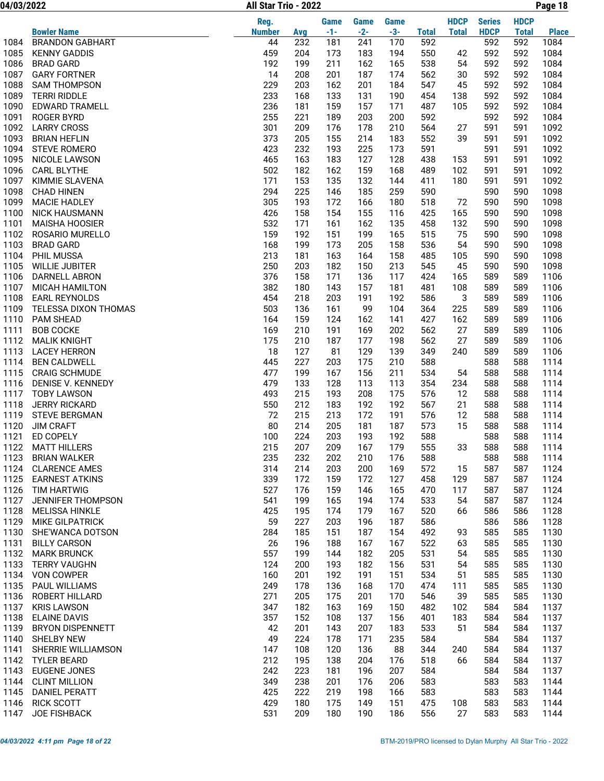04/03/2022 Page 18 All Star Trio - 2022

|              |                                            | Reg.          |            | <b>Game</b> | Game       | <b>Game</b> |              | <b>HDCP</b>  | <b>Series</b> | <b>HDCP</b>  |              |
|--------------|--------------------------------------------|---------------|------------|-------------|------------|-------------|--------------|--------------|---------------|--------------|--------------|
|              | <b>Bowler Name</b>                         | <b>Number</b> | <b>Avg</b> | $-1-$       | $-2-$      | $-3-$       | <b>Total</b> | <b>Total</b> | <b>HDCP</b>   | <b>Total</b> | <b>Place</b> |
| 1084         | <b>BRANDON GABHART</b>                     | 44            | 232        | 181         | 241        | 170         | 592          |              | 592           | 592          | 1084         |
| 1085         | <b>KENNY GADDIS</b>                        | 459           | 204        | 173         | 183        | 194         | 550          | 42           | 592           | 592          | 1084         |
| 1086         | <b>BRAD GARD</b>                           | 192           | 199        | 211         | 162        | 165         | 538          | 54           | 592           | 592          | 1084         |
| 1087         | <b>GARY FORTNER</b>                        | 14            | 208        | 201         | 187        | 174         | 562          | 30           | 592           | 592          | 1084         |
| 1088         | <b>SAM THOMPSON</b>                        | 229           | 203        | 162         | 201        | 184         | 547          | 45           | 592           | 592          | 1084         |
| 1089         | <b>TERRI RIDDLE</b>                        | 233           | 168        | 133         | 131        | 190         | 454          | 138          | 592           | 592          | 1084         |
| 1090         | <b>EDWARD TRAMELL</b>                      | 236           | 181        | 159         | 157        | 171         | 487          | 105          | 592           | 592          | 1084         |
| 1091         | <b>ROGER BYRD</b>                          | 255           | 221        | 189         | 203        | 200         | 592          |              | 592           | 592          | 1084         |
| 1092<br>1093 | <b>LARRY CROSS</b>                         | 301<br>373    | 209        | 176         | 178        | 210         | 564<br>552   | 27           | 591           | 591          | 1092         |
| 1094         | <b>BRIAN HEFLIN</b><br><b>STEVE ROMERO</b> | 423           | 205<br>232 | 155<br>193  | 214<br>225 | 183<br>173  | 591          | 39           | 591<br>591    | 591<br>591   | 1092<br>1092 |
| 1095         | NICOLE LAWSON                              | 465           | 163        | 183         | 127        | 128         | 438          | 153          | 591           | 591          | 1092         |
| 1096         | <b>CARL BLYTHE</b>                         | 502           | 182        | 162         | 159        | 168         | 489          | 102          | 591           | 591          | 1092         |
| 1097         | KIMMIE SLAVENA                             | 171           | 153        | 135         | 132        | 144         | 411          | 180          | 591           | 591          | 1092         |
| 1098         | <b>CHAD HINEN</b>                          | 294           | 225        | 146         | 185        | 259         | 590          |              | 590           | 590          | 1098         |
| 1099         | <b>MACIE HADLEY</b>                        | 305           | 193        | 172         | 166        | 180         | 518          | 72           | 590           | 590          | 1098         |
| 1100         | <b>NICK HAUSMANN</b>                       | 426           | 158        | 154         | 155        | 116         | 425          | 165          | 590           | 590          | 1098         |
| 1101         | <b>MAISHA HOOSIER</b>                      | 532           | 171        | 161         | 162        | 135         | 458          | 132          | 590           | 590          | 1098         |
| 1102         | ROSARIO MURELLO                            | 159           | 192        | 151         | 199        | 165         | 515          | 75           | 590           | 590          | 1098         |
| 1103         | <b>BRAD GARD</b>                           | 168           | 199        | 173         | 205        | 158         | 536          | 54           | 590           | 590          | 1098         |
| 1104         | PHIL MUSSA                                 | 213           | 181        | 163         | 164        | 158         | 485          | 105          | 590           | 590          | 1098         |
| 1105         | <b>WILLIE JUBITER</b>                      | 250           | 203        | 182         | 150        | 213         | 545          | 45           | 590           | 590          | 1098         |
| 1106         | DARNELL ABRON                              | 376           | 158        | 171         | 136        | 117         | 424          | 165          | 589           | 589          | 1106         |
| 1107         | <b>MICAH HAMILTON</b>                      | 382           | 180        | 143         | 157        | 181         | 481          | 108          | 589           | 589          | 1106         |
| 1108         | <b>EARL REYNOLDS</b>                       | 454           | 218        | 203         | 191        | 192         | 586          | 3            | 589           | 589          | 1106         |
| 1109         | TELESSA DIXON THOMAS                       | 503           | 136        | 161         | 99         | 104         | 364          | 225          | 589           | 589          | 1106         |
| 1110         | <b>PAM SHEAD</b>                           | 164           | 159        | 124         | 162        | 141         | 427          | 162          | 589           | 589          | 1106         |
| 1111         | <b>BOB COCKE</b>                           | 169           | 210        | 191         | 169        | 202         | 562          | 27           | 589           | 589          | 1106         |
| 1112         | <b>MALIK KNIGHT</b>                        | 175           | 210        | 187         | 177        | 198         | 562          | 27           | 589           | 589          | 1106         |
| 1113         | <b>LACEY HERRON</b>                        | 18            | 127        | 81          | 129        | 139         | 349          | 240          | 589           | 589          | 1106         |
| 1114         | <b>BEN CALDWELL</b>                        | 445           | 227        | 203         | 175        | 210         | 588          |              | 588           | 588          | 1114         |
| 1115         | <b>CRAIG SCHMUDE</b>                       | 477           | 199        | 167         | 156        | 211         | 534          | 54           | 588           | 588          | 1114         |
| 1116         | DENISE V. KENNEDY                          | 479           | 133        | 128         | 113        | 113         | 354          | 234          | 588           | 588          | 1114         |
| 1117         | <b>TOBY LAWSON</b>                         | 493           | 215        | 193         | 208        | 175         | 576          | 12           | 588           | 588          | 1114         |
| 1118         | <b>JERRY RICKARD</b>                       | 550           | 212        | 183         | 192        | 192         | 567          | 21           | 588           | 588          | 1114         |
| 1119         | <b>STEVE BERGMAN</b>                       | 72            | 215        | 213         | 172        | 191         | 576          | 12           | 588           | 588          | 1114         |
| 1120<br>1121 | <b>JIM CRAFT</b>                           | 80            | 214        | 205         | 181        | 187         | 573          | 15           | 588           | 588          | 1114         |
| 1122         | ED COPELY<br><b>MATT HILLERS</b>           | 100<br>215    | 224<br>207 | 203<br>209  | 193<br>167 | 192<br>179  | 588<br>555   | 33           | 588<br>588    | 588<br>588   | 1114<br>1114 |
| 1123         | <b>BRIAN WALKER</b>                        | 235           | 232        | 202         | 210        | 176         | 588          |              | 588           | 588          | 1114         |
| 1124         | <b>CLARENCE AMES</b>                       | 314           | 214        | 203         | 200        | 169         | 572          | 15           | 587           | 587          | 1124         |
| 1125         | <b>EARNEST ATKINS</b>                      | 339           | 172        | 159         | 172        | 127         | 458          | 129          | 587           | 587          | 1124         |
| 1126         | TIM HARTWIG                                | 527           | 176        | 159         | 146        | 165         | 470          | 117          | 587           | 587          | 1124         |
| 1127         | JENNIFER THOMPSON                          | 541           | 199        | 165         | 194        | 174         | 533          | 54           | 587           | 587          | 1124         |
| 1128         | <b>MELISSA HINKLE</b>                      | 425           | 195        | 174         | 179        | 167         | 520          | 66           | 586           | 586          | 1128         |
| 1129         | <b>MIKE GILPATRICK</b>                     | 59            | 227        | 203         | 196        | 187         | 586          |              | 586           | 586          | 1128         |
| 1130         | SHE'WANCA DOTSON                           | 284           | 185        | 151         | 187        | 154         | 492          | 93           | 585           | 585          | 1130         |
| 1131         | <b>BILLY CARSON</b>                        | 26            | 196        | 188         | 167        | 167         | 522          | 63           | 585           | 585          | 1130         |
| 1132         | <b>MARK BRUNCK</b>                         | 557           | 199        | 144         | 182        | 205         | 531          | 54           | 585           | 585          | 1130         |
| 1133         | <b>TERRY VAUGHN</b>                        | 124           | 200        | 193         | 182        | 156         | 531          | 54           | 585           | 585          | 1130         |
|              | 1134 VON COWPER                            | 160           | 201        | 192         | 191        | 151         | 534          | 51           | 585           | 585          | 1130         |
| 1135         | PAUL WILLIAMS                              | 249           | 178        | 136         | 168        | 170         | 474          | 111          | 585           | 585          | 1130         |
| 1136         | ROBERT HILLARD                             | 271           | 205        | 175         | 201        | 170         | 546          | 39           | 585           | 585          | 1130         |
| 1137         | <b>KRIS LAWSON</b>                         | 347           | 182        | 163         | 169        | 150         | 482          | 102          | 584           | 584          | 1137         |
| 1138         | <b>ELAINE DAVIS</b>                        | 357           | 152        | 108         | 137        | 156         | 401          | 183          | 584           | 584          | 1137         |
| 1139         | <b>BRYON DISPENNETT</b>                    | 42            | 201        | 143         | 207        | 183         | 533          | 51           | 584           | 584          | 1137         |
| 1140         | <b>SHELBY NEW</b>                          | 49            | 224        | 178         | 171        | 235         | 584          |              | 584           | 584          | 1137         |
| 1141         | SHERRIE WILLIAMSON                         | 147           | 108        | 120         | 136        | 88          | 344          | 240          | 584           | 584          | 1137         |
| 1142         | TYLER BEARD                                | 212           | 195        | 138         | 204        | 176         | 518          | 66           | 584           | 584          | 1137         |
| 1143         | <b>EUGENE JONES</b>                        | 242           | 223        | 181         | 196        | 207         | 584          |              | 584           | 584          | 1137         |
| 1144         | <b>CLINT MILLION</b>                       | 349           | 238        | 201         | 176        | 206         | 583          |              | 583           | 583          | 1144         |
| 1145         | <b>DANIEL PERATT</b>                       | 425           | 222        | 219         | 198        | 166         | 583          |              | 583           | 583          | 1144         |
| 1146         | <b>RICK SCOTT</b>                          | 429           | 180        | 175         | 149        | 151         | 475          | 108          | 583           | 583          | 1144         |
| 1147         | JOE FISHBACK                               | 531           | 209        | 180         | 190        | 186         | 556          | 27           | 583           | 583          | 1144         |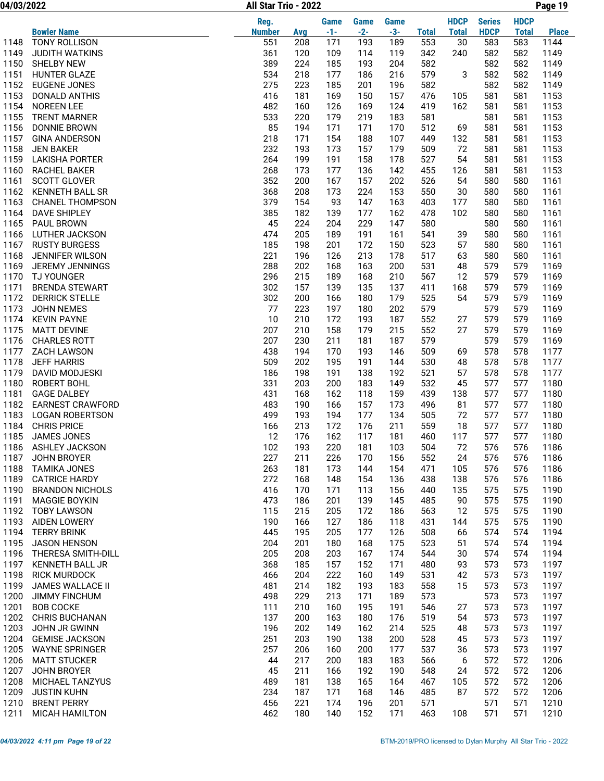04/03/2022 Page 19 All Star Trio - 2022

|              |                                           | Reg.          |            | <b>Game</b> | <b>Game</b> | <b>Game</b> |              | <b>HDCP</b>  | <b>Series</b> | <b>HDCP</b>  |              |
|--------------|-------------------------------------------|---------------|------------|-------------|-------------|-------------|--------------|--------------|---------------|--------------|--------------|
|              | <b>Bowler Name</b>                        | <b>Number</b> | Avg        | $-1-$       | $-2-$       | $-3-$       | <b>Total</b> | <b>Total</b> | <b>HDCP</b>   | <b>Total</b> | <b>Place</b> |
| 1148         | <b>TONY ROLLISON</b>                      | 551           | 208        | 171         | 193         | 189         | 553          | 30           | 583           | 583          | 1144         |
| 1149         | <b>JUDITH WATKINS</b>                     | 361           | 120        | 109         | 114         | 119         | 342          | 240          | 582           | 582          | 1149         |
| 1150         | <b>SHELBY NEW</b>                         | 389           | 224        | 185         | 193         | 204         | 582          |              | 582           | 582          | 1149         |
| 1151         | <b>HUNTER GLAZE</b>                       | 534           | 218        | 177         | 186         | 216         | 579          | 3            | 582           | 582          | 1149         |
| 1152         | <b>EUGENE JONES</b>                       | 275           | 223        | 185         | 201         | 196         | 582          |              | 582           | 582          | 1149         |
| 1153<br>1154 | DONALD ANTHIS<br>NOREEN LEE               | 416<br>482    | 181<br>160 | 169<br>126  | 150<br>169  | 157<br>124  | 476<br>419   | 105<br>162   | 581<br>581    | 581<br>581   | 1153<br>1153 |
| 1155         | <b>TRENT MARNER</b>                       | 533           | 220        | 179         | 219         | 183         | 581          |              | 581           | 581          | 1153         |
| 1156         | DONNIE BROWN                              | 85            | 194        | 171         | 171         | 170         | 512          | 69           | 581           | 581          | 1153         |
| 1157         | <b>GINA ANDERSON</b>                      | 218           | 171        | 154         | 188         | 107         | 449          | 132          | 581           | 581          | 1153         |
| 1158         | <b>JEN BAKER</b>                          | 232           | 193        | 173         | 157         | 179         | 509          | 72           | 581           | 581          | 1153         |
| 1159         | <b>LAKISHA PORTER</b>                     | 264           | 199        | 191         | 158         | 178         | 527          | 54           | 581           | 581          | 1153         |
| 1160         | <b>RACHEL BAKER</b>                       | 268           | 173        | 177         | 136         | 142         | 455          | 126          | 581           | 581          | 1153         |
| 1161         | <b>SCOTT GLOVER</b>                       | 352           | 200        | 167         | 157         | 202         | 526          | 54           | 580           | 580          | 1161         |
| 1162         | <b>KENNETH BALL SR</b>                    | 368           | 208        | 173         | 224         | 153         | 550          | 30           | 580           | 580          | 1161         |
| 1163         | <b>CHANEL THOMPSON</b>                    | 379           | 154        | 93          | 147         | 163         | 403          | 177          | 580           | 580          | 1161         |
| 1164         | <b>DAVE SHIPLEY</b>                       | 385           | 182        | 139         | 177         | 162         | 478          | 102          | 580           | 580          | 1161         |
| 1165         | PAUL BROWN                                | 45            | 224        | 204         | 229         | 147         | 580          |              | 580           | 580          | 1161         |
| 1166<br>1167 | LUTHER JACKSON<br><b>RUSTY BURGESS</b>    | 474<br>185    | 205<br>198 | 189<br>201  | 191<br>172  | 161<br>150  | 541<br>523   | 39<br>57     | 580<br>580    | 580<br>580   | 1161<br>1161 |
| 1168         | <b>JENNIFER WILSON</b>                    | 221           | 196        | 126         | 213         | 178         | 517          | 63           | 580           | 580          | 1161         |
| 1169         | <b>JEREMY JENNINGS</b>                    | 288           | 202        | 168         | 163         | 200         | 531          | 48           | 579           | 579          | 1169         |
| 1170         | <b>TJ YOUNGER</b>                         | 296           | 215        | 189         | 168         | 210         | 567          | 12           | 579           | 579          | 1169         |
| 1171         | <b>BRENDA STEWART</b>                     | 302           | 157        | 139         | 135         | 137         | 411          | 168          | 579           | 579          | 1169         |
| 1172         | <b>DERRICK STELLE</b>                     | 302           | 200        | 166         | 180         | 179         | 525          | 54           | 579           | 579          | 1169         |
| 1173         | JOHN NEMES                                | 77            | 223        | 197         | 180         | 202         | 579          |              | 579           | 579          | 1169         |
| 1174         | <b>KEVIN PAYNE</b>                        | 10            | 210        | 172         | 193         | 187         | 552          | 27           | 579           | 579          | 1169         |
| 1175         | <b>MATT DEVINE</b>                        | 207           | 210        | 158         | 179         | 215         | 552          | 27           | 579           | 579          | 1169         |
| 1176         | <b>CHARLES ROTT</b>                       | 207           | 230        | 211         | 181         | 187         | 579          |              | 579           | 579          | 1169         |
| 1177         | <b>ZACH LAWSON</b>                        | 438           | 194        | 170         | 193         | 146         | 509          | 69           | 578           | 578          | 1177         |
| 1178         | <b>JEFF HARRIS</b>                        | 509           | 202        | 195         | 191         | 144         | 530          | 48           | 578           | 578          | 1177         |
| 1179         | DAVID MODJESKI                            | 186           | 198        | 191         | 138         | 192         | 521          | 57           | 578           | 578          | 1177         |
| 1180<br>1181 | <b>ROBERT BOHL</b><br><b>GAGE DALBEY</b>  | 331<br>431    | 203<br>168 | 200<br>162  | 183<br>118  | 149<br>159  | 532<br>439   | 45<br>138    | 577<br>577    | 577<br>577   | 1180<br>1180 |
| 1182         | <b>EARNEST CRAWFORD</b>                   | 483           | 190        | 166         | 157         | 173         | 496          | 81           | 577           | 577          | 1180         |
| 1183         | <b>LOGAN ROBERTSON</b>                    | 499           | 193        | 194         | 177         | 134         | 505          | 72           | 577           | 577          | 1180         |
| 1184         | <b>CHRIS PRICE</b>                        | 166           | 213        | 172         | 176         | 211         | 559          | 18           | 577           | 577          | 1180         |
| 1185         | <b>JAMES JONES</b>                        | 12            | 176        | 162         | 117         | 181         | 460          | 117          | 577           | 577          | 1180         |
| 1186         | ASHLEY JACKSON                            | 102           | 193        | 220         | 181         | 103         | 504          | 72           | 576           | 576          | 1186         |
| 1187         | JOHN BROYER                               | 227           | 211        | 226         | 170         | 156         | 552          | 24           | 576           | 576          | 1186         |
| 1188         | <b>TAMIKA JONES</b>                       | 263           | 181        | 173         | 144         | 154         | 471          | 105          | 576           | 576          | 1186         |
| 1189         | <b>CATRICE HARDY</b>                      | 272           | 168        | 148         | 154         | 136         | 438          | 138          | 576           | 576          | 1186         |
| 1190         | <b>BRANDON NICHOLS</b>                    | 416           | 170        | 171         | 113         | 156         | 440          | 135          | 575           | 575          | 1190         |
| 1191         | <b>MAGGIE BOYKIN</b>                      | 473           | 186        | 201         | 139         | 145         | 485          | 90           | 575           | 575          | 1190         |
| 1192<br>1193 | <b>TOBY LAWSON</b><br><b>AIDEN LOWERY</b> | 115<br>190    | 215<br>166 | 205<br>127  | 172<br>186  | 186<br>118  | 563<br>431   | 12           | 575<br>575    | 575<br>575   | 1190<br>1190 |
| 1194         | <b>TERRY BRINK</b>                        | 445           | 195        | 205         | 177         | 126         | 508          | 144<br>66    | 574           | 574          | 1194         |
| 1195         | <b>JASON HENSON</b>                       | 204           | 201        | 180         | 168         | 175         | 523          | 51           | 574           | 574          | 1194         |
| 1196         | THERESA SMITH-DILL                        | 205           | 208        | 203         | 167         | 174         | 544          | 30           | 574           | 574          | 1194         |
| 1197         | KENNETH BALL JR                           | 368           | 185        | 157         | 152         | 171         | 480          | 93           | 573           | 573          | 1197         |
| 1198         | <b>RICK MURDOCK</b>                       | 466           | 204        | 222         | 160         | 149         | 531          | 42           | 573           | 573          | 1197         |
| 1199         | JAMES WALLACE II                          | 481           | 214        | 182         | 193         | 183         | 558          | 15           | 573           | 573          | 1197         |
| 1200         | <b>JIMMY FINCHUM</b>                      | 498           | 229        | 213         | 171         | 189         | 573          |              | 573           | 573          | 1197         |
| 1201         | <b>BOB COCKE</b>                          | 111           | 210        | 160         | 195         | 191         | 546          | 27           | 573           | 573          | 1197         |
| 1202         | CHRIS BUCHANAN                            | 137           | 200        | 163         | 180         | 176         | 519          | 54           | 573           | 573          | 1197         |
| 1203         | JOHN JR GWINN                             | 196           | 202        | 149         | 162         | 214         | 525          | 48           | 573           | 573          | 1197         |
| 1204         | <b>GEMISE JACKSON</b>                     | 251           | 203        | 190         | 138         | 200         | 528          | 45           | 573           | 573          | 1197         |
| 1205         | <b>WAYNE SPRINGER</b>                     | 257           | 206        | 160         | 200         | 177         | 537          | 36           | 573           | 573          | 1197         |
| 1206<br>1207 | <b>MATT STUCKER</b>                       | 44<br>45      | 217<br>211 | 200<br>166  | 183<br>192  | 183<br>190  | 566<br>548   | 6            | 572<br>572    | 572<br>572   | 1206<br>1206 |
| 1208         | <b>JOHN BROYER</b><br>MICHAEL TANZYUS     | 489           | 181        | 138         | 165         | 164         | 467          | 24<br>105    | 572           | 572          | 1206         |
| 1209         | <b>JUSTIN KUHN</b>                        | 234           | 187        | 171         | 168         | 146         | 485          | 87           | 572           | 572          | 1206         |
| 1210         | <b>BRENT PERRY</b>                        | 456           | 221        | 174         | 196         | 201         | 571          |              | 571           | 571          | 1210         |
| 1211         | MICAH HAMILTON                            | 462           | 180        | 140         | 152         | 171         | 463          | 108          | 571           | 571          | 1210         |
|              |                                           |               |            |             |             |             |              |              |               |              |              |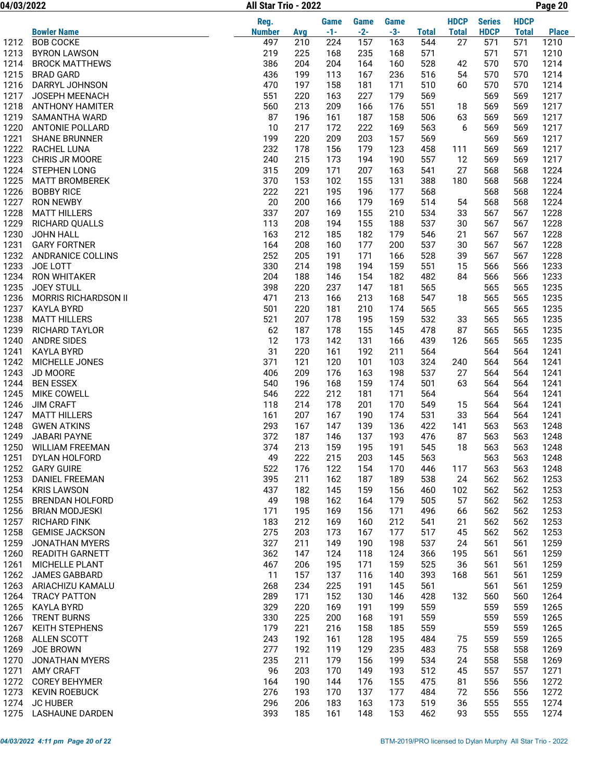04/03/2022 Page 20 All Star Trio - 2022

|      |                          | Reg.          |     | <b>Game</b> | <b>Game</b> | <b>Game</b> |              | <b>HDCP</b>  | <b>Series</b> | <b>HDCP</b>  |              |
|------|--------------------------|---------------|-----|-------------|-------------|-------------|--------------|--------------|---------------|--------------|--------------|
|      | <b>Bowler Name</b>       | <b>Number</b> | Avg | $-1-$       | $-2-$       | $-3-$       | <b>Total</b> | <b>Total</b> | <b>HDCP</b>   | <b>Total</b> | <b>Place</b> |
| 1212 | <b>BOB COCKE</b>         | 497           | 210 | 224         | 157         | 163         | 544          | 27           | 571           | 571          | 1210         |
| 1213 | <b>BYRON LAWSON</b>      | 219           | 225 | 168         | 235         | 168         | 571          |              | 571           | 571          | 1210         |
| 1214 | <b>BROCK MATTHEWS</b>    | 386           | 204 | 204         | 164         | 160         | 528          | 42           | 570           | 570          | 1214         |
| 1215 | <b>BRAD GARD</b>         | 436           | 199 | 113         | 167         | 236         | 516          | 54           | 570           | 570          | 1214         |
| 1216 | DARRYL JOHNSON           | 470           | 197 | 158         | 181         | 171         | 510          | 60           | 570           | 570          | 1214         |
| 1217 | JOSEPH MEENACH           | 551           | 220 | 163         | 227         | 179         | 569          |              | 569           | 569          | 1217         |
| 1218 | <b>ANTHONY HAMITER</b>   | 560           | 213 | 209         | 166         | 176         | 551          | 18           | 569           | 569          | 1217         |
| 1219 | SAMANTHA WARD            | 87            | 196 | 161         | 187         | 158         | 506          | 63           | 569           | 569          | 1217         |
| 1220 | <b>ANTONIE POLLARD</b>   | 10            | 217 | 172         | 222         | 169         | 563          | 6            | 569           | 569          | 1217         |
| 1221 | <b>SHANE BRUNNER</b>     | 199           | 220 | 209         | 203         | 157         | 569          |              | 569           | 569          | 1217         |
| 1222 | RACHEL LUNA              | 232           | 178 | 156         | 179         | 123         | 458          | 111          | 569           | 569          | 1217         |
| 1223 | CHRIS JR MOORE           | 240           | 215 | 173         | 194         | 190         | 557          | 12           | 569           | 569          | 1217         |
| 1224 | <b>STEPHEN LONG</b>      | 315           | 209 | 171         | 207         | 163         | 541          | 27           | 568           | 568          | 1224         |
| 1225 | <b>MATT BROMBEREK</b>    | 370           | 153 | 102         | 155         | 131         | 388          | 180          | 568           | 568          | 1224         |
| 1226 | <b>BOBBY RICE</b>        | 222           | 221 | 195         | 196         | 177         | 568          |              | 568           | 568          | 1224         |
| 1227 | <b>RON NEWBY</b>         | 20            | 200 | 166         | 179         | 169         | 514          | 54           | 568           | 568          | 1224         |
| 1228 | <b>MATT HILLERS</b>      | 337           | 207 | 169         | 155         | 210         | 534          | 33           | 567           | 567          | 1228         |
| 1229 | RICHARD QUALLS           | 113           | 208 | 194         | 155         | 188         | 537          | 30           | 567           | 567          | 1228         |
| 1230 | JOHN HALL                | 163           | 212 | 185         | 182         | 179         | 546          | 21           | 567           | 567          | 1228         |
| 1231 | <b>GARY FORTNER</b>      | 164           | 208 | 160         | 177         | 200         | 537          | 30           | 567           | 567          | 1228         |
| 1232 | <b>ANDRANICE COLLINS</b> | 252           | 205 | 191         | 171         | 166         | 528          | 39           | 567           | 567          | 1228         |
| 1233 | JOE LOTT                 | 330           | 214 | 198         | 194         | 159         | 551          | 15           | 566           | 566          | 1233         |
| 1234 | <b>RON WHITAKER</b>      | 204           | 188 | 146         | 154         | 182         | 482          | 84           | 566           | 566          | 1233         |
| 1235 | <b>JOEY STULL</b>        | 398           | 220 | 237         | 147         | 181         | 565          |              | 565           | 565          | 1235         |
| 1236 | MORRIS RICHARDSON II     | 471           | 213 | 166         | 213         | 168         | 547          | 18           | 565           | 565          | 1235         |
| 1237 | <b>KAYLA BYRD</b>        | 501           | 220 | 181         | 210         | 174         | 565          |              | 565           | 565          | 1235         |
| 1238 | <b>MATT HILLERS</b>      | 521           | 207 | 178         | 195         | 159         | 532          | 33           | 565           | 565          | 1235         |
| 1239 | RICHARD TAYLOR           | 62            | 187 | 178         | 155         | 145         | 478          | 87           | 565           | 565          | 1235         |
| 1240 | <b>ANDRE SIDES</b>       | 12            | 173 | 142         | 131         | 166         | 439          | 126          | 565           | 565          | 1235         |
| 1241 | <b>KAYLA BYRD</b>        | 31            | 220 | 161         | 192         | 211         | 564          |              | 564           | 564          | 1241         |
| 1242 | MICHELLE JONES           | 371           | 121 | 120         | 101         | 103         | 324          | 240          | 564           | 564          | 1241         |
| 1243 | JD MOORE                 | 406           | 209 | 176         | 163         | 198         | 537          | 27           | 564           | 564          | 1241         |
| 1244 | <b>BEN ESSEX</b>         | 540           | 196 | 168         | 159         | 174         | 501          | 63           | 564           | 564          | 1241         |
| 1245 | MIKE COWELL              | 546           | 222 | 212         | 181         | 171         | 564          |              | 564           | 564          | 1241         |
| 1246 | <b>JIM CRAFT</b>         | 118           | 214 | 178         | 201         | 170         | 549          | 15           | 564           | 564          | 1241         |
| 1247 | <b>MATT HILLERS</b>      | 161           | 207 | 167         | 190         | 174         | 531          | 33           | 564           | 564          | 1241         |
| 1248 | <b>GWEN ATKINS</b>       | 293           | 167 | 147         | 139         | 136         | 422          | 141          | 563           | 563          | 1248         |
| 1249 | <b>JABARI PAYNE</b>      | 372           | 187 | 146         | 137         | 193         | 476          | 87           | 563           | 563          | 1248         |
| 1250 | <b>WILLIAM FREEMAN</b>   | 374           | 213 | 159         | 195         | 191         | 545          | 18           | 563           | 563          | 1248         |
| 1251 | DYLAN HOLFORD            | 49            | 222 | 215         | 203         | 145         | 563          |              | 563           | 563          | 1248         |
| 1252 | <b>GARY GUIRE</b>        | 522           | 176 | 122         | 154         | 170         | 446          | 117          | 563           | 563          | 1248         |
| 1253 | <b>DANIEL FREEMAN</b>    | 395           | 211 | 162         | 187         | 189         | 538          | 24           | 562           | 562          | 1253         |
| 1254 | <b>KRIS LAWSON</b>       | 437           | 182 | 145         | 159         | 156         | 460          | 102          | 562           | 562          | 1253         |
| 1255 | <b>BRENDAN HOLFORD</b>   | 49            | 198 | 162         | 164         | 179         | 505          | 57           | 562           | 562          | 1253         |
| 1256 | <b>BRIAN MODJESKI</b>    | 171           | 195 | 169         | 156         | 171         | 496          | 66           | 562           | 562          | 1253         |
| 1257 | <b>RICHARD FINK</b>      | 183           | 212 | 169         | 160         | 212         | 541          | 21           | 562           | 562          | 1253         |
| 1258 | <b>GEMISE JACKSON</b>    | 275           | 203 | 173         | 167         | 177         | 517          | 45           | 562           | 562          | 1253         |
| 1259 | <b>JONATHAN MYERS</b>    | 327           | 211 | 149         | 190         | 198         | 537          | 24           | 561           | 561          | 1259         |
| 1260 | <b>READITH GARNETT</b>   | 362           | 147 | 124         | 118         | 124         | 366          | 195          | 561           | 561          | 1259         |
| 1261 | MICHELLE PLANT           | 467           | 206 | 195         | 171         | 159         | 525          | 36           | 561           | 561          | 1259         |
| 1262 | <b>JAMES GABBARD</b>     | 11            | 157 | 137         | 116         | 140         | 393          | 168          | 561           | 561          | 1259         |
| 1263 | ARIACHIZU KAMALU         | 268           | 234 | 225         | 191         | 145         | 561          |              | 561           | 561          | 1259         |
|      | 1264 TRACY PATTON        | 289           | 171 | 152         | 130         | 146         | 428          | 132          | 560           | 560          | 1264         |
| 1265 | <b>KAYLA BYRD</b>        | 329           | 220 | 169         | 191         | 199         | 559          |              | 559           | 559          | 1265         |
| 1266 | <b>TRENT BURNS</b>       | 330           | 225 | 200         | 168         | 191         | 559          |              | 559           | 559          | 1265         |
| 1267 | <b>KEITH STEPHENS</b>    | 179           | 221 | 216         | 158         | 185         | 559          |              | 559           | 559          | 1265         |
| 1268 | ALLEN SCOTT              | 243           | 192 | 161         | 128         | 195         | 484          | 75           | 559           | 559          | 1265         |
| 1269 | JOE BROWN                | 277           | 192 | 119         | 129         | 235         | 483          | 75           | 558           | 558          | 1269         |
| 1270 | JONATHAN MYERS           | 235           | 211 | 179         | 156         | 199         | 534          | 24           | 558           | 558          | 1269         |
| 1271 | <b>AMY CRAFT</b>         | 96            | 203 | 170         | 149         | 193         | 512          | 45           | 557           | 557          | 1271         |
| 1272 | <b>COREY BEHYMER</b>     | 164           | 190 | 144         | 176         | 155         | 475          | 81           | 556           | 556          | 1272         |
| 1273 | <b>KEVIN ROEBUCK</b>     | 276           | 193 | 170         | 137         | 177         | 484          | 72           | 556           | 556          | 1272         |
| 1274 | <b>JC HUBER</b>          | 296           | 206 | 183         | 163         | 173         | 519          | 36           | 555           | 555          | 1274         |
| 1275 | LASHAUNE DARDEN          | 393           | 185 | 161         | 148         | 153         | 462          | 93           | 555           | 555          | 1274         |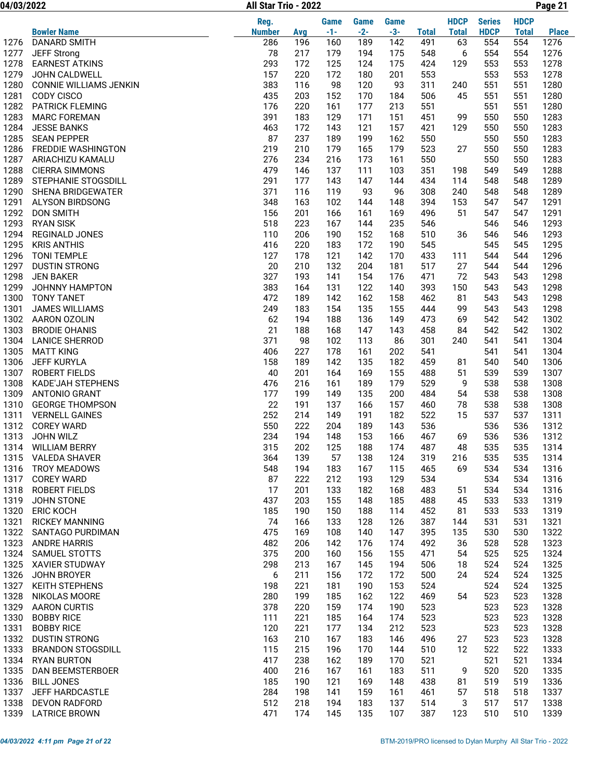04/03/2022 Page 21 All Star Trio - 2022

|              |                                                  | Reg.          |            | <b>Game</b> | <b>Game</b> | Game       |              | <b>HDCP</b>  | <b>Series</b> | <b>HDCP</b>  |              |
|--------------|--------------------------------------------------|---------------|------------|-------------|-------------|------------|--------------|--------------|---------------|--------------|--------------|
|              | <b>Bowler Name</b>                               | <b>Number</b> | <b>Avg</b> | $-1-$       | $-2-$       | $-3-$      | <b>Total</b> | <b>Total</b> | <b>HDCP</b>   | <b>Total</b> | <b>Place</b> |
| 1276         | <b>DANARD SMITH</b>                              | 286           | 196        | 160         | 189         | 142        | 491          | 63           | 554           | 554          | 1276         |
| 1277         | <b>JEFF Strong</b>                               | 78            | 217        | 179         | 194         | 175        | 548          | 6            | 554           | 554          | 1276         |
| 1278         | <b>EARNEST ATKINS</b>                            | 293           | 172        | 125         | 124         | 175        | 424          | 129          | 553           | 553          | 1278         |
| 1279         | JOHN CALDWELL                                    | 157           | 220        | 172         | 180         | 201        | 553          |              | 553           | 553          | 1278         |
| 1280         | <b>CONNIE WILLIAMS JENKIN</b>                    | 383           | 116        | 98          | 120         | 93         | 311          | 240          | 551           | 551          | 1280         |
| 1281         | CODY CISCO                                       | 435           | 203        | 152         | 170         | 184        | 506          | 45           | 551           | 551          | 1280         |
| 1282<br>1283 | <b>PATRICK FLEMING</b><br><b>MARC FOREMAN</b>    | 176<br>391    | 220<br>183 | 161<br>129  | 177<br>171  | 213<br>151 | 551<br>451   | 99           | 551<br>550    | 551<br>550   | 1280<br>1283 |
| 1284         | <b>JESSE BANKS</b>                               | 463           | 172        | 143         | 121         | 157        | 421          | 129          | 550           | 550          | 1283         |
| 1285         | <b>SEAN PEPPER</b>                               | 87            | 237        | 189         | 199         | 162        | 550          |              | 550           | 550          | 1283         |
| 1286         | <b>FREDDIE WASHINGTON</b>                        | 219           | 210        | 179         | 165         | 179        | 523          | 27           | 550           | 550          | 1283         |
| 1287         | ARIACHIZU KAMALU                                 | 276           | 234        | 216         | 173         | 161        | 550          |              | 550           | 550          | 1283         |
| 1288         | <b>CIERRA SIMMONS</b>                            | 479           | 146        | 137         | 111         | 103        | 351          | 198          | 549           | 549          | 1288         |
| 1289         | STEPHANIE STOGSDILL                              | 291           | 177        | 143         | 147         | 144        | 434          | 114          | 548           | 548          | 1289         |
| 1290         | SHENA BRIDGEWATER                                | 371           | 116        | 119         | 93          | 96         | 308          | 240          | 548           | 548          | 1289         |
| 1291         | ALYSON BIRDSONG                                  | 348           | 163        | 102         | 144         | 148        | 394          | 153          | 547           | 547          | 1291         |
| 1292         | <b>DON SMITH</b>                                 | 156           | 201        | 166         | 161         | 169        | 496          | 51           | 547           | 547          | 1291         |
| 1293         | <b>RYAN SISK</b>                                 | 518           | 223        | 167         | 144         | 235        | 546          |              | 546           | 546          | 1293         |
| 1294         | REGINALD JONES                                   | 110           | 206        | 190         | 152         | 168        | 510          | 36           | 546           | 546          | 1293         |
| 1295         | <b>KRIS ANTHIS</b>                               | 416           | 220        | 183         | 172         | 190        | 545          |              | 545           | 545          | 1295         |
| 1296         | <b>TONI TEMPLE</b>                               | 127           | 178        | 121         | 142         | 170        | 433          | 111          | 544           | 544          | 1296         |
| 1297         | <b>DUSTIN STRONG</b>                             | 20            | 210        | 132         | 204         | 181        | 517          | 27           | 544           | 544          | 1296         |
| 1298         | <b>JEN BAKER</b>                                 | 327           | 193        | 141         | 154         | 176        | 471          | 72           | 543           | 543          | 1298         |
| 1299<br>1300 | JOHNNY HAMPTON<br><b>TONY TANET</b>              | 383<br>472    | 164<br>189 | 131<br>142  | 122<br>162  | 140<br>158 | 393<br>462   | 150<br>81    | 543<br>543    | 543<br>543   | 1298<br>1298 |
| 1301         | <b>JAMES WILLIAMS</b>                            | 249           | 183        | 154         | 135         | 155        | 444          | 99           | 543           | 543          | 1298         |
| 1302         | AARON OZOLIN                                     | 62            | 194        | 188         | 136         | 149        | 473          | 69           | 542           | 542          | 1302         |
| 1303         | <b>BRODIE OHANIS</b>                             | 21            | 188        | 168         | 147         | 143        | 458          | 84           | 542           | 542          | 1302         |
| 1304         | <b>LANICE SHERROD</b>                            | 371           | 98         | 102         | 113         | 86         | 301          | 240          | 541           | 541          | 1304         |
| 1305         | <b>MATT KING</b>                                 | 406           | 227        | 178         | 161         | 202        | 541          |              | 541           | 541          | 1304         |
| 1306         | <b>JEFF KURYLA</b>                               | 158           | 189        | 142         | 135         | 182        | 459          | 81           | 540           | 540          | 1306         |
| 1307         | <b>ROBERT FIELDS</b>                             | 40            | 201        | 164         | 169         | 155        | 488          | 51           | 539           | 539          | 1307         |
| 1308         | <b>KADE'JAH STEPHENS</b>                         | 476           | 216        | 161         | 189         | 179        | 529          | 9            | 538           | 538          | 1308         |
| 1309         | <b>ANTONIO GRANT</b>                             | 177           | 199        | 149         | 135         | 200        | 484          | 54           | 538           | 538          | 1308         |
| 1310         | <b>GEORGE THOMPSON</b>                           | 22            | 191        | 137         | 166         | 157        | 460          | 78           | 538           | 538          | 1308         |
| 1311         | <b>VERNELL GAINES</b>                            | 252           | 214        | 149         | 191         | 182        | 522          | 15           | 537           | 537          | 1311         |
| 1312         | <b>COREY WARD</b>                                | 550           | 222        | 204         | 189         | 143        | 536          |              | 536           | 536          | 1312         |
| 1313         | JOHN WILZ                                        | 234           | 194        | 148         | 153         | 166        | 467          | 69           | 536           | 536          | 1312         |
| 1314         | <b>WILLIAM BERRY</b><br>1315 VALEDA SHAVER       | 315<br>364    | 202<br>139 | 125<br>57   | 188<br>138  | 174<br>124 | 487<br>319   | 48<br>216    | 535<br>535    | 535<br>535   | 1314<br>1314 |
| 1316         | <b>TROY MEADOWS</b>                              | 548           | 194        | 183         | 167         | 115        | 465          | 69           | 534           | 534          | 1316         |
| 1317         | <b>COREY WARD</b>                                | 87            | 222        | 212         | 193         | 129        | 534          |              | 534           | 534          | 1316         |
| 1318         | <b>ROBERT FIELDS</b>                             | 17            | 201        | 133         | 182         | 168        | 483          | 51           | 534           | 534          | 1316         |
| 1319         | JOHN STONE                                       | 437           | 203        | 155         | 148         | 185        | 488          | 45           | 533           | 533          | 1319         |
| 1320         | <b>ERIC KOCH</b>                                 | 185           | 190        | 150         | 188         | 114        | 452          | 81           | 533           | 533          | 1319         |
| 1321         | <b>RICKEY MANNING</b>                            | 74            | 166        | 133         | 128         | 126        | 387          | 144          | 531           | 531          | 1321         |
| 1322         | SANTAGO PURDIMAN                                 | 475           | 169        | 108         | 140         | 147        | 395          | 135          | 530           | 530          | 1322         |
| 1323         | <b>ANDRE HARRIS</b>                              | 482           | 206        | 142         | 176         | 174        | 492          | 36           | 528           | 528          | 1323         |
| 1324         | SAMUEL STOTTS                                    | 375           | 200        | 160         | 156         | 155        | 471          | 54           | 525           | 525          | 1324         |
| 1325         | <b>XAVIER STUDWAY</b>                            | 298           | 213        | 167         | 145         | 194        | 506          | 18           | 524           | 524          | 1325         |
| 1326         | JOHN BROYER                                      | 6             | 211        | 156         | 172         | 172        | 500          | 24           | 524           | 524          | 1325         |
| 1327         | <b>KEITH STEPHENS</b>                            | 198           | 221        | 181         | 190         | 153        | 524          |              | 524           | 524          | 1325         |
| 1328         | NIKOLAS MOORE                                    | 280           | 199        | 185         | 162         | 122        | 469          | 54           | 523           | 523          | 1328         |
| 1329         | <b>AARON CURTIS</b>                              | 378           | 220        | 159         | 174         | 190        | 523          |              | 523           | 523          | 1328         |
| 1330         | <b>BOBBY RICE</b>                                | 111           | 221        | 185         | 164         | 174        | 523          |              | 523           | 523          | 1328         |
| 1331         | <b>BOBBY RICE</b>                                | 120           | 221        | 177         | 134         | 212        | 523          |              | 523<br>523    | 523          | 1328         |
| 1332<br>1333 | <b>DUSTIN STRONG</b><br><b>BRANDON STOGSDILL</b> | 163<br>115    | 210<br>215 | 167<br>196  | 183<br>170  | 146<br>144 | 496<br>510   | 27<br>12     | 522           | 523<br>522   | 1328<br>1333 |
| 1334         | <b>RYAN BURTON</b>                               | 417           | 238        | 162         | 189         | 170        | 521          |              | 521           | 521          | 1334         |
| 1335         | <b>DAN BEEMSTERBOER</b>                          | 400           | 216        | 167         | 161         | 183        | 511          | 9            | 520           | 520          | 1335         |
| 1336         | <b>BILL JONES</b>                                | 185           | 190        | 121         | 169         | 148        | 438          | 81           | 519           | 519          | 1336         |
| 1337         | JEFF HARDCASTLE                                  | 284           | 198        | 141         | 159         | 161        | 461          | 57           | 518           | 518          | 1337         |
| 1338         | <b>DEVON RADFORD</b>                             | 512           | 218        | 194         | 183         | 137        | 514          | 3            | 517           | 517          | 1338         |
| 1339         | <b>LATRICE BROWN</b>                             | 471           | 174        | 145         | 135         | 107        | 387          | 123          | 510           | 510          | 1339         |